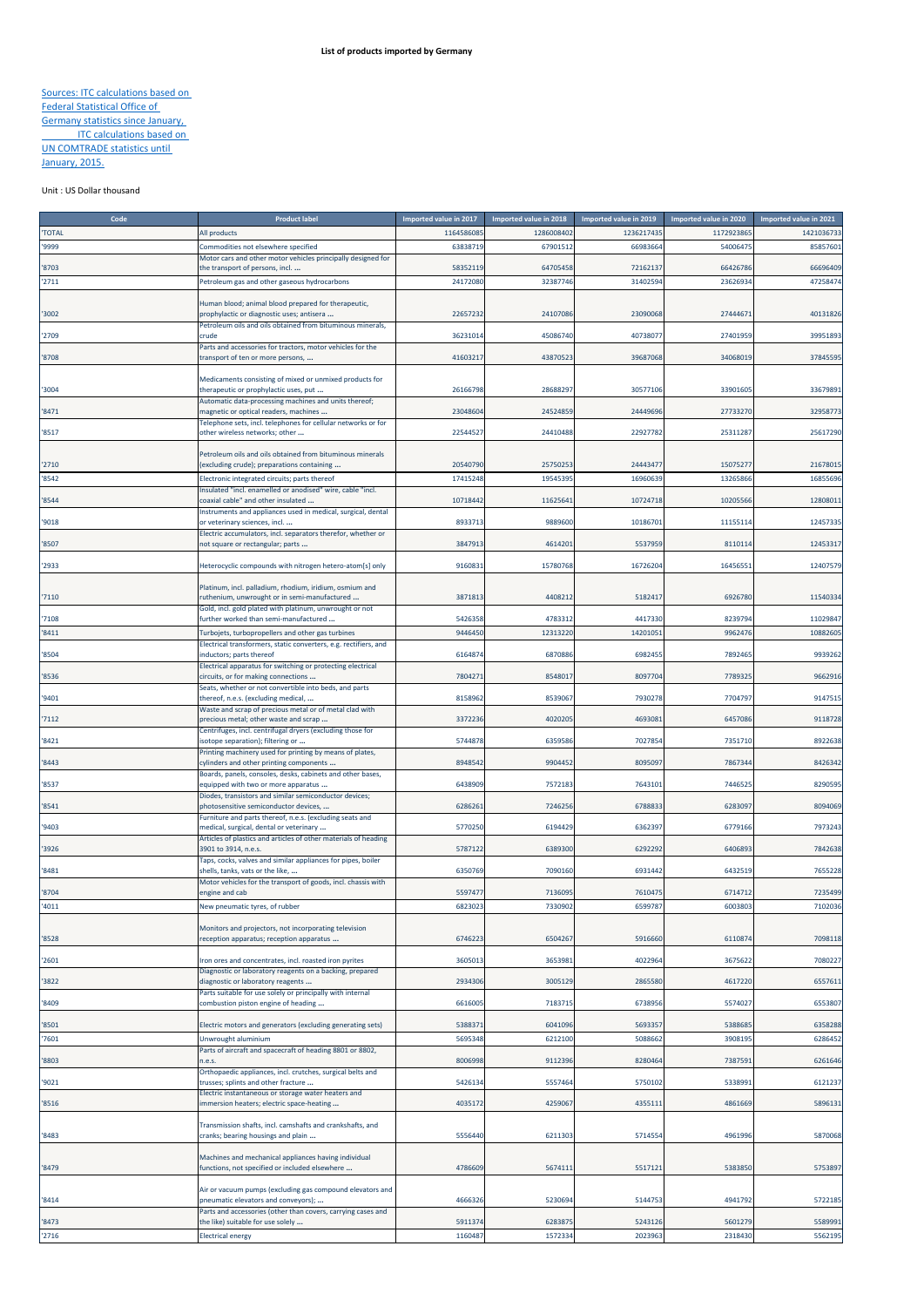## Sources: ITC calculations based on Federal Statistical Office of Germany statistics since January, **ITC calculations based on** UN COMTRADE statistics until January, 2015.

## Unit : US Dollar thousand

| Code           | <b>Product label</b>                                                                                    | Imported value in 2017 | Imported value in 2018 | Imported value in 2019 | Imported value in 2020 | Imported value in 2021 |
|----------------|---------------------------------------------------------------------------------------------------------|------------------------|------------------------|------------------------|------------------------|------------------------|
| <b>TOTAL</b>   | All products                                                                                            | 116458608              | 128600840              | 1236217435             | 1172923865             | 142103673              |
| '9999          | Commodities not elsewhere specified                                                                     | 63838719               | 6790151                | 66983664               | 5400647                | 8585760                |
|                | Motor cars and other motor vehicles principally designed for                                            | 58352119               | 64705458               | 72162137               | 66426786               | 66696409               |
| '8703<br>'2711 | the transport of persons, incl<br>Petroleum gas and other gaseous hydrocarbons                          | 24172080               | 32387746               | 31402594               | 2362693                | 4725847                |
|                |                                                                                                         |                        |                        |                        |                        |                        |
|                | Human blood; animal blood prepared for therapeutic,                                                     |                        |                        |                        |                        |                        |
| 3002           | prophylactic or diagnostic uses; antisera<br>Petroleum oils and oils obtained from bituminous minerals, | 22657232               | 24107086               | 23090068               | 2744467                | 4013182                |
| 2709           | :rude                                                                                                   | 36231014               | 45086740               | 40738077               | 27401959               | 3995189                |
|                | Parts and accessories for tractors, motor vehicles for the                                              |                        |                        |                        |                        |                        |
| '8708          | transport of ten or more persons,                                                                       | 41603217               | 43870523               | 39687068               | 34068019               | 3784559                |
|                | Medicaments consisting of mixed or unmixed products for                                                 |                        |                        |                        |                        |                        |
| '3004          | therapeutic or prophylactic uses, put                                                                   | 26166798               | 2868829                | 30577106               | 33901605               | 3367989                |
| 8471           | Automatic data-processing machines and units thereof;<br>magnetic or optical readers, machines          | 23048604               | 24524859               | 24449696               | 27733270               | 3295877                |
|                | Telephone sets, incl. telephones for cellular networks or for                                           |                        |                        |                        |                        |                        |
| '8517          | other wireless networks; other                                                                          | 22544527               | 24410488               | 22927782               | 2531128                | 2561729                |
|                | Petroleum oils and oils obtained from bituminous minerals                                               |                        |                        |                        |                        |                        |
| '2710          | (excluding crude); preparations containing                                                              | 20540790               | 2575025                | 24443477               | 1507527                | 2167801                |
| '8542          | Electronic integrated circuits; parts thereof                                                           | 17415248               | 19545395               | 16960639               | 13265866               | 1685569                |
|                | nsulated "incl. enamelled or anodised" wire, cable "incl.                                               |                        |                        |                        |                        |                        |
| '8544          | coaxial cable" and other insulated<br>Instruments and appliances used in medical, surgical, dental      | 10718442               | 11625641               | 10724718               | 1020556                | 1280801                |
| '9018          | or veterinary sciences, incl                                                                            | 8933713                | 9889600                | 10186701               | 1115511                | 1245733                |
|                | Electric accumulators, incl. separators therefor, whether or                                            |                        |                        |                        |                        |                        |
| '8507          | not square or rectangular; parts                                                                        | 3847913                | 4614201                | 5537959                | 811011                 | 1245331                |
| 2933           | Heterocyclic compounds with nitrogen hetero-atom[s] only                                                | 9160831                | 15780768               | 16726204               | 1645655                | 1240757                |
|                |                                                                                                         |                        |                        |                        |                        |                        |
| 7110           | Platinum, incl. palladium, rhodium, iridium, osmium and<br>uthenium, unwrought or in semi-manufactured  | 3871813                | 440821                 | 5182417                | 692678                 | 1154033                |
|                | Gold, incl. gold plated with platinum, unwrought or not                                                 |                        |                        |                        |                        |                        |
| 7108           | iurther worked than semi-manufactured                                                                   | 5426358                | 478331                 | 4417330                | 823979                 | 1102984                |
| 8411           | Furbojets, turbopropellers and other gas turbines                                                       | 9446450                | 12313220               | 14201051               | 996247                 | 1088260                |
| '8504          | Electrical transformers, static converters, e.g. rectifiers, and<br>nductors; parts thereof             | 6164874                | 6870886                | 6982455                | 7892465                | 993926                 |
|                | Electrical apparatus for switching or protecting electrical                                             |                        |                        |                        |                        |                        |
| 8536           | circuits, or for making connections                                                                     | 7804271                | 8548017                | 8097704                | 7789325                | 966291                 |
| '9401          | Seats, whether or not convertible into beds, and parts<br>thereof, n.e.s. (excluding medical,           | 8158962                | 8539067                | 7930278                | 7704797                | 914751                 |
|                | Waste and scrap of precious metal or of metal clad with                                                 |                        |                        |                        |                        |                        |
| 7112           | precious metal; other waste and scrap                                                                   | 3372236                | 402020                 | 4693081                | 645708                 | 911872                 |
| 8421           | Centrifuges, incl. centrifugal dryers (excluding those for<br>sotope separation); filtering or          | 5744878                | 635958                 | 7027854                | 7351710                | 892263                 |
|                | Printing machinery used for printing by means of plates,                                                |                        |                        |                        |                        |                        |
| 8443           | cylinders and other printing components                                                                 | 8948542                | 9904452                | 8095097                | 7867344                | 842634                 |
|                | Boards, panels, consoles, desks, cabinets and other bases,                                              | 6438909                | 7572183                | 7643101                | 744652                 | 829059                 |
| '8537          | equipped with two or more apparatus<br>Diodes, transistors and similar semiconductor devices;           |                        |                        |                        |                        |                        |
| 8541           | ohotosensitive semiconductor devices,                                                                   | 6286261                | 724625                 | 6788833                | 628309                 | 8094069                |
| '9403          | Furniture and parts thereof, n.e.s. (excluding seats and<br>medical, surgical, dental or veterinary     | 5770250                | 6194429                | 6362397                | 6779166                | 797324                 |
|                | Articles of plastics and articles of other materials of heading                                         |                        |                        |                        |                        |                        |
| '3926          | 3901 to 3914, n.e.s.                                                                                    | 5787122                | 6389300                | 6292292                | 6406893                | 784263                 |
| 8481           | Taps, cocks, valves and similar appliances for pipes, boiler                                            | 6350769                | 7090160                | 6931442                | 643251                 | 7655228                |
|                | shells, tanks, vats or the like,<br>Motor vehicles for the transport of goods, incl. chassis with       |                        |                        |                        |                        |                        |
| '8704          | engine and cab                                                                                          | 5597477                | 7136095                | 7610475                | 6714712                | 7235499                |
| '4011          | New pneumatic tyres, of rubber                                                                          | 6823023                | 7330902                | 6599787                | 6003803                | 7102036                |
|                |                                                                                                         |                        |                        |                        |                        |                        |
| '8528          | Monitors and projectors, not incorporating television<br>reception apparatus; reception apparatus       | 6746223                | 6504267                | 5916660                | 611087                 | 7098118                |
|                |                                                                                                         |                        |                        |                        |                        |                        |
| 2601           | ron ores and concentrates, incl. roasted iron pyrites                                                   | 3605013                | 3653981                | 4022964                | 3675622                | 7080227                |
| 3822           | Diagnostic or laboratory reagents on a backing, prepared<br>diagnostic or laboratory reagents           | 2934306                | 3005129                | 2865580                | 461722                 | 655761                 |
|                | Parts suitable for use solely or principally with internal                                              |                        |                        |                        |                        |                        |
| '8409          | combustion piston engine of heading                                                                     | 6616005                | 718371                 | 6738956                | 557402                 | 6553807                |
| '8501          | Electric motors and generators (excluding generating sets)                                              | 5388371                | 6041096                | 5693357                | 5388685                | 6358288                |
| 7601           | Jnwrought aluminium                                                                                     | 5695348                | 621210                 | 5088662                | 3908195                | 6286452                |
|                | Parts of aircraft and spacecraft of heading 8801 or 8802,                                               |                        |                        |                        |                        |                        |
| 8803           | n.e.s<br>Orthopaedic appliances, incl. crutches, surgical belts and                                     | 8006998                | 9112396                | 8280464                | 7387591                | 6261646                |
| '9021          | trusses; splints and other fracture                                                                     | 5426134                | 5557464                | 5750102                | 5338991                | 6121237                |
|                | Electric instantaneous or storage water heaters and                                                     |                        |                        |                        |                        |                        |
| 8516           | mmersion heaters; electric space-heating                                                                | 4035172                | 4259067                | 4355111                | 486166                 | 589613:                |
|                | Transmission shafts, incl. camshafts and crankshafts, and                                               |                        |                        |                        |                        |                        |
| 8483           | cranks; bearing housings and plain                                                                      | 5556440                | 6211303                | 5714554                | 4961996                | 5870068                |
|                |                                                                                                         |                        |                        |                        |                        |                        |
| 8479           | Machines and mechanical appliances having individual<br>functions, not specified or included elsewhere  | 4786609                | 567411:                | 5517121                | 5383850                | 5753897                |
|                |                                                                                                         |                        |                        |                        |                        |                        |
|                | Air or vacuum pumps (excluding gas compound elevators and                                               |                        |                        |                        |                        |                        |
| 8414           | pneumatic elevators and conveyors);<br>Parts and accessories (other than covers, carrying cases and     | 4666326                | 5230694                | 5144753                | 4941792                | 572218                 |
| 8473           | the like) suitable for use solely                                                                       | 5911374                | 6283875                | 5243126                | 5601279                | 558999                 |
| '2716          | <b>Electrical energy</b>                                                                                | 1160487                | 1572334                | 2023963                | 2318430                | 5562195                |
|                |                                                                                                         |                        |                        |                        |                        |                        |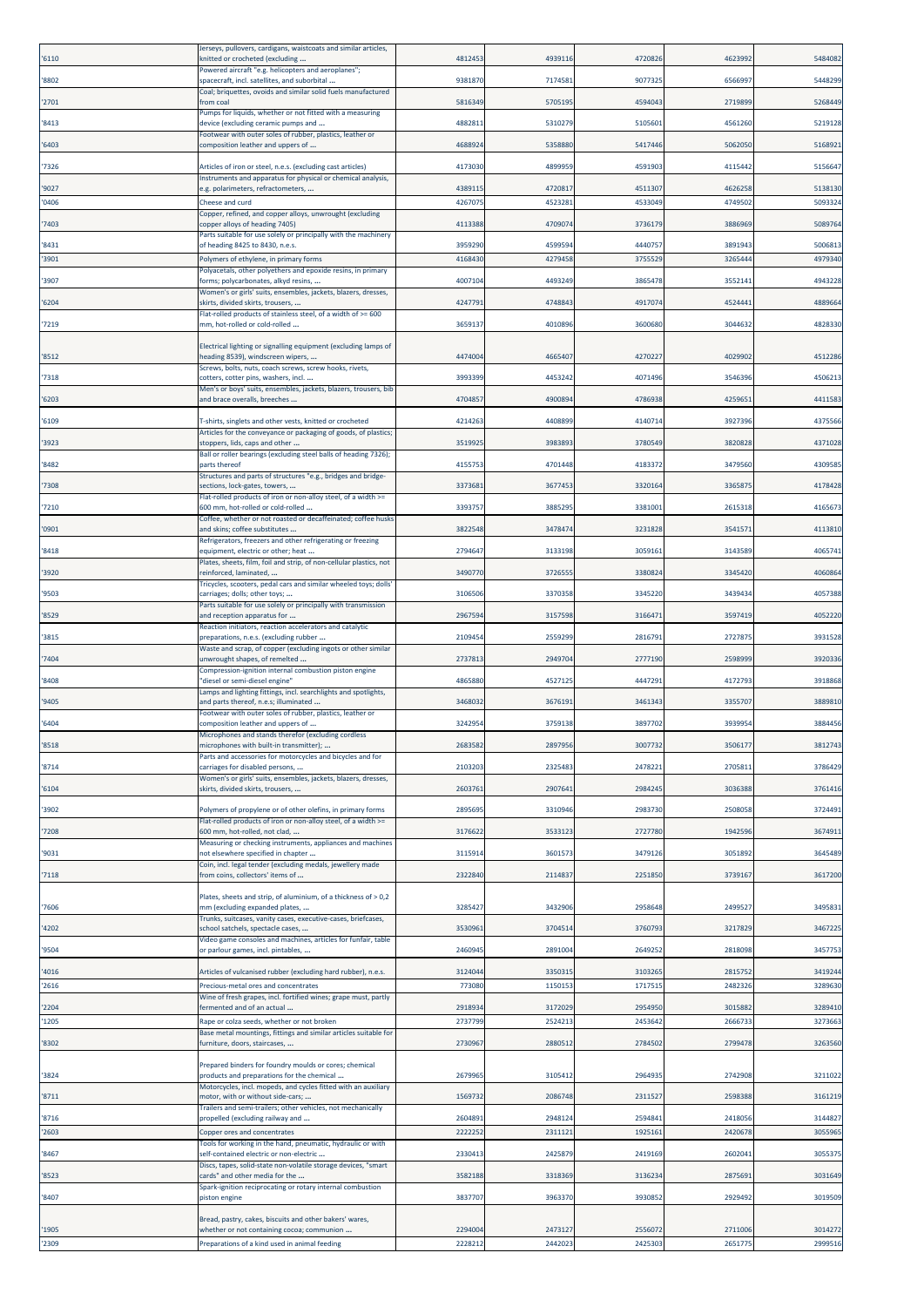| '6110          | Jerseys, pullovers, cardigans, waistcoats and similar articles,<br>enitted or crocheted (excluding                            | 481245            | 4939116            | 4720826            | 4623992            | 5484082            |
|----------------|-------------------------------------------------------------------------------------------------------------------------------|-------------------|--------------------|--------------------|--------------------|--------------------|
| '8802          | Powered aircraft "e.g. helicopters and aeroplanes";<br>spacecraft, incl. satellites, and suborbital                           | 938187            | 7174581            | 9077325            | 6566997            | 5448299            |
| '2701          | Coal; briquettes, ovoids and similar solid fuels manufactured<br>from coal                                                    | 581634            | 5705195            | 4594043            | 2719899            | 5268449            |
| '8413          | Pumps for liquids, whether or not fitted with a measuring<br>device (excluding ceramic pumps and                              | 488281            | 5310279            | 5105601            | 4561260            | 5219128            |
| '6403          | Footwear with outer soles of rubber, plastics, leather or<br>composition leather and uppers of                                | 468892            | 5358880            | 5417446            | 5062050            | 5168921            |
|                |                                                                                                                               | 417303            | 4899959            | 4591903            | 4115442            |                    |
| '7326          | Articles of iron or steel, n.e.s. (excluding cast articles)<br>Instruments and apparatus for physical or chemical analysis,   |                   |                    |                    |                    | 5156647            |
| '9027<br>'0406 | e.g. polarimeters, refractometers,<br>Cheese and curd                                                                         | 438911<br>426707  | 472081<br>452328   | 4511307<br>4533049 | 4626258<br>4749502 | 5138130<br>509332  |
| 7403           | Copper, refined, and copper alloys, unwrought (excluding<br>copper alloys of heading 7405)                                    | 411338            | 470907             | 3736179            | 3886969            | 5089764            |
| '8431          | Parts suitable for use solely or principally with the machinery<br>of heading 8425 to 8430, n.e.s.                            | 395929            | 459959             | 4440757            | 3891943            | 5006813            |
| '3901          | Polymers of ethylene, in primary forms                                                                                        | 416843            | 4279458            | 3755529            | 3265444            | 4979340            |
| '3907          | Polyacetals, other polyethers and epoxide resins, in primary<br>forms; polycarbonates, alkyd resins,                          | 400710            | 4493249            | 3865478            | 355214:            | 4943228            |
| '6204          | Women's or girls' suits, ensembles, jackets, blazers, dresses,<br>skirts, divided skirts, trousers,                           | 424779            | 4748843            | 4917074            | 4524441            | 4889664            |
| '7219          | lat-rolled products of stainless steel, of a width of >= 600<br>nm, hot-rolled or cold-rolled                                 | 365913            | 401089             | 3600680            | 3044632            | 4828330            |
|                |                                                                                                                               |                   |                    |                    |                    |                    |
| '8512          | Electrical lighting or signalling equipment (excluding lamps of<br>eading 8539), windscreen wipers,                           | 4474004           | 4665407            | 4270227            | 4029902            | 4512286            |
| '7318          | Screws, bolts, nuts, coach screws, screw hooks, rivets,<br>cotters, cotter pins, washers, incl.                               | 3993399           | 4453242            | 4071496            | 3546396            | 4506213            |
| '6203          | Men's or boys' suits, ensembles, jackets, blazers, trousers, bib<br>and brace overalls, breeches                              | 470485            | 490089             | 4786938            | 425965:            | 4411583            |
| '6109          | T-shirts, singlets and other vests, knitted or crocheted                                                                      | 421426            | 4408899            | 4140714            | 3927396            | 4375566            |
| '3923          | Articles for the conveyance or packaging of goods, of plastics;<br>stoppers, lids, caps and other                             | 351992            | 3983893            | 3780549            | 3820828            | 4371028            |
| '8482          | Ball or roller bearings (excluding steel balls of heading 7326);<br>parts thereof                                             | 415575            | 4701448            | 4183372            | 347956             | 430958             |
| '7308          | Structures and parts of structures "e.g., bridges and bridge-<br>sections, lock-gates, towers,                                | 337368            | 3677453            | 3320164            | 336587             | 4178428            |
| '7210          | Flat-rolled products of iron or non-alloy steel, of a width >=<br>600 mm, hot-rolled or cold-rolled                           | 339375            | 3885295            | 3381001            | 2615318            | 416567             |
|                | Coffee, whether or not roasted or decaffeinated; coffee husks                                                                 |                   |                    |                    |                    |                    |
| '0901          | and skins; coffee substitutes<br>Refrigerators, freezers and other refrigerating or freezing                                  | 382254            | 3478474            | 3231828            | 354157             | 4113810            |
| '8418          | equipment, electric or other; heat<br>Plates, sheets, film, foil and strip, of non-cellular plastics, not                     | 279464            | 3133198            | 3059161            | 3143589            | 406574             |
| '3920          | reinforced, laminated,<br>Tricycles, scooters, pedal cars and similar wheeled toys; dolls'                                    | 349077            | 372655             | 3380824            | 3345420            | 4060864            |
| '9503          | carriages; dolls; other toys;<br>Parts suitable for use solely or principally with transmission                               | 310650            | 3370358            | 3345220            | 3439434            | 4057388            |
| '8529          | and reception apparatus for<br>Reaction initiators, reaction accelerators and catalytic                                       | 2967594           | 3157598            | 3166471            | 3597419            | 4052220            |
| '3815          | preparations, n.e.s. (excluding rubber<br>Waste and scrap, of copper (excluding ingots or other similar                       | 210945            | 2559299            | 2816791            | 272787             | 3931528            |
| 7404           | inwrought shapes, of remelted                                                                                                 | 273781            | 294970             | 2777190            | 2598999            | 3920336            |
| '8408          | Compression-ignition internal combustion piston engine<br>"diesel or semi-diesel engine"                                      | 4865880           | 4527125            | 4447291            | 4172793            | 3918868            |
| '9405          | Lamps and lighting fittings, incl. searchlights and spotlights,<br>and parts thereof, n.e.s; illuminated                      | 346803            | 3676191            | 3461343            | 3355707            | 3889810            |
| '6404          | Footwear with outer soles of rubber, plastics, leather or<br>composition leather and uppers of                                | 324295            | 3759138            | 3897702            | 3939954            | 3884456            |
| '8518          | Microphones and stands therefor (excluding cordless<br>microphones with built-in transmitter);                                | 268358            | 2897956            | 3007732            | 350617             | 3812743            |
| '8714          | Parts and accessories for motorcycles and bicycles and for<br>carriages for disabled persons,                                 | 210320            | 2325483            | 2478221            | 270581             | 3786429            |
| '6104          | Women's or girls' suits, ensembles, jackets, blazers, dresses,<br>skirts, divided skirts, trousers,                           | 260376            | 290764             | 2984245            | 3036388            | 3761416            |
|                |                                                                                                                               |                   |                    |                    |                    |                    |
| '3902          | Polymers of propylene or of other olefins, in primary forms<br>Flat-rolled products of iron or non-alloy steel, of a width >= | 289569            | 3310946            | 2983730            | 2508058            | 3724491            |
| '7208          | 600 mm, hot-rolled, not clad,<br>Measuring or checking instruments, appliances and machines                                   | 317662            | 3533123            | 2727780            | 1942596            | 3674911            |
| '9031          | not elsewhere specified in chapter<br>Coin, incl. legal tender (excluding medals, jewellery made                              | 311591            | 3601573            | 3479126            | 3051892            | 3645489            |
| '7118          | from coins, collectors' items of                                                                                              | 232284            | 211483             | 2251850            | 3739167            | 3617200            |
| '7606          | Plates, sheets and strip, of aluminium, of a thickness of > 0,2<br>mm (excluding expanded plates,                             | 328542            | 3432906            | 2958648            | 2499527            | 3495831            |
| 4202           | Trunks, suitcases, vanity cases, executive-cases, briefcases,<br>chool satchels, spectacle cases,                             | 3530961           | 3704514            | 3760793            | 3217829            | 3467225            |
| '9504          | Video game consoles and machines, articles for funfair, table<br>or parlour games, incl. pintables,                           | 246094            | 2891004            | 2649252            | 2818098            | 3457753            |
|                |                                                                                                                               |                   |                    |                    |                    |                    |
| '4016<br>'2616 | Articles of vulcanised rubber (excluding hard rubber), n.e.s.<br>Precious-metal ores and concentrates                         | 3124044<br>773080 | 3350315<br>1150153 | 3103265<br>1717515 | 2815752<br>2482326 | 3419244<br>3289630 |
| '2204          | Wine of fresh grapes, incl. fortified wines; grape must, partly<br>fermented and of an actual                                 | 291893            | 3172029            | 2954950            | 3015882            | 3289410            |
| '1205          | Rape or colza seeds, whether or not broken                                                                                    | 273779            | 252421             | 2453642            | 266673             | 3273663            |
| '8302          | Base metal mountings, fittings and similar articles suitable for<br>furniture, doors, staircases,                             | 273096            | 288051             | 2784502            | 2799478            | 3263560            |
|                | Prepared binders for foundry moulds or cores; chemical                                                                        |                   |                    |                    |                    |                    |
| '3824          | products and preparations for the chemical<br>Motorcycles, incl. mopeds, and cycles fitted with an auxiliary                  | 267996            | 3105412            | 2964935            | 2742908            | 3211022            |
| '8711          | notor, with or without side-cars;<br>Trailers and semi-trailers; other vehicles, not mechanically                             | 156973            | 2086748            | 2311527            | 2598388            | 3161219            |
| '8716<br>'2603 | propelled (excluding railway and<br>Copper ores and concentrates                                                              | 260489<br>222225  | 2948124<br>231112  | 2594841<br>1925161 | 2418056<br>2420678 | 3144827<br>305596  |
|                | Fools for working in the hand, pneumatic, hydraulic or with                                                                   |                   |                    |                    |                    |                    |
| '8467          | self-contained electric or non-electric<br>Discs, tapes, solid-state non-volatile storage devices, "smart                     | 233041            | 242587             | 2419169            | 260204:            | 305537             |
| '8523          | ards" and other media for the<br>Spark-ignition reciprocating or rotary internal combustion                                   | 358218            | 3318369            | 3136234            | 2875691            | 3031649            |
| '8407          | piston engine                                                                                                                 | 3837707           | 3963370            | 3930852            | 2929492            | 3019509            |
| '1905          | Bread, pastry, cakes, biscuits and other bakers' wares,<br>whether or not containing cocoa; communion                         | 2294004           | 2473127            | 2556072            | 2711006            | 3014272            |
| '2309          | Preparations of a kind used in animal feeding                                                                                 | 2228212           | 2442023            | 2425303            | 2651775            | 2999516            |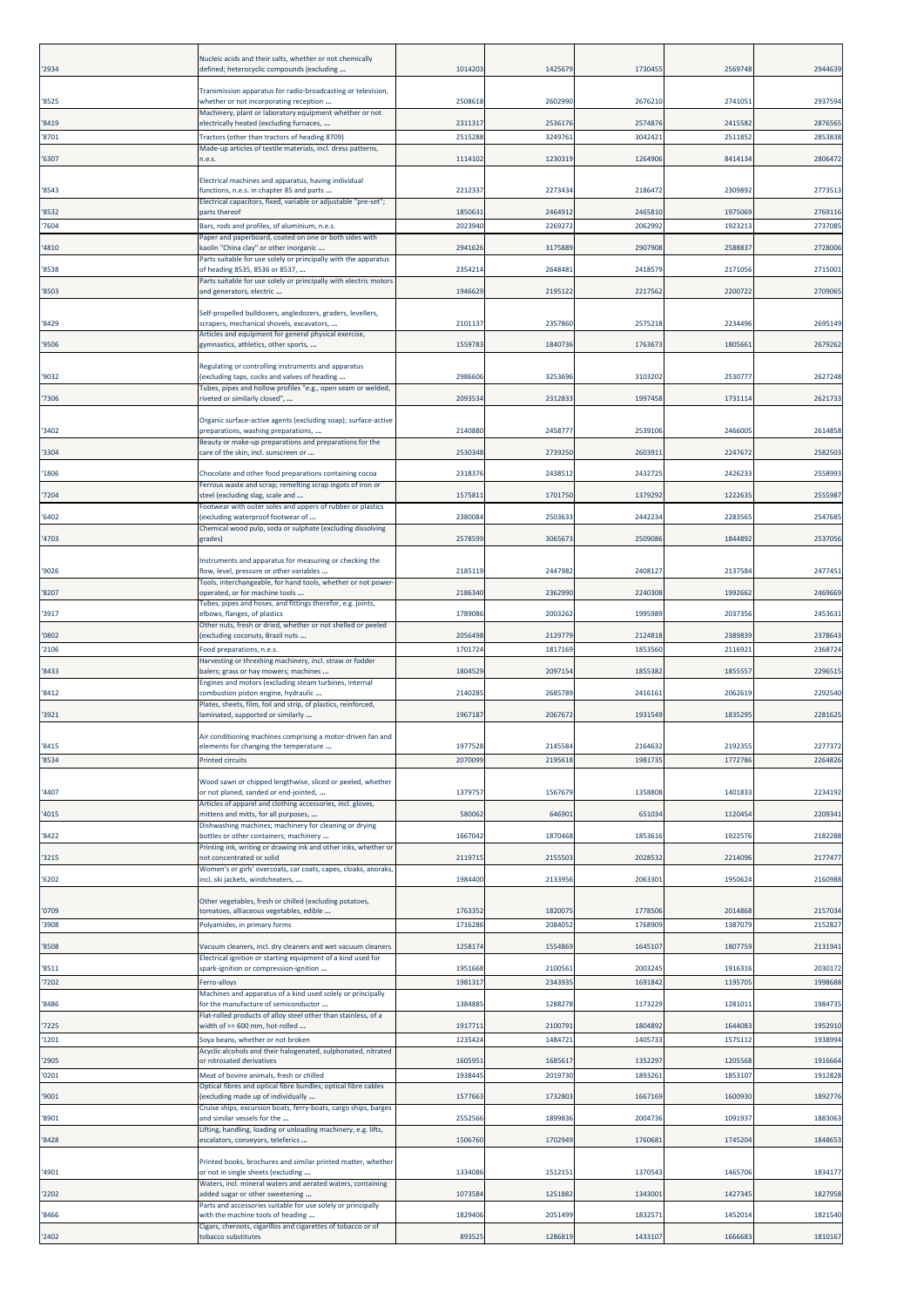| '2934          | Nucleic acids and their salts, whether or not chemically<br>defined; heterocyclic compounds (excluding                                                             | 1014203            | 1425679            | 1730455            | 2569748            | 2944639            |
|----------------|--------------------------------------------------------------------------------------------------------------------------------------------------------------------|--------------------|--------------------|--------------------|--------------------|--------------------|
| '8525          | Transmission apparatus for radio-broadcasting or television,<br>whether or not incorporating reception                                                             | 2508618            | 2602990            | 2676210            | 274105:            | 2937594            |
| '8419          | Machinery, plant or laboratory equipment whether or not<br>electrically heated (excluding furnaces,                                                                | 2311317            | 2536176            | 2574876            | 2415582            | 2876565            |
| '8701          | Tractors (other than tractors of heading 8709)                                                                                                                     | 251528             | 3249761            | 3042421            | 251185             | 2853838            |
| '6307          | Made-up articles of textile materials, incl. dress patterns,<br>n.e.s.                                                                                             | 1114102            | 1230319            | 1264906            | 8414134            | 2806472            |
| '8543          | Electrical machines and apparatus, having individual<br>functions, n.e.s. in chapter 85 and parts                                                                  | 221233             | 2273434            | 2186472            | 2309892            | 2773513            |
| '8532          | Electrical capacitors, fixed, variable or adjustable "pre-set";<br>arts thereof                                                                                    | 185063             | 246491             | 2465810            | 1975069            | 2769116            |
| '7604          | Bars, rods and profiles, of aluminium, n.e.s.                                                                                                                      | 2023940            | 226927             | 2062992            | 1923213            | 273708             |
| '4810          | Paper and paperboard, coated on one or both sides with<br>kaolin "China clay" or other inorganic                                                                   | 294162             | 3175889            | 2907908            | 2588837            | 2728006            |
| '8538          | Parts suitable for use solely or principally with the apparatus<br>of heading 8535, 8536 or 8537,                                                                  | 235421             | 2648481            | 2418579            | 2171056            | 2715001            |
| '8503          | Parts suitable for use solely or principally with electric motors<br>and generators, electric                                                                      | 1946629            | 2195122            | 2217562            | 2200722            | 2709065            |
| '8429          | Self-propelled bulldozers, angledozers, graders, levellers,<br>crapers, mechanical shovels, excavators,                                                            | 2101137            | 2357860            | 2575218            | 2234496            | 2695149            |
| '9506          | Articles and equipment for general physical exercise,<br>gymnastics, athletics, other sports,                                                                      | 155978             | 1840736            | 1763673            | 180566             | 2679262            |
|                |                                                                                                                                                                    |                    |                    |                    |                    |                    |
| '9032          | Regulating or controlling instruments and apparatus<br>(excluding taps, cocks and valves of heading                                                                | 2986606            | 3253696            | 3103202            | 253077             | 2627248            |
| '7306          | Tubes, pipes and hollow profiles "e.g., open seam or welded,<br>riveted or similarly closed",                                                                      | 209353             | 2312833            | 1997458            | 1731114            | 2621733            |
|                | Organic surface-active agents (excluding soap); surface-active                                                                                                     |                    |                    |                    |                    |                    |
| '3402          | preparations, washing preparations,<br>Beauty or make-up preparations and preparations for the                                                                     | 2140880            | 2458777            | 2539106            | 2466005            | 2614858            |
| '3304          | care of the skin, incl. sunscreen or                                                                                                                               | 2530348            | 2739250            | 2603911            | 2247672            | 2582503            |
| '1806          | Chocolate and other food preparations containing cocoa<br>Ferrous waste and scrap; remelting scrap ingots of iron or                                               | 231837             | 2438512            | 2432725            | 2426233            | 2558993            |
| '7204          | steel (excluding slag, scale and                                                                                                                                   | 157581             | 1701750            | 1379292            | 1222635            | 2555987            |
| '6402          | Footwear with outer soles and uppers of rubber or plastics<br>excluding waterproof footwear of                                                                     | 2380084            | 2503633            | 2442234            | 2283565            | 2547685            |
| '4703          | Chemical wood pulp, soda or sulphate (excluding dissolving<br>grades)                                                                                              | 2578599            | 306567             | 2509086            | 1844892            | 2537056            |
| '9026          | Instruments and apparatus for measuring or checking the<br>flow, level, pressure or other variables                                                                | 2185119            | 2447982            | 2408127            | 2137584            | 2477451            |
| '8207          | Tools, interchangeable, for hand tools, whether or not power-<br>operated, or for machine tools                                                                    | 218634             | 2362990            | 2240308            | 1992662            | 2469669            |
| '3917          | Tubes, pipes and hoses, and fittings therefor, e.g. joints,<br>elbows, flanges, of plastics                                                                        | 1789086            | 2003262            | 1995989            | 2037356            | 245363             |
|                | Other nuts, fresh or dried, whether or not shelled or peeled                                                                                                       |                    |                    |                    |                    |                    |
| '0802<br>'2106 | excluding coconuts, Brazil nuts<br>Food preparations, n.e.s.                                                                                                       | 2056498<br>1701724 | 2129779<br>1817169 | 2124818<br>1853560 | 2389839<br>211692: | 2378643<br>2368724 |
| '8433          | Harvesting or threshing machinery, incl. straw or fodder<br>balers; grass or hay mowers; machines                                                                  | 1804529            | 2097154            | 1855382            | 185555             | 2296515            |
|                | Engines and motors (excluding steam turbines, internal                                                                                                             | 214028             |                    |                    |                    |                    |
| '8412          | combustion piston engine, hydraulic<br>Plates, sheets, film, foil and strip, of plastics, reinforced,                                                              |                    | 2685789            | 2416161            | 2062619            | 2292540            |
| '3921          | aminated, supported or similarly<br>Air conditioning machines comprising a motor-driven fan and                                                                    | 196718             | 2067672            | 1931549            | 1835295            | 2281625            |
| '8415          | elements for changing the temperature                                                                                                                              | 1977528            | 2145584            | 2164632            | 2192355            | 2277372            |
| '8534          | Printed circuits                                                                                                                                                   | 207009             | 2195618            | 1981735            | 1772786            | 2264826            |
| '4407          | Wood sawn or chipped lengthwise, sliced or peeled, whether<br>or not planed, sanded or end-jointed,<br>Articles of apparel and clothing accessories, incl. gloves, | 1379757            | 1567679            | 1358808            | 1401833            | 2234192            |
| '4015          | mittens and mitts, for all purposes,                                                                                                                               | 58006              | 64690              | 651034             | 1120454            | 2209341            |
| '8422          | Dishwashing machines; machinery for cleaning or drying<br>bottles or other containers; machinery                                                                   | 166704             | 1870468            | 1853616            | 1922576            | 2182288            |
| '3215          | Printing ink, writing or drawing ink and other inks, whether or<br>not concentrated or solid                                                                       | 211971             | 2155503            | 2028532            | 2214096            | 2177477            |
| '6202          | Women's or girls' overcoats, car coats, capes, cloaks, anoraks,<br>incl. ski jackets, windcheaters,                                                                | 1984400            | 2133956            | 2063301            | 1950624            | 2160988            |
|                | Other vegetables, fresh or chilled (excluding potatoes,                                                                                                            |                    |                    |                    |                    |                    |
| '0709<br>'3908 | tomatoes, alliaceous vegetables, edible<br>Polyamides, in primary forms                                                                                            | 176335<br>171628   | 182007<br>208405   | 1778506<br>1768909 | 2014868<br>1387079 | 2157034<br>2152827 |
| '8508          | Vacuum cleaners, incl. dry cleaners and wet vacuum cleaners                                                                                                        | 125817             | 1554869            | 1645107            | 1807759            | 2131941            |
| '8511          | Electrical ignition or starting equipment of a kind used for<br>spark-ignition or compression-ignition                                                             | 1951668            | 2100561            | 2003245            | 1916316            | 2030172            |
| '7202          | Ferro-alloys                                                                                                                                                       | 198131             | 234393             | 1691842            | 119570             | 1998688            |
| '8486          | Machines and apparatus of a kind used solely or principally<br>for the manufacture of semiconductor                                                                | 138488             | 1288278            | 1173229            | 1281011            | 1984735            |
| '7225          | Flat-rolled products of alloy steel other than stainless, of a<br>width of >= 600 mm, hot-rolled                                                                   | 191771             | 2100791            | 1804892            | 1644083            | 1952910            |
| '1201          | Soya beans, whether or not broken                                                                                                                                  | 123542             | 1484721            | 1405733            | 157511             | 1938994            |
| '2905          | Acyclic alcohols and their halogenated, sulphonated, nitrated<br>or nitrosated derivatives                                                                         | 160595             | 1685617            | 1352297            | 1205568            | 1916664            |
| '0201          | Meat of bovine animals, fresh or chilled                                                                                                                           | 193844             | 2019730            | 1893261            | 1853107            | 1912828            |
| '9001          | Optical fibres and optical fibre bundles; optical fibre cables<br>excluding made up of individually                                                                | 157766             | 1732803            | 1667169            | 1600930            | 1892776            |
| '8901          | Cruise ships, excursion boats, ferry-boats, cargo ships, barges<br>and similar vessels for the                                                                     | 2552566            | 1899836            | 2004736            | 1091937            | 1883063            |
| '8428          | Lifting, handling, loading or unloading machinery, e.g. lifts,<br>escalators, conveyors, teleferics                                                                | 1506760            | 1702949            | 1760681            | 1745204            | 1848653            |
|                | Printed books, brochures and similar printed matter, whether                                                                                                       | 1334086            |                    |                    |                    |                    |
| '4901<br>'2202 | or not in single sheets (excluding<br>Waters, incl. mineral waters and aerated waters, containing<br>added sugar or other sweetening                               | 107358             | 151215:<br>1251882 | 1370543<br>1343001 | 1465706<br>1427345 | 1834177<br>1827958 |
| '8466          | Parts and accessories suitable for use solely or principally<br>with the machine tools of heading                                                                  | 1829406            | 2051499            | 1832571            | 1452014            | 1821540            |
|                | Cigars, cheroots, cigarillos and cigarettes of tobacco or of                                                                                                       |                    |                    |                    |                    |                    |
| '2402          | tobacco substitutes                                                                                                                                                | 893525             | 1286819            | 1433107            | 1666683            | 1810167            |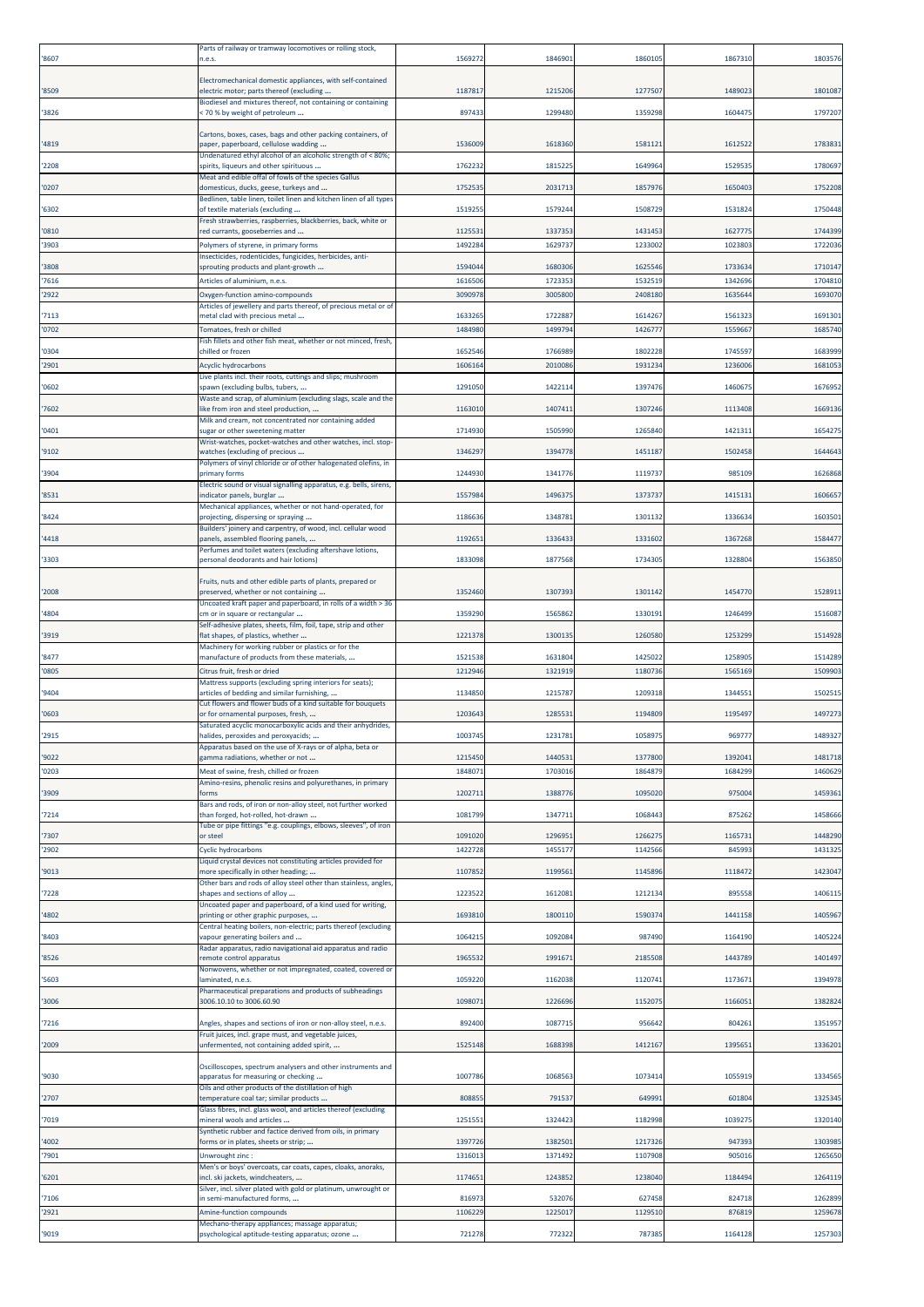| '8607          | Parts of railway or tramway locomotives or rolling stock,<br>n.e.s.                                      | 156927           | 184690             | 1860105            | 186731            | 1803576            |
|----------------|----------------------------------------------------------------------------------------------------------|------------------|--------------------|--------------------|-------------------|--------------------|
|                | Electromechanical domestic appliances, with self-contained                                               |                  |                    |                    |                   |                    |
| '8509          | electric motor; parts thereof (excluding<br>Biodiesel and mixtures thereof, not containing or containing | 118781           | 1215206            | 1277507            | 148902            | 1801087            |
| '3826          | : 70 % by weight of petroleum                                                                            | 897433           | 1299480            | 1359298            | 160447            | 179720             |
| '4819          | Cartons, boxes, cases, bags and other packing containers, of<br>paper, paperboard, cellulose wadding     | 153600           | 1618360            | 1581121            | 161252            | 178383             |
| '2208          | Undenatured ethyl alcohol of an alcoholic strength of < 80%;<br>spirits, liqueurs and other spirituous   | 176223           | 181522             | 1649964            | 152953            | 178069             |
| '0207          | Meat and edible offal of fowls of the species Gallus<br>domesticus, ducks, geese, turkeys and            | 1752535          | 2031713            | 1857976            | 165040            | 1752208            |
| '6302          | Bedlinen, table linen, toilet linen and kitchen linen of all types<br>of textile materials (excluding    | 151925           | 1579244            | 1508729            | 153182            | 1750448            |
| '0810          | Fresh strawberries, raspberries, blackberries, back, white or<br>ed currants, gooseberries and           | 1125531          | 133735             | 1431453            | 162777            | 1744399            |
| '3903          | Polymers of styrene, in primary forms                                                                    | 149228           | 162973             | 1233002            | 102380            | 172203             |
| '3808          | nsecticides, rodenticides, fungicides, herbicides, anti-<br>sprouting products and plant-growth          | 159404           | 1680306            | 1625546            | 173363            | 171014             |
| '7616<br>'2922 | Articles of aluminium, n.e.s.<br>Oxygen-function amino-compounds                                         | 161650<br>309097 | 1723353<br>3005800 | 1532519<br>2408180 | 134269<br>163564  | 1704810<br>169307  |
|                | Articles of jewellery and parts thereof, of precious metal or of                                         |                  |                    |                    |                   |                    |
| '7113<br>'0702 | metal clad with precious metal<br>Tomatoes, fresh or chilled                                             | 163326<br>148498 | 172288<br>1499794  | 1614267<br>1426777 | 156132<br>1559667 | 1691301<br>1685740 |
| '0304          | Fish fillets and other fish meat, whether or not minced, fresh,<br>chilled or frozen                     | 165254           | 1766989            | 1802228            | 174559            | 168399             |
| '2901          | <b>Acyclic hydrocarbons</b>                                                                              | 160616           | 201008             | 1931234            | 123600            | 168105             |
| '0602          | Live plants incl. their roots, cuttings and slips; mushroom<br>spawn (excluding bulbs, tubers,           | 1291050          | 142211             | 1397476            | 146067            | 167695             |
| '7602          | Waste and scrap, of aluminium (excluding slags, scale and the<br>ike from iron and steel production,     | 116301           | 1407411            | 1307246            | 111340            | 1669136            |
| '0401          | Milk and cream, not concentrated nor containing added<br>sugar or other sweetening matter                | 1714930          | 1505990            | 1265840            | 142131            | 165427             |
| '9102          | Wrist-watches, pocket-watches and other watches, incl. stop-<br>watches (excluding of precious           | 134629           | 139477             | 1451187            | 150245            | 1644643            |
|                | Polymers of vinyl chloride or of other halogenated olefins, in                                           |                  |                    |                    |                   |                    |
| '3904          | primary forms<br>Electric sound or visual signalling apparatus, e.g. bells, sirens,                      | 1244930          | 1341776            | 1119737            | 98510             | 1626868            |
| '8531          | indicator panels, burglar<br>Mechanical appliances, whether or not hand-operated, for                    | 155798           | 1496375            | 1373737            | 141513            | 160665             |
| '8424          | projecting, dispersing or spraying<br>Builders' joinery and carpentry, of wood, incl. cellular wood      | 118663           | 134878             | 1301132            | 133663            | 160350             |
| '4418          | banels, assembled flooring panels,<br>Perfumes and toilet waters (excluding aftershave lotions,          | 1192651          | 1336433            | 1331602            | 136726            | 158447             |
| '3303          | personal deodorants and hair lotions)                                                                    | 1833098          | 1877568            | 1734305            | 1328804           | 1563850            |
| '2008          | Fruits, nuts and other edible parts of plants, prepared or<br>preserved, whether or not containing       | 1352460          | 1307393            | 1301142            | 145477            | 152891:            |
| '4804          | Uncoated kraft paper and paperboard, in rolls of a width > 36<br>cm or in square or rectangular          | 135929           | 156586             | 1330191            | 124649            | 151608             |
| '3919          | Self-adhesive plates, sheets, film, foil, tape, strip and other<br>flat shapes, of plastics, whether     | 1221378          | 1300135            | 1260580            | 125329            | 1514928            |
| '8477          | Machinery for working rubber or plastics or for the<br>manufacture of products from these materials,     | 1521538          | 1631804            | 1425022            | 125890            | 1514289            |
| '0805          | Citrus fruit, fresh or dried                                                                             | 1212946          | 1321919            | 1180736            | 1565169           | 150990             |
| '9404          | Mattress supports (excluding spring interiors for seats);<br>articles of bedding and similar furnishing, | 1134850          | 1215787            | 1209318            | 134455            | 150251             |
| '0603          | Cut flowers and flower buds of a kind suitable for bouquets<br>or for ornamental purposes, fresh,        | 120364           | 128553             | 1194809            | 119549            | 149727             |
| '2915          | Saturated acyclic monocarboxylic acids and their anhydrides,<br>halides, peroxides and peroxyacids;      | 1003745          | 1231781            | 1058975            | 96977             | 1489327            |
| '9022          | Apparatus based on the use of X-rays or of alpha, beta or<br>gamma radiations, whether or not            | 1215450          | 144053             | 1377800            | 139204:           | 1481718            |
| '0203          | Meat of swine, fresh, chilled or frozen                                                                  | 184807           | 1703016            | 1864879            | 168429            | 1460629            |
| '3909          | Amino-resins, phenolic resins and polyurethanes, in primary<br>forms                                     | 120271           | 1388776            | 1095020            | 97500             | 1459361            |
| '7214          | Bars and rods, of iron or non-alloy steel, not further worked<br>than forged, hot-rolled, hot-drawn      | 108179           | 134771             | 1068443            | 87526             | 1458666            |
| '7307          | Tube or pipe fittings "e.g. couplings, elbows, sleeves", of iron<br>or steel                             | 1091020          | 1296951            | 1266275            | 116573            | 1448290            |
| '2902          | <b>Cyclic hydrocarbons</b>                                                                               | 142272           | 145517             | 1142566            | 84599             | 143132             |
| '9013          | Liquid crystal devices not constituting articles provided for<br>more specifically in other heading;     | 1107852          | 1199561            | 1145896            | 111847            | 1423047            |
| '7228          | Other bars and rods of alloy steel other than stainless, angles,<br>shapes and sections of alloy         | 122352           | 1612081            | 1212134            | 89555             | 140611             |
| '4802          | Uncoated paper and paperboard, of a kind used for writing,<br>printing or other graphic purposes,        | 169381           | 1800110            | 1590374            | 1441158           | 1405967            |
| '8403          | Central heating boilers, non-electric; parts thereof (excluding<br>vapour generating boilers and         | 106421           | 1092084            | 987490             | 1164190           | 1405224            |
| '8526          | tadar apparatus, radio navigational aid apparatus and radio<br>emote control apparatus                   | 1965532          | 1991671            | 2185508            | 1443789           | 1401497            |
| '5603          | Nonwovens, whether or not impregnated, coated, covered or<br>aminated, n.e.s.                            | 1059220          | 1162038            | 1120741            | 117367            | 1394978            |
| '3006          | Pharmaceutical preparations and products of subheadings<br>3006.10.10 to 3006.60.90                      | 109807           | 1226696            | 1152075            | 116605            | 1382824            |
| '7216          | Angles, shapes and sections of iron or non-alloy steel, n.e.s.                                           | 892400           | 1087715            | 956642             | 80426             | 1351957            |
|                | Fruit juices, incl. grape must, and vegetable juices,                                                    |                  |                    |                    |                   |                    |
| '2009          | unfermented, not containing added spirit,                                                                | 1525148          | 1688398            | 1412167            | 139565            | 133620             |
| '9030          | Oscilloscopes, spectrum analysers and other instruments and<br>apparatus for measuring or checking       | 1007786          | 1068563            | 1073414            | 1055919           | 1334565            |
| '2707          | Oils and other products of the distillation of high<br>temperature coal tar; similar products            | 80885            | 79153              | 649991             | 601804            | 132534             |
| '7019          | Glass fibres, incl. glass wool, and articles thereof (excluding<br>mineral wools and articles            | 125155           | 1324423            | 1182998            | 103927            | 1320140            |
| '4002          | Synthetic rubber and factice derived from oils, in primary<br>forms or in plates, sheets or strip;       | 1397726          | 1382501            | 1217326            | 947393            | 1303985            |
| '7901          | Unwrought zinc:                                                                                          | 131601           | 1371492            | 1107908            | 905016            | 1265650            |
| '6201          | Men's or boys' overcoats, car coats, capes, cloaks, anoraks,<br>ncl. ski jackets, windcheaters,          | 1174651          | 1243852            | 1238040            | 118449            | 1264119            |
| '7106          | Silver, incl. silver plated with gold or platinum, unwrought or<br>n semi-manufactured forms,            | 81697            | 532076             | 627458             | 824718            | 1262899            |
| '2921          | Amine-function compounds                                                                                 | 110622           | 1225017            | 1129510            | 87681             | 1259678            |
| '9019          | Mechano-therapy appliances; massage apparatus;<br>psychological aptitude-testing apparatus; ozone        | 721278           | 772322             | 787385             | 1164128           | 1257303            |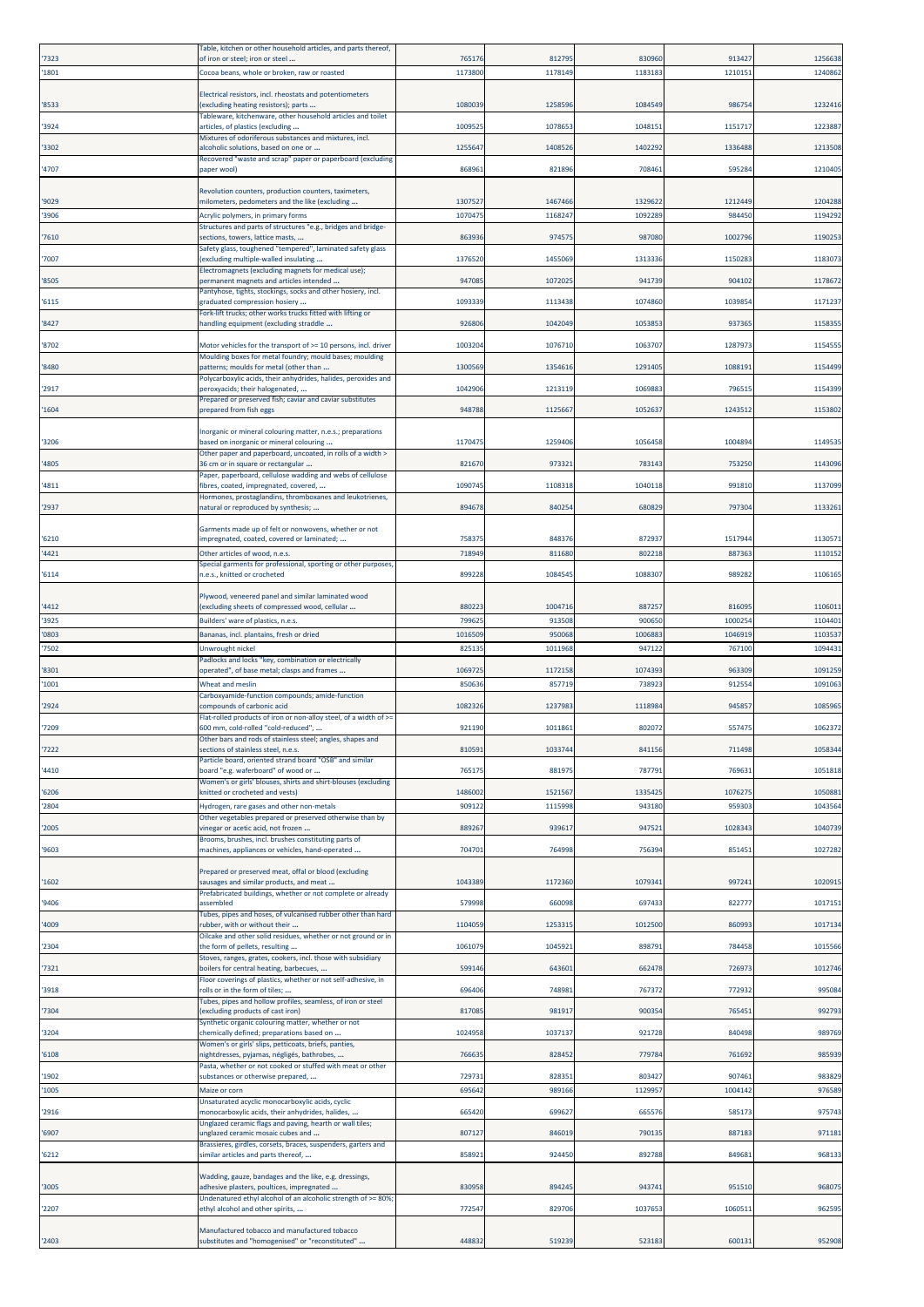| '7323 | Table, kitchen or other household articles, and parts thereof,<br>of iron or steel; iron or steel            | 765176  | 812795  | 830960  | 913427  | 1256638 |
|-------|--------------------------------------------------------------------------------------------------------------|---------|---------|---------|---------|---------|
| '1801 | Cocoa beans, whole or broken, raw or roasted                                                                 | 1173800 | 1178149 | 1183183 | 121015: | 1240862 |
|       |                                                                                                              |         |         |         |         |         |
| '8533 | Electrical resistors, incl. rheostats and potentiometers<br>excluding heating resistors); parts              | 108003  | 1258596 | 1084549 | 98675   | 1232416 |
|       | Tableware, kitchenware, other household articles and toilet                                                  |         |         |         |         |         |
| '3924 | articles, of plastics (excluding<br>Mixtures of odoriferous substances and mixtures, incl.                   | 100952  | 107865  | 1048151 | 115171  | 122388  |
| '3302 | alcoholic solutions, based on one or                                                                         | 125564  | 140852  | 1402292 | 1336488 | 1213508 |
| '4707 | Recovered "waste and scrap" paper or paperboard (excluding<br>paper wool)                                    | 868961  | 821896  | 708461  | 595284  | 121040  |
|       |                                                                                                              |         |         |         |         |         |
| '9029 | Revolution counters, production counters, taximeters,<br>milometers, pedometers and the like (excluding      | 130752  | 1467466 | 1329622 | 1212449 | 1204288 |
| '3906 | Acrylic polymers, in primary forms                                                                           | 107047  | 116824  | 109228  | 98445   | 119429  |
| '7610 | Structures and parts of structures "e.g., bridges and bridge-<br>sections, towers, lattice masts,            | 86393   | 97457   | 987080  | 100279  | 119025  |
|       | Safety glass, toughened "tempered", laminated safety glass                                                   |         |         |         |         |         |
| '7007 | excluding multiple-walled insulating<br>Electromagnets (excluding magnets for medical use);                  | 137652  | 1455069 | 1313336 | 115028  | 118307  |
| '8505 | permanent magnets and articles intended                                                                      | 94708   | 1072025 | 941739  | 90410   | 117867  |
| '6115 | Pantyhose, tights, stockings, socks and other hosiery, incl.<br>graduated compression hosiery                | 109333  | 1113438 | 1074860 | 103985  | 117123  |
|       | ork-lift trucks; other works trucks fitted with lifting or                                                   |         |         |         |         |         |
| '8427 | andling equipment (excluding straddle                                                                        | 92680   | 1042049 | 1053853 | 93736   | 115835  |
| '8702 | Motor vehicles for the transport of >= 10 persons, incl. driver                                              | 100320  | 1076710 | 1063707 | 128797  | 115455  |
| '8480 | Moulding boxes for metal foundry; mould bases; moulding<br>patterns; moulds for metal (other than            | 130056  | 135461  | 1291405 | 108819  | 1154499 |
|       | Polycarboxylic acids, their anhydrides, halides, peroxides and                                               |         |         |         |         |         |
| '2917 | peroxyacids; their halogenated,<br>Prepared or preserved fish; caviar and caviar substitutes                 | 104290  | 1213119 | 106988  | 79651   | 1154399 |
| '1604 | prepared from fish eggs                                                                                      | 948788  | 1125667 | 1052637 | 1243512 | 1153802 |
|       | Inorganic or mineral colouring matter, n.e.s.; preparations                                                  |         |         |         |         |         |
| '3206 | based on inorganic or mineral colouring                                                                      | 1170475 | 1259406 | 1056458 | 1004894 | 114953  |
| '4805 | Other paper and paperboard, uncoated, in rolls of a width ><br>36 cm or in square or rectangular             | 82167   | 973321  | 783143  | 75325   | 1143096 |
|       | Paper, paperboard, cellulose wadding and webs of cellulose                                                   |         |         |         |         |         |
| '4811 | fibres, coated, impregnated, covered,<br>Hormones, prostaglandins, thromboxanes and leukotrienes,            | 1090745 | 1108318 | 1040118 | 991810  | 113709  |
| '2937 | natural or reproduced by synthesis;                                                                          | 89467   | 84025   | 680829  | 79730   | 113326: |
|       | Garments made up of felt or nonwovens, whether or not                                                        |         |         |         |         |         |
| '6210 | impregnated, coated, covered or laminated;                                                                   | 75837   | 848376  | 872937  | 151794  | 113057  |
| '4421 | Other articles of wood, n.e.s.<br>Special garments for professional, sporting or other purposes,             | 71894   | 811680  | 802218  | 887363  | 111015  |
| '6114 | i.e.s., knitted or crocheted                                                                                 | 89922   | 108454  | 1088307 | 98928   | 110616  |
|       | Plywood, veneered panel and similar laminated wood                                                           |         |         |         |         |         |
| '4412 | excluding sheets of compressed wood, cellular                                                                | 88022   | 1004716 | 88725   | 81609   | 110601: |
| '3925 | Builders' ware of plastics, n.e.s.                                                                           | 79962   | 913508  | 900650  | 100025  | 110440: |
| '0803 | Bananas, incl. plantains, fresh or dried                                                                     | 101650  | 950068  | 1006883 | 104691  | 110353  |
| '7502 | Jnwrought nickel<br>Padlocks and locks "key, combination or electrically                                     | 82513   | 1011968 | 947122  | 76710   | 109443  |
| '8301 | operated", of base metal; clasps and frames                                                                  | 1069725 | 1172158 | 1074393 | 963309  | 109125  |
| '1001 | Wheat and meslin<br>Carboxyamide-function compounds; amide-function                                          | 85063   | 857719  | 738923  | 91255   | 109106  |
| '2924 | compounds of carbonic acid                                                                                   | 108232  | 123798  | 1118984 | 94585   | 108596  |
| '7209 | Flat-rolled products of iron or non-alloy steel, of a width of >=<br>600 mm, cold-rolled "cold-reduced",     | 921190  | 1011861 | 802072  | 55747   | 1062372 |
|       | Other bars and rods of stainless steel; angles, shapes and                                                   |         |         |         |         |         |
| '7222 | sections of stainless steel, n.e.s.<br>Particle board, oriented strand board "OSB" and similar               | 810591  | 1033744 | 841156  | 711498  | 1058344 |
| '4410 | board "e.g. waferboard" of wood or                                                                           | 76517   | 881975  | 787791  | 76963   | 1051818 |
| '6206 | Women's or girls' blouses, shirts and shirt-blouses (excluding<br>knitted or crocheted and vests)            | 1486002 | 152156  | 1335425 | 107627  | 105088  |
| '2804 | Hydrogen, rare gases and other non-metals                                                                    | 90912   | 1115998 | 943180  | 95930   | 104356  |
| '2005 | Other vegetables prepared or preserved otherwise than by<br>vinegar or acetic acid, not frozen               | 88926   | 93961   | 947521  | 1028343 | 104073  |
|       | Brooms, brushes, incl. brushes constituting parts of                                                         |         |         |         |         |         |
| '9603 | machines, appliances or vehicles, hand-operated                                                              | 704701  | 764998  | 756394  | 85145   | 1027282 |
|       | Prepared or preserved meat, offal or blood (excluding                                                        |         |         |         |         |         |
| '1602 | ausages and similar products, and meat<br>Prefabricated buildings, whether or not complete or already        | 104338  | 1172360 | 1079341 | 99724:  | 102091  |
| '9406 | assembled                                                                                                    | 579998  | 660098  | 697433  | 822777  | 101715: |
| '4009 | Tubes, pipes and hoses, of vulcanised rubber other than hard<br>ubber, with or without their                 | 110405  | 1253315 | 1012500 | 86099   | 1017134 |
|       | Oilcake and other solid residues, whether or not ground or in                                                |         |         |         |         |         |
| '2304 | the form of pellets, resulting<br>Stoves, ranges, grates, cookers, incl. those with subsidiary               | 106107  | 104592  | 898791  | 78445   | 1015566 |
| '7321 | boilers for central heating, barbecues,                                                                      | 599146  | 643601  | 662478  | 72697   | 1012746 |
| '3918 | Floor coverings of plastics, whether or not self-adhesive, in<br>olls or in the form of tiles;               | 696406  | 748981  | 767372  | 77293   | 995084  |
|       | Tubes, pipes and hollow profiles, seamless, of iron or steel                                                 | 81708   | 981917  | 900354  | 76545   | 99279   |
| '7304 | excluding products of cast iron)<br>Synthetic organic colouring matter, whether or not                       |         |         |         |         |         |
| '3204 | chemically defined; preparations based on                                                                    | 1024958 | 103713  | 921728  | 840498  | 989769  |
| '6108 | Women's or girls' slips, petticoats, briefs, panties,<br>nightdresses, pyjamas, négligés, bathrobes,         | 766635  | 828452  | 779784  | 761692  | 985939  |
| '1902 | Pasta, whether or not cooked or stuffed with meat or other<br>substances or otherwise prepared,              | 72973   | 828351  | 803427  | 90746   | 98382   |
| '1005 | Maize or corn                                                                                                | 69564   | 989166  | 1129957 | 100414  | 976589  |
|       | Unsaturated acyclic monocarboxylic acids, cyclic                                                             |         |         |         |         |         |
| '2916 | nonocarboxylic acids, their anhydrides, halides,<br>Unglazed ceramic flags and paving, hearth or wall tiles; | 66542   | 69962   | 665576  | 58517   | 97574   |
| '6907 | inglazed ceramic mosaic cubes and                                                                            | 80712   | 846019  | 790135  | 88718   | 971181  |
| '6212 | Brassieres, girdles, corsets, braces, suspenders, garters and<br>similar articles and parts thereof,         | 85892   | 924450  | 892788  | 84968   | 968133  |
|       |                                                                                                              |         |         |         |         |         |
| '3005 | Wadding, gauze, bandages and the like, e.g. dressings,<br>adhesive plasters, poultices, impregnated          | 830958  | 894245  | 943741  | 951510  | 968075  |
| '2207 | Jndenatured ethyl alcohol of an alcoholic strength of >= 80%;<br>ethyl alcohol and other spirits,            | 77254   | 829706  | 1037653 | 106051: | 96259   |
|       |                                                                                                              |         |         |         |         |         |
| '2403 | Manufactured tobacco and manufactured tobacco<br>substitutes and "homogenised" or "reconstituted"            | 448832  | 519239  | 523183  | 600131  | 952908  |
|       |                                                                                                              |         |         |         |         |         |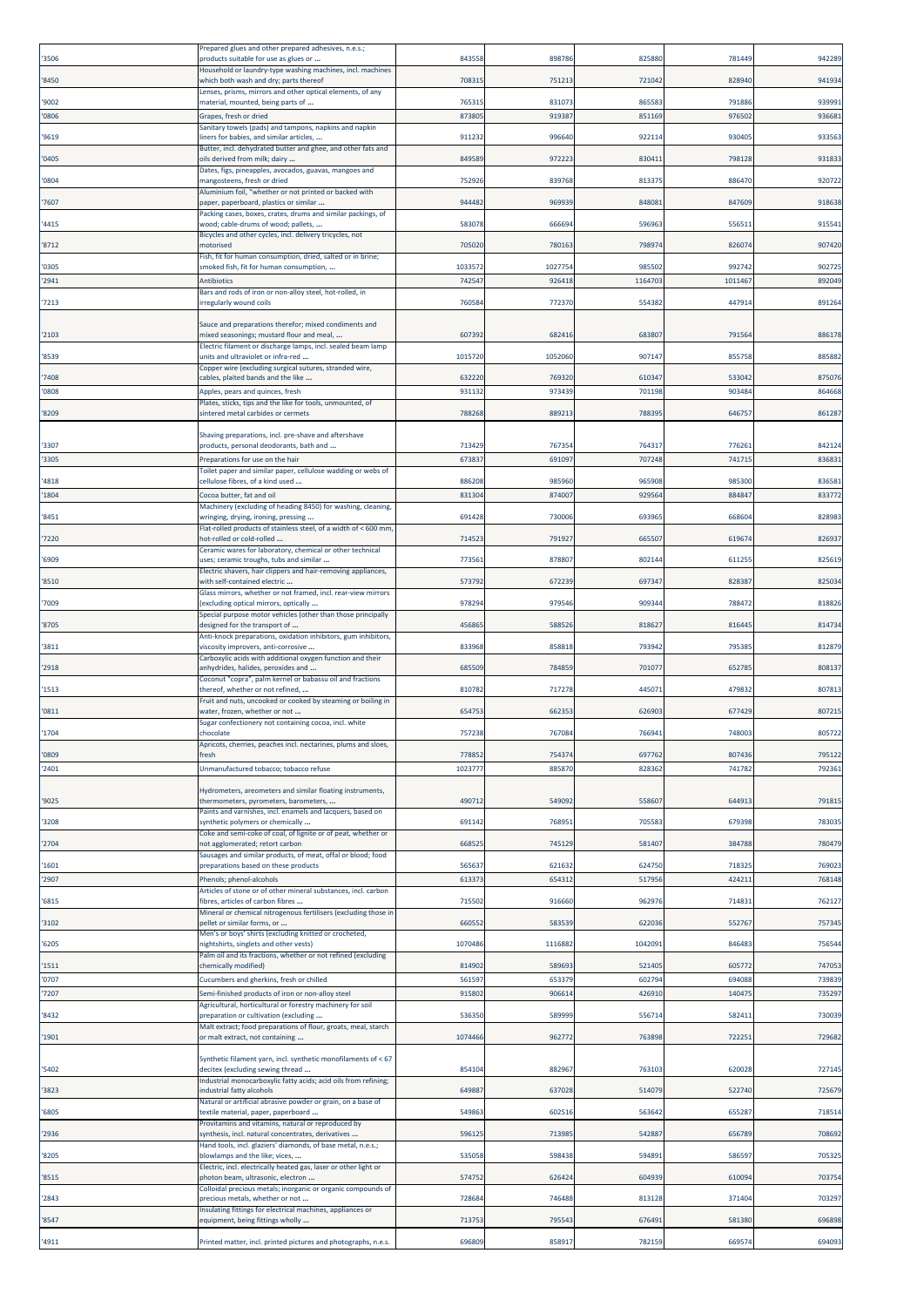| '3506          | Prepared glues and other prepared adhesives, n.e.s.;<br>oroducts suitable for use as glues or                     | 84355          | 898786           | 82588            | 78144            | 942289           |
|----------------|-------------------------------------------------------------------------------------------------------------------|----------------|------------------|------------------|------------------|------------------|
| '8450          | Household or laundry-type washing machines, incl. machines<br>which both wash and dry; parts thereof              | 70831          | 75121            | 721042           | 828940           | 941934           |
|                | enses, prisms, mirrors and other optical elements, of any                                                         | 76531          | 831073           | 865583           | 791886           | 939991           |
| '9002<br>'0806 | material, mounted, being parts of<br>Grapes, fresh or dried                                                       | 873805         | 919387           | 851169           | 976502           | 936681           |
| '9619          | Sanitary towels (pads) and tampons, napkins and napkin<br>iners for babies, and similar articles,                 | 911232         | 996640           | 922114           | 93040            | 93356            |
|                | Butter, incl. dehydrated butter and ghee, and other fats and                                                      |                |                  |                  |                  |                  |
| '0405          | oils derived from milk; dairy<br>Dates, figs, pineapples, avocados, guavas, mangoes and                           | 84958          | 972223           | 830411           | 79812            | 931833           |
| '0804          | mangosteens, fresh or dried<br>Aluminium foil, "whether or not printed or backed with                             | 75292          | 839768           | 813375           | 886470           | 920722           |
| '7607          | paper, paperboard, plastics or similar<br>Packing cases, boxes, crates, drums and similar packings, of            | 94448          | 969939           | 848081           | 847609           | 918638           |
| '4415          | wood; cable-drums of wood; pallets,                                                                               | 58307          | 666694           | 596963           | 55651            | 91554            |
| '8712          | Bicycles and other cycles, incl. delivery tricycles, not<br>notorised                                             | 70502          | 780163           | 798974           | 82607            | 907420           |
| '0305          | Fish, fit for human consumption, dried, salted or in brine;<br>smoked fish, fit for human consumption,            | 103357         | 1027754          | 985502           | 992742           | 90272            |
| '2941          | Antibiotics                                                                                                       | 74254          | 926418           | 1164703          | 101146           | 892049           |
| '7213          | Bars and rods of iron or non-alloy steel, hot-rolled, in<br>rregularly wound coils                                | 76058          | 772370           | 554382           | 44791            | 89126            |
| '2103          | Sauce and preparations therefor; mixed condiments and<br>mixed seasonings; mustard flour and meal,                | 60739          | 682416           | 683807           | 79156            | 886178           |
|                | Electric filament or discharge lamps, incl. sealed beam lamp                                                      |                |                  |                  |                  |                  |
| '8539          | units and ultraviolet or infra-red<br>Copper wire (excluding surgical sutures, stranded wire,                     | 1015720        | 1052060          | 907147           | 85575            | 88588            |
| '7408<br>'0808 | cables, plaited bands and the like<br>Apples, pears and quinces, fresh                                            | 63222<br>93113 | 769320<br>973439 | 610347<br>701198 | 533042<br>903484 | 875076<br>864668 |
|                | Plates, sticks, tips and the like for tools, unmounted, of                                                        |                |                  |                  |                  |                  |
| '8209          | sintered metal carbides or cermets                                                                                | 788268         | 889213           | 788395           | 646757           | 86128            |
| '3307          | Shaving preparations, incl. pre-shave and aftershave<br>products, personal deodorants, bath and                   | 71342          | 767354           | 764317           | 77626            | 842124           |
| '3305          | Preparations for use on the hair<br>Toilet paper and similar paper, cellulose wadding or webs of                  | 673837         | 691097           | 707248           | 74171            | 836831           |
| '4818          | cellulose fibres, of a kind used                                                                                  | 88620          | 985960           | 965908           | 985300           | 83658            |
| '1804          | Cocoa butter, fat and oil<br>Machinery (excluding of heading 8450) for washing, cleaning,                         | 83130          | 87400            | 929564           | 884847           | 83377            |
| '8451          | wringing, drying, ironing, pressing<br>Flat-rolled products of stainless steel, of a width of < 600 mm,           | 69142          | 73000            | 693965           | 66860            | 82898            |
| '7220          | not-rolled or cold-rolled<br>Ceramic wares for laboratory, chemical or other technical                            | 71452          | 79192            | 665507           | 61967            | 82693            |
| '6909          | uses; ceramic troughs, tubs and similar                                                                           | 77356          | 878807           | 802144           | 61125            | 82561            |
| '8510          | Electric shavers, hair clippers and hair-removing appliances,<br>with self-contained electric                     | 573792         | 672239           | 697347           | 828387           | 825034           |
| '7009          | Glass mirrors, whether or not framed, incl. rear-view mirrors<br>excluding optical mirrors, optically             | 97829          | 979546           | 909344           | 78847            | 818826           |
| '8705          | Special purpose motor vehicles (other than those principally<br>designed for the transport of                     | 456865         | 588526           | 818627           | 81644            | 814734           |
| '3811          | Anti-knock preparations, oxidation inhibitors, gum inhibitors,<br>viscosity improvers, anti-corrosive             | 833968         | 858818           | 793942           | 79538            | 812879           |
| '2918          | Carboxylic acids with additional oxygen function and their<br>anhydrides, halides, peroxides and                  | 68550          | 784859           | 701077           | 65278            | 808137           |
| '1513          | Coconut "copra", palm kernel or babassu oil and fractions<br>thereof, whether or not refined,                     | 810782         | 717278           | 445071           | 47983            | 80781            |
|                | Fruit and nuts, uncooked or cooked by steaming or boiling in                                                      |                |                  |                  |                  |                  |
| '0811          | water, frozen, whether or not<br>Sugar confectionery not containing cocoa, incl. white                            | 654753         | 662353           | 626903           | 677429           | 80721            |
| '1704          | chocolate<br>Apricots, cherries, peaches incl. nectarines, plums and sloes                                        | 757238         | 767084           | 766941           | 74800            | 805722           |
| '0809          | fresh                                                                                                             | 778852         | 754374           | 697762           | 807436           | 795122           |
| '2401          | Unmanufactured tobacco; tobacco refuse                                                                            | 102377         | 885870           | 828362           | 741782           | 792361           |
| '9025          | Hydrometers, areometers and similar floating instruments,<br>thermometers, pyrometers, barometers,                | 490712         | 549092           | 558607           | 64491            | 791815           |
| '3208          | Paints and varnishes, incl. enamels and lacquers, based on<br>synthetic polymers or chemically                    | 691142         | 768951           | 705583           | 67939            | 783035           |
| '2704          | Coke and semi-coke of coal, of lignite or of peat, whether or<br>not agglomerated; retort carbon                  | 66852          | 745129           | 581407           | 384788           | 780479           |
| '1601          | Sausages and similar products, of meat, offal or blood; food<br>preparations based on these products              | 565637         | 621632           | 624750           | 71832            | 769023           |
| '2907          | Phenols; phenol-alcohols                                                                                          | 613373         | 654312           | 517956           | 42421:           | 768148           |
| '6815          | Articles of stone or of other mineral substances, incl. carbon<br>fibres, articles of carbon fibres               | 71550          | 916660           | 962976           | 71483            | 762127           |
| '3102          | Mineral or chemical nitrogenous fertilisers (excluding those in<br>pellet or similar forms, or                    | 660552         | 583539           | 622036           | 552767           | 75734            |
| '6205          | Men's or boys' shirts (excluding knitted or crocheted,<br>nightshirts, singlets and other vests)                  | 1070486        | 1116882          | 1042091          | 846483           | 756544           |
| '1511          | Palm oil and its fractions, whether or not refined (excluding<br>chemically modified)                             | 814902         | 589693           | 521405           | 605772           | 747053           |
| '0707          | Cucumbers and gherkins, fresh or chilled                                                                          | 56159          | 653379           | 602794           | 69408            | 739839           |
| '7207          | Semi-finished products of iron or non-alloy steel<br>Agricultural, horticultural or forestry machinery for soil   | 91580          | 906614           | 42691            | 14047            | 735297           |
| '8432          | preparation or cultivation (excluding<br>Malt extract; food preparations of flour, groats, meal, starch           | 53635          | 589999           | 556714           | 58241            | 73003            |
| '1901          | or malt extract, not containing                                                                                   | 1074466        | 962772           | 763898           | 72225:           | 729682           |
| '5402          | Synthetic filament yarn, incl. synthetic monofilaments of < 67<br>decitex (excluding sewing thread                | 85410          | 882967           | 763103           | 620028           | 727145           |
| '3823          | Industrial monocarboxylic fatty acids; acid oils from refining;<br>ndustrial fatty alcohols                       | 649887         | 637028           | 514079           | 522740           | 725679           |
| '6805          | Vatural or artificial abrasive powder or grain, on a base of<br>textile material, paper, paperboard               | 549863         | 602516           | 563642           | 655287           | 718514           |
|                | Provitamins and vitamins, natural or reproduced by                                                                |                |                  |                  |                  |                  |
| '2936          | ynthesis, incl. natural concentrates, derivatives<br>Hand tools, incl. glaziers' diamonds, of base metal, n.e.s.; | 59612          | 713985           | 542887           | 656789           | 708692           |
| '8205          | blowlamps and the like; vices,<br>Electric, incl. electrically heated gas, laser or other light or                | 535058         | 598438           | 594891           | 586597           | 70532            |
| '8515          | ohoton beam, ultrasonic, electron<br>Colloidal precious metals; inorganic or organic compounds of                 | 574752         | 626424           | 604939           | 61009            | 703754           |
| '2843          | precious metals, whether or not<br>Insulating fittings for electrical machines, appliances or                     | 72868          | 746488           | 813128           | 371404           | 703297           |
| '8547          | equipment, being fittings wholly                                                                                  | 713753         | 795543           | 676491           | 581380           | 696898           |
| '4911          | Printed matter, incl. printed pictures and photographs, n.e.s.                                                    | 696809         | 858917           | 782159           | 669574           | 694093           |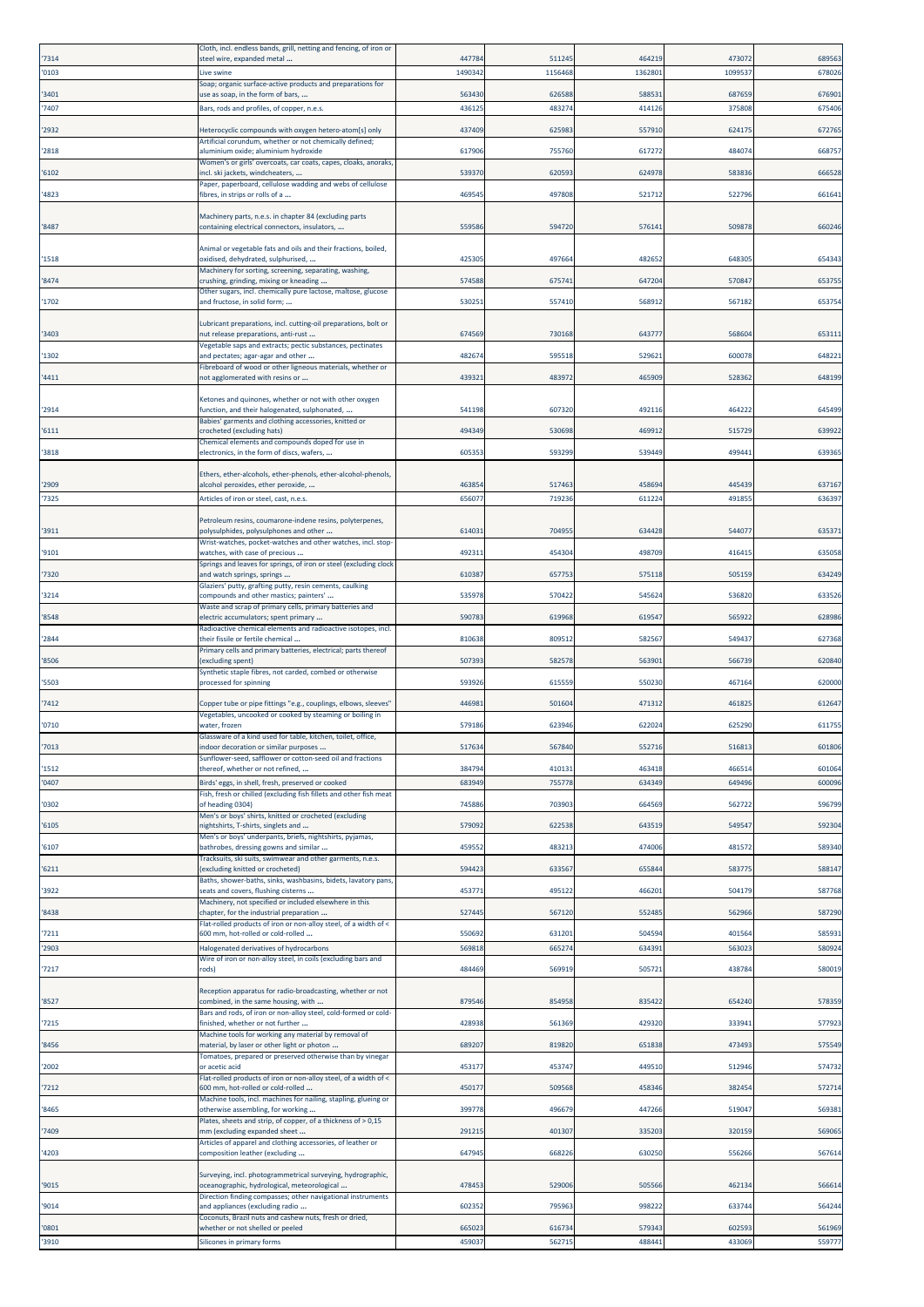| '7314 | Cloth, incl. endless bands, grill, netting and fencing, of iron or<br>steel wire, expanded metal                        | 44778  | 511245  | 464219  | 473072  | 689563 |
|-------|-------------------------------------------------------------------------------------------------------------------------|--------|---------|---------|---------|--------|
| '0103 | Live swine                                                                                                              | 149034 | 1156468 | 1362801 | 1099537 | 678026 |
| '3401 | Soap; organic surface-active products and preparations for<br>use as soap, in the form of bars,                         | 563430 | 626588  | 588531  | 687659  | 676901 |
| '7407 | Bars, rods and profiles, of copper, n.e.s.                                                                              | 43612  | 483274  | 414126  | 375808  | 675406 |
| '2932 | Heterocyclic compounds with oxygen hetero-atom[s] only                                                                  | 437409 | 625983  | 557910  | 62417   | 672765 |
|       | Artificial corundum, whether or not chemically defined;                                                                 |        |         |         |         |        |
| '2818 | aluminium oxide; aluminium hydroxide<br>Women's or girls' overcoats, car coats, capes, cloaks, anoraks                  | 61790  | 755760  | 617272  | 48407   | 668757 |
| '6102 | ncl. ski jackets, windcheaters,<br>Paper, paperboard, cellulose wadding and webs of cellulose                           | 53937  | 620593  | 624978  | 583836  | 666528 |
| '4823 | fibres, in strips or rolls of a                                                                                         | 46954  | 497808  | 521712  | 522796  | 661641 |
|       | Machinery parts, n.e.s. in chapter 84 (excluding parts                                                                  |        |         |         |         |        |
| '8487 | containing electrical connectors, insulators,                                                                           | 559586 | 594720  | 576141  | 509878  | 660246 |
|       | Animal or vegetable fats and oils and their fractions, boiled,                                                          |        |         |         |         |        |
| '1518 | oxidised, dehydrated, sulphurised,<br>Machinery for sorting, screening, separating, washing,                            | 42530  | 497664  | 482652  | 64830   | 65434  |
| '8474 | crushing, grinding, mixing or kneading<br>Other sugars, incl. chemically pure lactose, maltose, glucose                 | 574588 | 675741  | 647204  | 570847  | 653755 |
| '1702 | and fructose, in solid form;                                                                                            | 53025  | 557410  | 568912  | 567182  | 65375  |
|       | Lubricant preparations, incl. cutting-oil preparations, bolt or                                                         |        |         |         |         |        |
| '3403 | nut release preparations, anti-rust<br>/egetable saps and extracts; pectic substances, pectinates                       | 674569 | 730168  | 643777  | 568604  | 653111 |
| '1302 | and pectates; agar-agar and other                                                                                       | 48267  | 595518  | 529621  | 600078  | 648221 |
| '4411 | Fibreboard of wood or other ligneous materials, whether or<br>not agglomerated with resins or                           | 43932  | 483972  | 465909  | 528362  | 648199 |
|       | Ketones and quinones, whether or not with other oxygen                                                                  |        |         |         |         |        |
| '2914 | function, and their halogenated, sulphonated,                                                                           | 541198 | 607320  | 492116  | 464222  | 645499 |
| '6111 | Babies' garments and clothing accessories, knitted or<br>crocheted (excluding hats)                                     | 494349 | 530698  | 469912  | 515729  | 639922 |
| '3818 | Chemical elements and compounds doped for use in<br>electronics, in the form of discs, wafers,                          | 605353 | 593299  | 539449  | 499441  | 639365 |
|       |                                                                                                                         |        |         |         |         |        |
| '2909 | Ethers, ether-alcohols, ether-phenols, ether-alcohol-phenols,<br>alcohol peroxides, ether peroxide,                     | 46385  | 517463  | 458694  | 445439  | 637167 |
| '7325 | Articles of iron or steel, cast, n.e.s.                                                                                 | 65607  | 719236  | 611224  | 49185   | 636397 |
|       | Petroleum resins, coumarone-indene resins, polyterpenes,                                                                |        |         |         |         |        |
| '3911 | polysulphides, polysulphones and other<br>Wrist-watches, pocket-watches and other watches, incl. stop-                  | 61403  | 70495   | 634428  | 54407   | 635371 |
| '9101 | watches, with case of precious                                                                                          | 49231  | 454304  | 498709  | 41641   | 635058 |
| '7320 | Springs and leaves for springs, of iron or steel (excluding clock<br>and watch springs, springs                         | 61038  | 657753  | 575118  | 505159  | 634249 |
| '3214 | Glaziers' putty, grafting putty, resin cements, caulking<br>compounds and other mastics; painters'                      | 535978 | 570422  | 545624  | 536820  | 633526 |
|       | Waste and scrap of primary cells, primary batteries and                                                                 |        |         |         |         |        |
| '8548 | electric accumulators; spent primary<br>Radioactive chemical elements and radioactive isotopes, incl.                   | 59078  | 619968  | 619547  | 565922  | 628986 |
| '2844 | heir fissile or fertile chemical<br>Primary cells and primary batteries, electrical; parts thereof                      | 810638 | 809512  | 582567  | 54943   | 627368 |
| '8506 | excluding spent)                                                                                                        | 50739  | 582578  | 563901  | 566739  | 620840 |
| '5503 | Synthetic staple fibres, not carded, combed or otherwise<br>processed for spinning                                      | 59392  | 61555   | 550230  | 467164  | 620000 |
| '7412 | Copper tube or pipe fittings "e.g., couplings, elbows, sleeves"                                                         | 44698  | 501604  | 471312  | 461825  | 612647 |
|       | Vegetables, uncooked or cooked by steaming or boiling in                                                                |        |         |         |         |        |
| '0710 | water, frozen<br>Glassware of a kind used for table, kitchen, toilet, office,                                           | 579186 | 623946  | 622024  | 625290  | 611755 |
| '7013 | ndoor decoration or similar purposes<br>Sunflower-seed, safflower or cotton-seed oil and fractions                      | 517634 | 567840  | 552716  | 51681   | 601806 |
| '1512 | thereof, whether or not refined,                                                                                        | 38479  | 410131  | 463418  | 466514  | 601064 |
| '0407 | Birds' eggs, in shell, fresh, preserved or cooked<br>Fish, fresh or chilled (excluding fish fillets and other fish meat | 68394  | 755778  | 634349  | 649496  | 600096 |
| '0302 | of heading 0304)<br>Men's or boys' shirts, knitted or crocheted (excluding                                              | 745886 | 703903  | 664569  | 562722  | 596799 |
| '6105 | nightshirts, T-shirts, singlets and                                                                                     | 57909  | 622538  | 643519  | 549547  | 592304 |
| '6107 | Men's or boys' underpants, briefs, nightshirts, pyjamas,<br>bathrobes, dressing gowns and similar                       | 45955  | 483213  | 474006  | 481572  | 589340 |
| '6211 | Tracksuits, ski suits, swimwear and other garments, n.e.s.<br>(excluding knitted or crocheted)                          | 59442  | 633567  | 655844  | 58377   | 588147 |
|       | Baths, shower-baths, sinks, washbasins, bidets, lavatory pans,                                                          |        |         |         |         |        |
| '3922 | seats and covers, flushing cisterns<br>Machinery, not specified or included elsewhere in this                           | 45377  | 495122  | 466201  | 504179  | 587768 |
| '8438 | chapter, for the industrial preparation<br>Flat-rolled products of iron or non-alloy steel, of a width of <             | 52744  | 567120  | 552485  | 562966  | 587290 |
| '7211 | 600 mm, hot-rolled or cold-rolled                                                                                       | 550692 | 631201  | 504594  | 401564  | 585931 |
| '2903 | Halogenated derivatives of hydrocarbons<br>Wire of iron or non-alloy steel, in coils (excluding bars and                | 56981  | 66527   | 634391  | 56302   | 580924 |
| '7217 | rods)                                                                                                                   | 484469 | 569919  | 505721  | 438784  | 580019 |
|       | Reception apparatus for radio-broadcasting, whether or not                                                              |        |         |         |         |        |
| '8527 | combined, in the same housing, with<br>Bars and rods, of iron or non-alloy steel, cold-formed or cold-                  | 879546 | 854958  | 835422  | 654240  | 578359 |
| '7215 | finished, whether or not further                                                                                        | 428938 | 561369  | 429320  | 333941  | 577923 |
| '8456 | Machine tools for working any material by removal of<br>material, by laser or other light or photon                     | 689207 | 819820  | 651838  | 473493  | 575549 |
| '2002 | Tomatoes, prepared or preserved otherwise than by vinegar<br>or acetic acid                                             | 45317  | 453747  | 449510  | 512946  | 574732 |
|       | Flat-rolled products of iron or non-alloy steel, of a width of <                                                        |        |         |         |         |        |
| '7212 | 600 mm, hot-rolled or cold-rolled<br>Machine tools, incl. machines for nailing, stapling, glueing or                    | 450177 | 509568  | 458346  | 382454  | 572714 |
| '8465 | otherwise assembling, for working<br>Plates, sheets and strip, of copper, of a thickness of > 0,15                      | 39977  | 496679  | 447266  | 519047  | 569381 |
| '7409 | nm (excluding expanded sheet                                                                                            | 29121  | 401307  | 335203  | 320159  | 569065 |
| '4203 | Articles of apparel and clothing accessories, of leather or<br>composition leather (excluding                           | 647945 | 668226  | 630250  | 556266  | 567614 |
|       | Surveying, incl. photogrammetrical surveying, hydrographic,                                                             |        |         |         |         |        |
| '9015 | oceanographic, hydrological, meteorological                                                                             | 47845  | 529006  | 505566  | 462134  | 566614 |
| '9014 | Direction finding compasses; other navigational instruments<br>and appliances (excluding radio                          | 602352 | 795963  | 998222  | 63374   | 564244 |
| '0801 | Coconuts, Brazil nuts and cashew nuts, fresh or dried,<br>whether or not shelled or peeled                              | 665023 | 616734  | 579343  | 602593  | 561969 |
| '3910 | Silicones in primary forms                                                                                              | 459037 | 562715  | 488441  | 433069  | 559777 |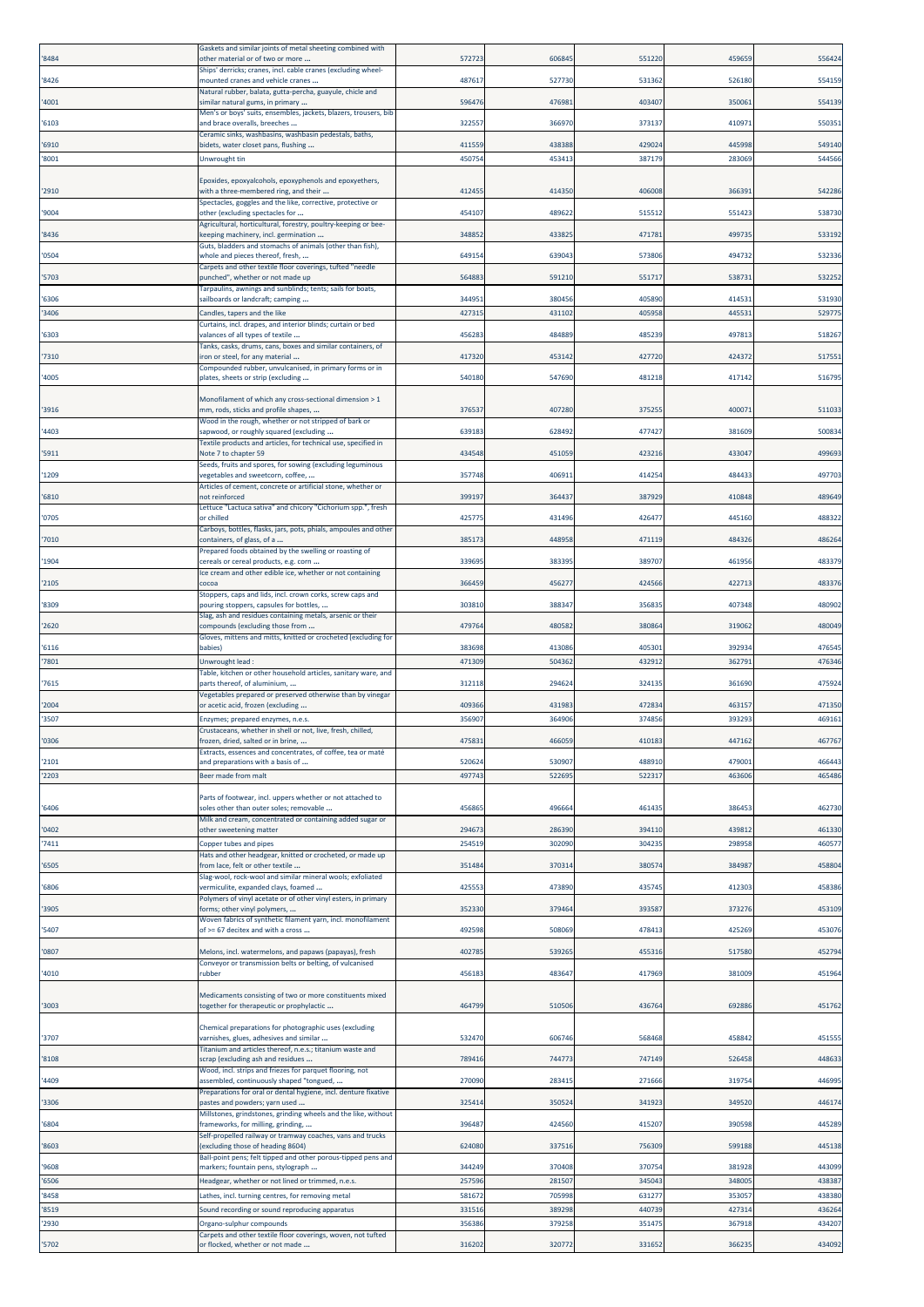| '8484          | Gaskets and similar joints of metal sheeting combined with<br>other material or of two or more                              | 57272            | 606845           | 551220           | 459659           | 556424           |
|----------------|-----------------------------------------------------------------------------------------------------------------------------|------------------|------------------|------------------|------------------|------------------|
| '8426          | Ships' derricks; cranes, incl. cable cranes (excluding wheel-<br>mounted cranes and vehicle cranes                          | 48761            | 527730           | 531362           | 526180           | 554159           |
| '4001          | Natural rubber, balata, gutta-percha, guayule, chicle and<br>similar natural gums, in primary                               | 59647            | 476981           | 403407           | 35006            | 554139           |
|                | Men's or boys' suits, ensembles, jackets, blazers, trousers, bib                                                            |                  |                  |                  |                  |                  |
| '6103          | and brace overalls, breeches<br>Ceramic sinks, washbasins, washbasin pedestals, baths,                                      | 322557           | 36697            | 373137           | 41097            | 55035            |
| '6910<br>'8001 | bidets, water closet pans, flushing<br><b>Unwrought tin</b>                                                                 | 41155<br>45075   | 438388<br>453413 | 429024<br>387179 | 445998<br>283069 | 549140<br>544566 |
|                |                                                                                                                             |                  |                  |                  |                  |                  |
| '2910          | Epoxides, epoxyalcohols, epoxyphenols and epoxyethers,<br>with a three-membered ring, and their                             | 412455           | 414350           | 406008           | 36639:           | 542286           |
| '9004          | pectacles, goggles and the like, corrective, protective or<br>other (excluding spectacles for                               | 45410            | 489622           | 515512           | 55142            | 538730           |
| '8436          | Agricultural, horticultural, forestry, poultry-keeping or bee-<br>keeping machinery, incl. germination                      | 34885            | 433825           | 471781           | 49973            | 533192           |
| '0504          | Guts, bladders and stomachs of animals (other than fish),<br>whole and pieces thereof, fresh,                               | 64915            | 639043           | 573806           | 494732           | 53233            |
|                | Carpets and other textile floor coverings, tufted "needle                                                                   |                  |                  |                  |                  |                  |
| '5703          | punched", whether or not made up<br>Tarpaulins, awnings and sunblinds; tents; sails for boats,                              | 56488            | 591210           | 551717           | 53873:           | 532252           |
| '6306<br>'3406 | sailboards or landcraft; camping<br>Candles, tapers and the like                                                            | 34495<br>42731   | 380456<br>43110  | 405890<br>405958 | 41453<br>44553   | 531930<br>52977  |
|                | Curtains, incl. drapes, and interior blinds; curtain or bed                                                                 |                  |                  |                  |                  |                  |
| '6303          | valances of all types of textile<br>Tanks, casks, drums, cans, boxes and similar containers, of                             | 45628            | 484889           | 485239           | 49781            | 518267           |
| 7310           | ron or steel, for any material<br>Compounded rubber, unvulcanised, in primary forms or in                                   | 417320           | 453142           | 427720           | 424372           | 517551           |
| '4005          | plates, sheets or strip (excluding                                                                                          | 540180           | 547690           | 481218           | 417142           | 516795           |
| '3916          | Monofilament of which any cross-sectional dimension > 1<br>mm, rods, sticks and profile shapes,                             | 37653            | 407280           | 375255           | 40007            | 51103            |
|                | Wood in the rough, whether or not stripped of bark or                                                                       |                  |                  |                  |                  |                  |
| '4403          | apwood, or roughly squared (excluding<br>Fextile products and articles, for technical use, specified in                     | 63918            | 628492           | 477427           | 381609           | 50083            |
| '5911          | Vote 7 to chapter 59<br>Seeds, fruits and spores, for sowing (excluding leguminous                                          | 43454            | 451059           | 423216           | 433047           | 499693           |
| '1209          | regetables and sweetcorn, coffee,<br>Articles of cement, concrete or artificial stone, whether or                           | 35774            | 40691:           | 414254           | 48443            | 497703           |
| '6810          | not reinforced                                                                                                              | 39919            | 36443            | 387929           | 410848           | 489649           |
| '0705          | Lettuce "Lactuca sativa" and chicory "Cichorium spp.", fresh<br>or chilled                                                  | 42577            | 431496           | 426477           | 445160           | 48832            |
| '7010          | Carboys, bottles, flasks, jars, pots, phials, ampoules and other<br>containers, of glass, of a                              | 38517            | 448958           | 471119           | 484326           | 486264           |
| '1904          | Prepared foods obtained by the swelling or roasting of<br>tereals or cereal products, e.g. corn                             | 33969            | 383395           | 389707           | 461956           | 483379           |
| '2105          | Ice cream and other edible ice, whether or not containing<br>cocoa                                                          | 36645            | 45627            | 424566           | 422713           | 483376           |
|                | Stoppers, caps and lids, incl. crown corks, screw caps and                                                                  |                  |                  |                  |                  |                  |
| '8309          | pouring stoppers, capsules for bottles,<br>Slag, ash and residues containing metals, arsenic or their                       | 30381            | 388347           | 356835           | 407348           | 480902           |
| '2620          | compounds (excluding those from<br>Gloves, mittens and mitts, knitted or crocheted (excluding for                           | 47976            | 480582           | 380864           | 319062           | 480049           |
| '6116<br>'7801 | babies)<br>Unwrought lead:                                                                                                  | 383698<br>47130  | 413086<br>504362 | 405301<br>432912 | 392934<br>36279: | 47654<br>476346  |
|                | Table, kitchen or other household articles, sanitary ware, and                                                              |                  |                  |                  |                  |                  |
| '7615          | parts thereof, of aluminium,<br>Vegetables prepared or preserved otherwise than by vinegar                                  | 312118           | 294624           | 324135           | 361690           | 475924           |
| '2004<br>'3507 | or acetic acid, frozen (excluding<br>Enzymes; prepared enzymes, n.e.s.                                                      | 40936<br>35690   | 431983<br>364906 | 472834<br>374856 | 463157<br>393293 | 471350<br>469161 |
|                | Crustaceans, whether in shell or not, live, fresh, chilled,                                                                 |                  |                  |                  |                  |                  |
| '0306          | rozen, dried, salted or in brine.<br>ixtracts, essences and concentrates, of coffee, tea or maté                            | 47583            | 46605            | 410183           | 447162           | 467767           |
| '2101<br>'2203 | and preparations with a basis of<br>Beer made from malt                                                                     | 520624<br>49774  | 530907<br>522695 | 488910<br>522317 | 47900<br>463606  | 466443<br>465486 |
|                |                                                                                                                             |                  |                  |                  |                  |                  |
| '6406          | Parts of footwear, incl. uppers whether or not attached to<br>soles other than outer soles; removable                       |                  |                  |                  |                  |                  |
| '0402          | Milk and cream, concentrated or containing added sugar or                                                                   | 45686            | 496664           | 461435           | 386453           | 462730           |
|                | other sweetening matter                                                                                                     | 294673           | 286390           | 394110           | 43981            | 461330           |
| '7411          | Copper tubes and pipes                                                                                                      | 25451            | 302090           | 304235           | 298958           | 46057            |
| '6505          | Hats and other headgear, knitted or crocheted, or made up<br>from lace, felt or other textile                               | 35148            | 370314           | 380574           | 384987           | 458804           |
| '6806          | Slag-wool, rock-wool and similar mineral wools; exfoliated<br>vermiculite, expanded clays, foamed                           | 425553           | 473890           | 435745           | 412303           | 458386           |
| '3905          | Polymers of vinyl acetate or of other vinyl esters, in primary<br>forms; other vinyl polymers,                              | 352330           | 379464           | 393587           | 373276           | 453109           |
|                | Woven fabrics of synthetic filament yarn, incl. monofilament<br>of >= 67 decitex and with a cross                           | 49259            | 508069           | 478413           | 425269           | 453076           |
| '5407          |                                                                                                                             |                  |                  |                  |                  |                  |
| '0807          | Melons, incl. watermelons, and papaws (papayas), fresh<br>Conveyor or transmission belts or belting, of vulcanised          | 40278            | 539265           | 455316           | 517580           | 452794           |
| '4010          | rubber                                                                                                                      | 456183           | 483647           | 417969           | 381009           | 451964           |
| '3003          | Medicaments consisting of two or more constituents mixed<br>together for therapeutic or prophylactic                        | 464799           | 510506           | 436764           | 692886           | 451762           |
|                |                                                                                                                             |                  |                  |                  |                  |                  |
| '3707          | Chemical preparations for photographic uses (excluding<br>varnishes, glues, adhesives and similar                           | 532470           | 606746           | 568468           | 458842           | 451555           |
| '8108          | Titanium and articles thereof, n.e.s.; titanium waste and<br>crap (excluding ash and residues                               | 78941            | 74477            | 747149           | 526458           | 448633           |
| '4409          | Wood, incl. strips and friezes for parquet flooring, not<br>assembled, continuously shaped "tongued,                        | 270090           | 283415           | 271666           | 319754           | 446995           |
| '3306          | Preparations for oral or dental hygiene, incl. denture fixative<br>pastes and powders; yarn used                            | 32541            | 350524           | 341923           | 349520           | 446174           |
|                | Millstones, grindstones, grinding wheels and the like, without                                                              |                  |                  |                  |                  |                  |
| '6804          | rameworks, for milling, grinding,<br>Self-propelled railway or tramway coaches, vans and trucks                             | 39648            | 424560           | 415207           | 390598           | 445289           |
| '8603          | excluding those of heading 8604)<br>Ball-point pens; felt tipped and other porous-tipped pens and                           | 624080           | 337516           | 756309           | 599188           | 445138           |
| '9608          | markers; fountain pens, stylograph                                                                                          | 344249<br>257596 | 370408<br>281507 | 370754<br>345043 | 381928<br>348005 | 443099<br>438387 |
| '6506<br>'8458 | Headgear, whether or not lined or trimmed, n.e.s.<br>Lathes, incl. turning centres, for removing metal                      | 581672           | 705998           | 631277           | 353057           | 438380           |
| '8519          | Sound recording or sound reproducing apparatus                                                                              | 331516           | 389298           | 440739           | 427314           | 436264           |
| '2930          | Organo-sulphur compounds<br>Carpets and other textile floor coverings, woven, not tufted<br>or flocked, whether or not made | 356386           | 379258           | 351475           | 367918<br>366235 | 434207<br>434092 |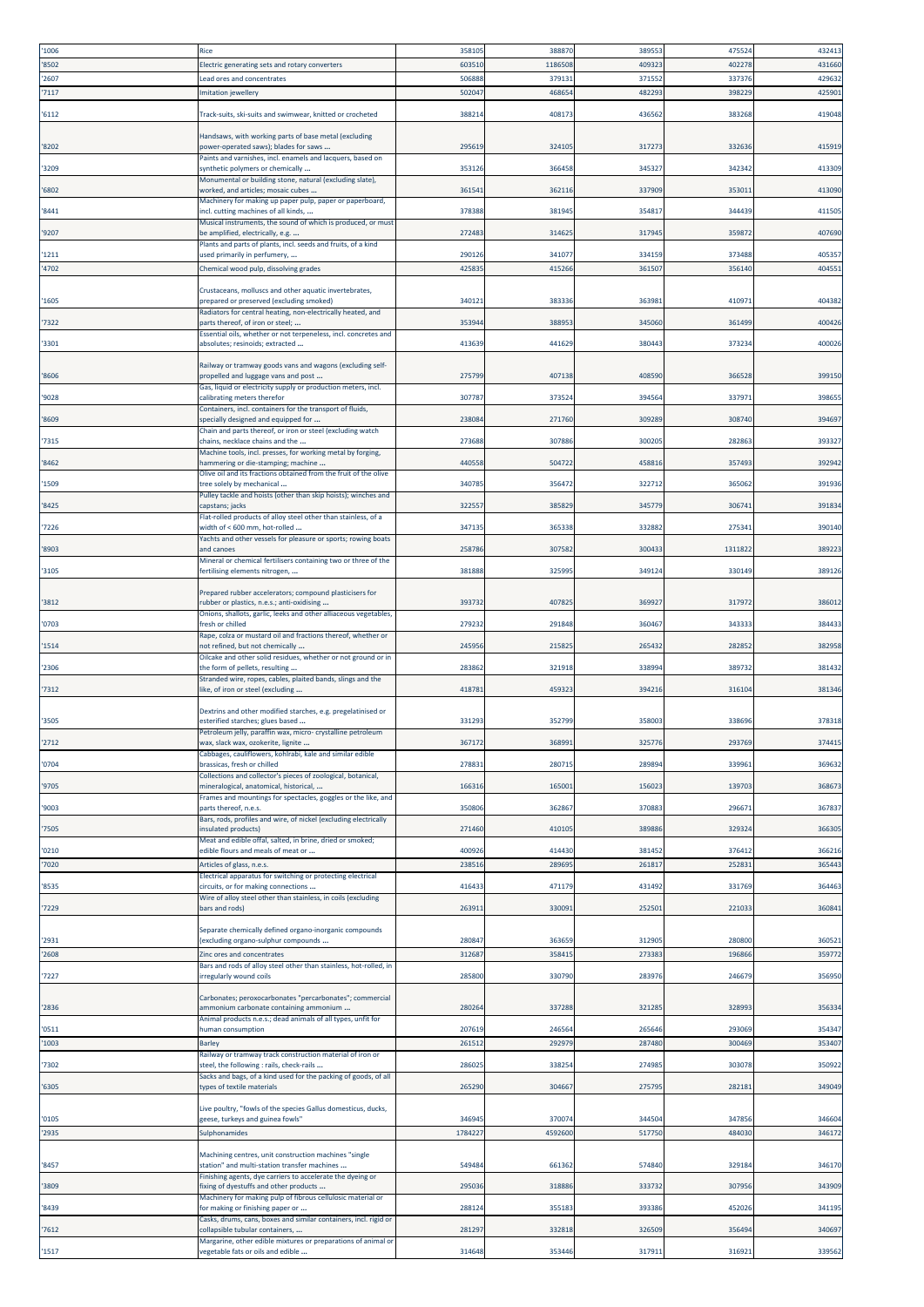| '1006 | Rice                                                                                                  | 35810  | 388870  | 389553 | 47552  | 432413 |
|-------|-------------------------------------------------------------------------------------------------------|--------|---------|--------|--------|--------|
| '8502 | Electric generating sets and rotary converters                                                        | 60351  | 1186508 | 409323 | 40227  | 431660 |
| '2607 | ead ores and concentrates                                                                             | 50688  | 37913   | 371552 | 33737  | 429632 |
| '7117 | mitation jewellery                                                                                    | 50204  | 468654  | 482293 | 398229 | 42590  |
|       |                                                                                                       |        |         |        |        |        |
| '6112 | Track-suits, ski-suits and swimwear, knitted or crocheted                                             | 38821  | 40817   | 436562 | 38326  | 419048 |
|       |                                                                                                       |        |         |        |        |        |
| '8202 | Handsaws, with working parts of base metal (excluding<br>power-operated saws); blades for saws        | 29561  | 324105  | 317273 | 332636 | 415919 |
|       | Paints and varnishes, incl. enamels and lacquers, based on                                            |        |         |        |        |        |
| '3209 | synthetic polymers or chemically                                                                      | 353126 | 366458  | 345327 | 342342 | 413309 |
|       | Monumental or building stone, natural (excluding slate),                                              |        |         |        |        |        |
| '6802 | worked, and articles; mosaic cubes                                                                    | 36154  | 362116  | 337909 | 35301: | 413090 |
| '8441 | Machinery for making up paper pulp, paper or paperboard,<br>ncl. cutting machines of all kinds,       | 378388 | 381945  | 354817 | 344439 | 41150  |
|       | Musical instruments, the sound of which is produced, or must                                          |        |         |        |        |        |
| '9207 | be amplified, electrically, e.g.                                                                      | 27248  | 314625  | 317945 | 35987  | 407690 |
|       | Plants and parts of plants, incl. seeds and fruits, of a kind                                         |        |         |        |        |        |
| '1211 | used primarily in perfumery,                                                                          | 290126 | 34107   | 334159 | 373488 | 405357 |
| '4702 | Chemical wood pulp, dissolving grades                                                                 | 42583  | 415266  | 361507 | 356140 | 404551 |
|       | Crustaceans, molluscs and other aquatic invertebrates,                                                |        |         |        |        |        |
| '1605 | prepared or preserved (excluding smoked)                                                              | 34012  | 383336  | 363981 | 41097  | 404382 |
|       | Radiators for central heating, non-electrically heated, and                                           |        |         |        |        |        |
| '7322 | parts thereof, of iron or steel;                                                                      | 35394  | 38895   | 345060 | 36149  | 400426 |
| '3301 | Essential oils, whether or not terpeneless, incl. concretes and<br>absolutes; resinoids; extracted    | 413639 | 441629  | 380443 | 37323  | 400026 |
|       |                                                                                                       |        |         |        |        |        |
|       | Railway or tramway goods vans and wagons (excluding self-                                             |        |         |        |        |        |
| '8606 | propelled and luggage vans and post                                                                   | 275799 | 407138  | 408590 | 366528 | 399150 |
| '9028 | Gas, liquid or electricity supply or production meters, incl.<br>calibrating meters therefor          | 30778  | 373524  | 394564 | 33797  | 39865  |
|       | Containers, incl. containers for the transport of fluids,                                             |        |         |        |        |        |
| '8609 | pecially designed and equipped for                                                                    | 23808  | 271760  | 309289 | 308740 | 394697 |
|       | Chain and parts thereof, or iron or steel (excluding watch                                            |        |         |        |        |        |
| '7315 | chains, necklace chains and the<br>Machine tools, incl. presses, for working metal by forging,        | 273688 | 307886  | 300205 | 28286  | 39332  |
| '8462 | nammering or die-stamping; machine                                                                    | 44055  | 50472   | 458816 | 35749  | 392942 |
|       | Olive oil and its fractions obtained from the fruit of the olive                                      |        |         |        |        |        |
| '1509 | ree solely by mechanical                                                                              | 340785 | 356472  | 322712 | 365062 | 391936 |
| '8425 | Pulley tackle and hoists (other than skip hoists); winches and<br>capstans; jacks                     | 32255  | 385829  | 345779 | 30674  | 391834 |
|       | Flat-rolled products of alloy steel other than stainless, of a                                        |        |         |        |        |        |
| '7226 | width of < 600 mm, hot-rolled                                                                         | 347135 | 365338  | 332882 | 27534  | 390140 |
| '8903 | Yachts and other vessels for pleasure or sports; rowing boats<br>and canoes                           | 258786 | 30758   | 300433 | 131182 | 38922  |
|       | Mineral or chemical fertilisers containing two or three of the                                        |        |         |        |        |        |
| '3105 | fertilising elements nitrogen,                                                                        | 381888 | 32599   | 349124 | 330149 | 38912  |
|       |                                                                                                       |        |         |        |        |        |
| '3812 | Prepared rubber accelerators; compound plasticisers for<br>ubber or plastics, n.e.s.; anti-oxidising  | 393732 | 40782   | 369927 | 317972 | 386012 |
|       | Onions, shallots, garlic, leeks and other alliaceous vegetables,                                      |        |         |        |        |        |
| '0703 | resh or chilled                                                                                       | 279232 | 291848  | 360467 | 34333  | 384433 |
|       | Rape, colza or mustard oil and fractions thereof, whether or<br>not refined, but not chemically       |        |         |        |        |        |
| '1514 | Oilcake and other solid residues, whether or not ground or in                                         | 245956 | 215825  | 265432 | 282852 | 382958 |
| '2306 | the form of pellets, resulting                                                                        | 28386  | 321918  | 338994 | 38973  | 381432 |
|       | Stranded wire, ropes, cables, plaited bands, slings and the                                           |        |         |        |        |        |
| '7312 | like, of iron or steel (excluding                                                                     | 41878  | 459323  | 394216 | 316104 | 381346 |
|       | Dextrins and other modified starches, e.g. pregelatinised or                                          |        |         |        |        |        |
| '3505 | esterified starches; glues based                                                                      | 331293 | 352799  | 358003 | 338696 | 378318 |
|       | Petroleum jelly, paraffin wax, micro- crystalline petroleum                                           |        |         |        |        |        |
| '2712 | vax, slack wax, ozokerite, lignite<br>Cabbages, cauliflowers, kohlrabi, kale and similar edible       | 36717  | 36899   | 32577  | 29376  | 37441  |
| '0704 | prassicas, fresh or chilled                                                                           | 27883  | 280715  | 289894 | 33996: | 369632 |
|       | Collections and collector's pieces of zoological, botanical,                                          |        |         |        |        |        |
| '9705 | mineralogical, anatomical, historical,                                                                | 16631  | 165001  | 156023 | 139703 | 368673 |
| '9003 | Frames and mountings for spectacles, goggles or the like, and<br>parts thereof, n.e.s.                | 350806 | 362867  | 370883 | 29667  | 367837 |
|       | Bars, rods, profiles and wire, of nickel (excluding electrically                                      |        |         |        |        |        |
| '7505 | nsulated products)                                                                                    | 271460 | 410105  | 389886 | 329324 | 36630  |
|       | Meat and edible offal, salted, in brine, dried or smoked;                                             |        |         |        |        |        |
| '0210 | edible flours and meals of meat or                                                                    | 400926 | 414430  | 381452 | 376412 | 366216 |
| '7020 | Articles of glass, n.e.s.<br>Electrical apparatus for switching or protecting electrical              | 23851  | 289695  | 261817 | 25283  | 365443 |
| '8535 | circuits, or for making connections                                                                   | 416433 | 471179  | 431492 | 331769 | 364463 |
|       | Wire of alloy steel other than stainless, in coils (excluding                                         |        |         |        |        |        |
| '7229 | pars and rods)                                                                                        | 26391  | 330091  | 252501 | 22103  | 36084  |
|       | Separate chemically defined organo-inorganic compounds                                                |        |         |        |        |        |
| '2931 | excluding organo-sulphur compounds                                                                    | 280847 | 363659  | 312905 | 280800 | 36052  |
| '2608 | Zinc ores and concentrates                                                                            | 31268  | 358415  | 273383 | 19686  | 359772 |
|       | Bars and rods of alloy steel other than stainless, hot-rolled, in                                     |        |         |        |        |        |
| '7227 | rregularly wound coils                                                                                | 28580  | 330790  | 283976 | 24667  | 356950 |
|       | Carbonates; peroxocarbonates "percarbonates"; commercial                                              |        |         |        |        |        |
| '2836 | ammonium carbonate containing ammonium                                                                | 28026  | 337288  | 321285 | 32899  | 356334 |
| '0511 | Animal products n.e.s.; dead animals of all types, unfit for<br>human consumption                     | 20761  | 246564  | 265646 | 29306  | 354347 |
|       |                                                                                                       |        |         |        |        |        |
| '1003 | <b>Barley</b><br>Railway or tramway track construction material of iron or                            | 26151  | 292979  | 287480 | 30046  | 353407 |
| '7302 | steel, the following : rails, check-rails                                                             | 286025 | 338254  | 274985 | 303078 | 350922 |
|       | Sacks and bags, of a kind used for the packing of goods, of all                                       |        |         |        |        |        |
| '6305 | types of textile materials                                                                            | 265290 | 30466   | 275795 | 282181 | 349049 |
|       | Live poultry, "fowls of the species Gallus domesticus, ducks,                                         |        |         |        |        |        |
| '0105 | geese, turkeys and guinea fowls'                                                                      | 346945 | 370074  | 344504 | 347856 | 346604 |
| '2935 | Sulphonamides                                                                                         | 178422 | 4592600 | 517750 | 484030 | 346172 |
|       |                                                                                                       |        |         |        |        |        |
| '8457 | Machining centres, unit construction machines "single<br>station" and multi-station transfer machines | 549484 | 661362  | 574840 | 329184 | 346170 |
|       | Finishing agents, dye carriers to accelerate the dyeing or                                            |        |         |        |        |        |
| '3809 | fixing of dyestuffs and other products                                                                | 29503  | 318886  | 333732 | 307956 | 343909 |
|       | Machinery for making pulp of fibrous cellulosic material or                                           | 28812  | 355183  | 393386 | 45202  | 34119  |
| '8439 | for making or finishing paper or<br>Casks, drums, cans, boxes and similar containers, incl. rigid or  |        |         |        |        |        |
| '7612 | collapsible tubular containers,                                                                       | 281297 | 332818  | 326509 | 356494 | 340697 |
|       | Margarine, other edible mixtures or preparations of animal or                                         |        |         |        |        |        |
| '1517 | vegetable fats or oils and edible                                                                     | 314648 | 353446  | 317911 | 316921 | 339562 |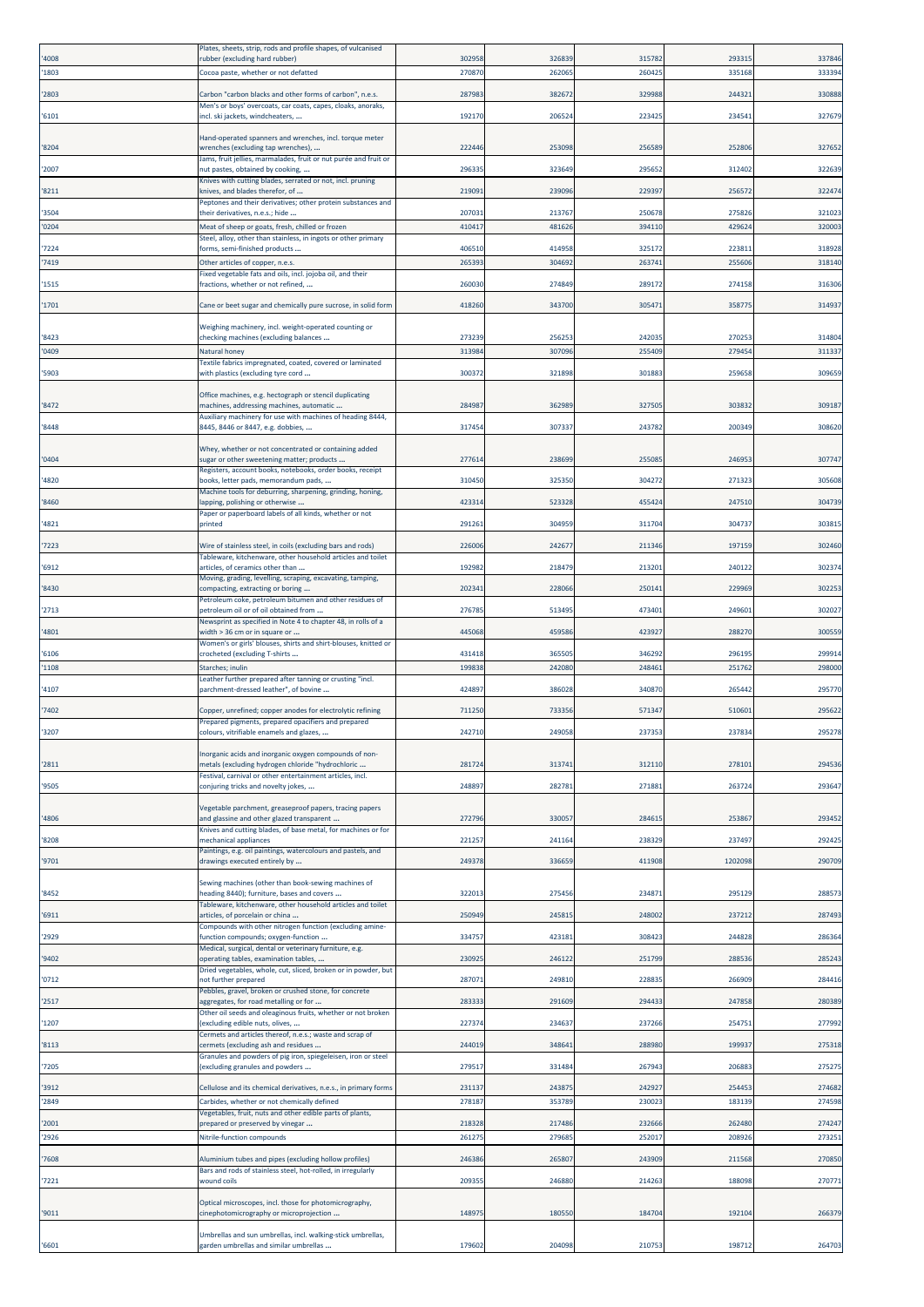|               | Plates, sheets, strip, rods and profile shapes, of vulcanised                                                      |                 |                  |                  |                 |                  |
|---------------|--------------------------------------------------------------------------------------------------------------------|-----------------|------------------|------------------|-----------------|------------------|
| '4008<br>1803 | rubber (excluding hard rubber)<br>Cocoa paste, whether or not defatted                                             | 302958<br>27087 | 326839<br>262065 | 315782<br>260425 | 29331<br>335168 | 337846<br>333394 |
|               |                                                                                                                    |                 |                  |                  |                 |                  |
| 2803          | Carbon "carbon blacks and other forms of carbon", n.e.s.                                                           | 28798           | 38267            | 329988           | 24432           | 330888           |
| '6101         | Men's or boys' overcoats, car coats, capes, cloaks, anoraks,<br>incl. ski jackets, windcheaters,                   | 19217           | 206524           | 223425           | 23454           | 327679           |
|               |                                                                                                                    |                 |                  |                  |                 |                  |
| 8204          | Hand-operated spanners and wrenches, incl. torque meter<br>wrenches (excluding tap wrenches),                      | 22244           | 253098           | 256589           | 252806          | 327652           |
|               | lams, fruit jellies, marmalades, fruit or nut purée and fruit or                                                   |                 |                  |                  |                 |                  |
| '2007         | nut pastes, obtained by cooking,                                                                                   | 29633           | 32364            | 295652           | 312402          | 322639           |
| 8211          | Knives with cutting blades, serrated or not, incl. pruning<br>cnives, and blades therefor, of                      | 21909           | 239096           | 229397           | 25657           | 322474           |
|               | Peptones and their derivatives; other protein substances and                                                       |                 |                  |                  |                 |                  |
| '3504         | their derivatives, n.e.s.; hide                                                                                    | 207031          | 213767           | 250678           | 275826          | 321023           |
| '0204         | Meat of sheep or goats, fresh, chilled or frozen<br>Steel, alloy, other than stainless, in ingots or other primary | 41041           | 481626           | 394110           | 429624          | 320003           |
| 7224          | forms, semi-finished products                                                                                      | 40651           | 414958           | 325172           | 22381           | 318928           |
| 7419          | Other articles of copper, n.e.s.                                                                                   | 26539           | 304692           | 263741           | 255606          | 318140           |
| 1515          | Fixed vegetable fats and oils, incl. jojoba oil, and their<br>fractions, whether or not refined,                   | 26003           | 274849           | 289172           | 274158          | 316306           |
|               |                                                                                                                    |                 |                  |                  |                 |                  |
| '1701         | Cane or beet sugar and chemically pure sucrose, in solid form                                                      | 418260          | 343700           | 305471           | 35877           | 314937           |
|               | Weighing machinery, incl. weight-operated counting or                                                              |                 |                  |                  |                 |                  |
| 8423          | checking machines (excluding balances                                                                              | 273239          | 256253           | 242035           | 27025           | 314804           |
| '0409         | Natural honey<br>Textile fabrics impregnated, coated, covered or laminated                                         | 31398           | 307096           | 255409           | 279454          | 31133            |
| 5903          | with plastics (excluding tyre cord                                                                                 | 30037           | 321898           | 301883           | 259658          | 309659           |
|               | Office machines, e.g. hectograph or stencil duplicating                                                            |                 |                  |                  |                 |                  |
| 8472          | machines, addressing machines, automatic                                                                           | 28498           | 362989           | 327505           | 303832          | 309187           |
| '8448         | Auxiliary machinery for use with machines of heading 8444,                                                         | 31745           | 307337           |                  |                 | 308620           |
|               | 8445, 8446 or 8447, e.g. dobbies,                                                                                  |                 |                  | 243782           | 200349          |                  |
|               | Whey, whether or not concentrated or containing added                                                              |                 |                  |                  |                 |                  |
| '0404         | sugar or other sweetening matter; products<br>Registers, account books, notebooks, order books, receipt            | 27761           | 238699           | 255085           | 246953          | 307747           |
| '4820         | books, letter pads, memorandum pads,                                                                               | 310450          | 325350           | 304272           | 271323          | 305608           |
| '8460         | Machine tools for deburring, sharpening, grinding, honing,<br>apping, polishing or otherwise                       | 42331           | 523328           | 455424           | 247510          | 304739           |
|               | Paper or paperboard labels of all kinds, whether or not                                                            |                 |                  |                  |                 |                  |
| 4821          | printed                                                                                                            | 29126           | 304959           | 311704           | 304737          | 30381            |
| 7223          | Wire of stainless steel, in coils (excluding bars and rods)                                                        | 22600           | 24267            | 211346           | 197159          | 302460           |
| 6912          | Tableware, kitchenware, other household articles and toilet<br>articles, of ceramics other than                    | 19298           | 218479           | 213201           | 240122          | 302374           |
|               | Moving, grading, levelling, scraping, excavating, tamping,                                                         |                 |                  |                  |                 |                  |
| '8430         | compacting, extracting or boring<br>Petroleum coke, petroleum bitumen and other residues of                        | 20234           | 22806            | 250141           | 229969          | 30225            |
| '2713         | petroleum oil or of oil obtained from                                                                              | 276785          | 513495           | 473401           | 24960           | 302027           |
|               | Newsprint as specified in Note 4 to chapter 48, in rolls of a                                                      |                 |                  |                  |                 |                  |
| '4801         | width > 36 cm or in square or<br>Women's or girls' blouses, shirts and shirt-blouses, knitted or                   | 445068          | 459586           | 423927           | 288270          | 300559           |
| 6106          | crocheted (excluding T-shirts                                                                                      | 431418          | 36550            | 346292           | 29619           | 299914           |
| '1108         | Starches; inulin                                                                                                   | 19983           | 242080           | 248461           | 251762          | 298000           |
| 4107          | Leather further prepared after tanning or crusting "incl.<br>parchment-dressed leather", of bovine                 | 424897          | 386028           | 340870           | 265442          | 295770           |
|               |                                                                                                                    |                 |                  |                  |                 |                  |
| 7402          | Copper, unrefined; copper anodes for electrolytic refining<br>Prepared pigments, prepared opacifiers and prepared  | 71125           | 733356           | 571347           | 51060           | 295622           |
| '3207         | colours, vitrifiable enamels and glazes,                                                                           | 242710          | 249058           | 237353           | 237834          | 295278           |
|               | norganic acids and inorganic oxygen compounds of non-                                                              |                 |                  |                  |                 |                  |
| '2811         | metals (excluding hydrogen chloride "hydrochloric                                                                  | 28172           | 313741           | 312110           | 278101          | 294536           |
| '9505         | Festival, carnival or other entertainment articles, incl.<br>conjuring tricks and novelty jokes,                   | 24889           | 282781           | 271881           | 263724          | 293647           |
|               |                                                                                                                    |                 |                  |                  |                 |                  |
| '4806         | Vegetable parchment, greaseproof papers, tracing papers<br>and glassine and other glazed transparent               | 272796          | 330057           | 284615           | 253867          | 293452           |
|               | Knives and cutting blades, of base metal, for machines or for                                                      |                 |                  |                  |                 |                  |
| 8208          | mechanical appliances                                                                                              | 22125           | 241164           | 238329           | 237497          | 292425           |
| '9701         | Paintings, e.g. oil paintings, watercolours and pastels, and<br>drawings executed entirely by                      | 24937           | 336659           | 411908           | 1202098         | 290709           |
|               |                                                                                                                    |                 |                  |                  |                 |                  |
| '8452         | Sewing machines (other than book-sewing machines of<br>heading 8440); furniture, bases and covers                  | 32201           | 275456           | 234871           | 295129          | 288573           |
|               | Tableware, kitchenware, other household articles and toilet                                                        |                 |                  |                  |                 |                  |
| '6911         | articles, of porcelain or china<br>Compounds with other nitrogen function (excluding amine-                        | 25094           | 245815           | 248002           | 237212          | 287493           |
| '2929         | function compounds; oxygen-function                                                                                | 33475           | 423181           | 308423           | 244828          | 286364           |
| '9402         | Medical, surgical, dental or veterinary furniture, e.g.<br>operating tables, examination tables,                   | 23092           | 246122           | 251799           | 288536          | 285243           |
|               | Dried vegetables, whole, cut, sliced, broken or in powder, but                                                     |                 |                  |                  |                 |                  |
| '0712         | not further prepared<br>Pebbles, gravel, broken or crushed stone, for concrete                                     | 28707           | 249810           | 228835           | 266909          | 284416           |
| '2517         | aggregates, for road metalling or for                                                                              | 283333          | 291609           | 294433           | 247858          | 280389           |
| '1207         | Other oil seeds and oleaginous fruits, whether or not broken<br>excluding edible nuts, olives,                     | 22737           | 234637           | 237266           | 25475           | 277992           |
|               | Cermets and articles thereof, n.e.s.; waste and scrap of                                                           |                 |                  |                  |                 |                  |
| '8113         | cermets (excluding ash and residues<br>Granules and powders of pig iron, spiegeleisen, iron or steel               | 24401           | 34864            | 288980           | 19993           | 275318           |
| 7205          | excluding granules and powders                                                                                     | 27951           | 331484           | 267943           | 206883          | 275275           |
| '3912         | Cellulose and its chemical derivatives, n.e.s., in primary forms                                                   | 231137          | 243875           | 242927           | 254453          | 274682           |
| '2849         | Carbides, whether or not chemically defined                                                                        | 27818           | 353789           | 230023           | 183139          | 274598           |
|               | Vegetables, fruit, nuts and other edible parts of plants,                                                          |                 |                  |                  |                 |                  |
| '2001         | prepared or preserved by vinegar                                                                                   | 218328          | 217486           | 232666           | 262480          | 274247           |
| '2926         | Nitrile-function compounds                                                                                         | 261275          | 279685           | 252017           | 208926          | 273251           |
| 7608          | Aluminium tubes and pipes (excluding hollow profiles)                                                              | 246386          | 265807           | 243909           | 211568          | 270850           |
| 7221          | Bars and rods of stainless steel, hot-rolled, in irregularly<br>wound coils                                        | 209355          | 246880           | 214263           | 188098          | 270771           |
|               |                                                                                                                    |                 |                  |                  |                 |                  |
| '9011         | Optical microscopes, incl. those for photomicrography,<br>cinephotomicrography or microprojection                  | 14897           | 180550           | 184704           | 192104          | 266379           |
|               |                                                                                                                    |                 |                  |                  |                 |                  |
| '6601         | Umbrellas and sun umbrellas, incl. walking-stick umbrellas,<br>garden umbrellas and similar umbrellas              | 179602          | 204098           | 210753           | 198712          | 264703           |
|               |                                                                                                                    |                 |                  |                  |                 |                  |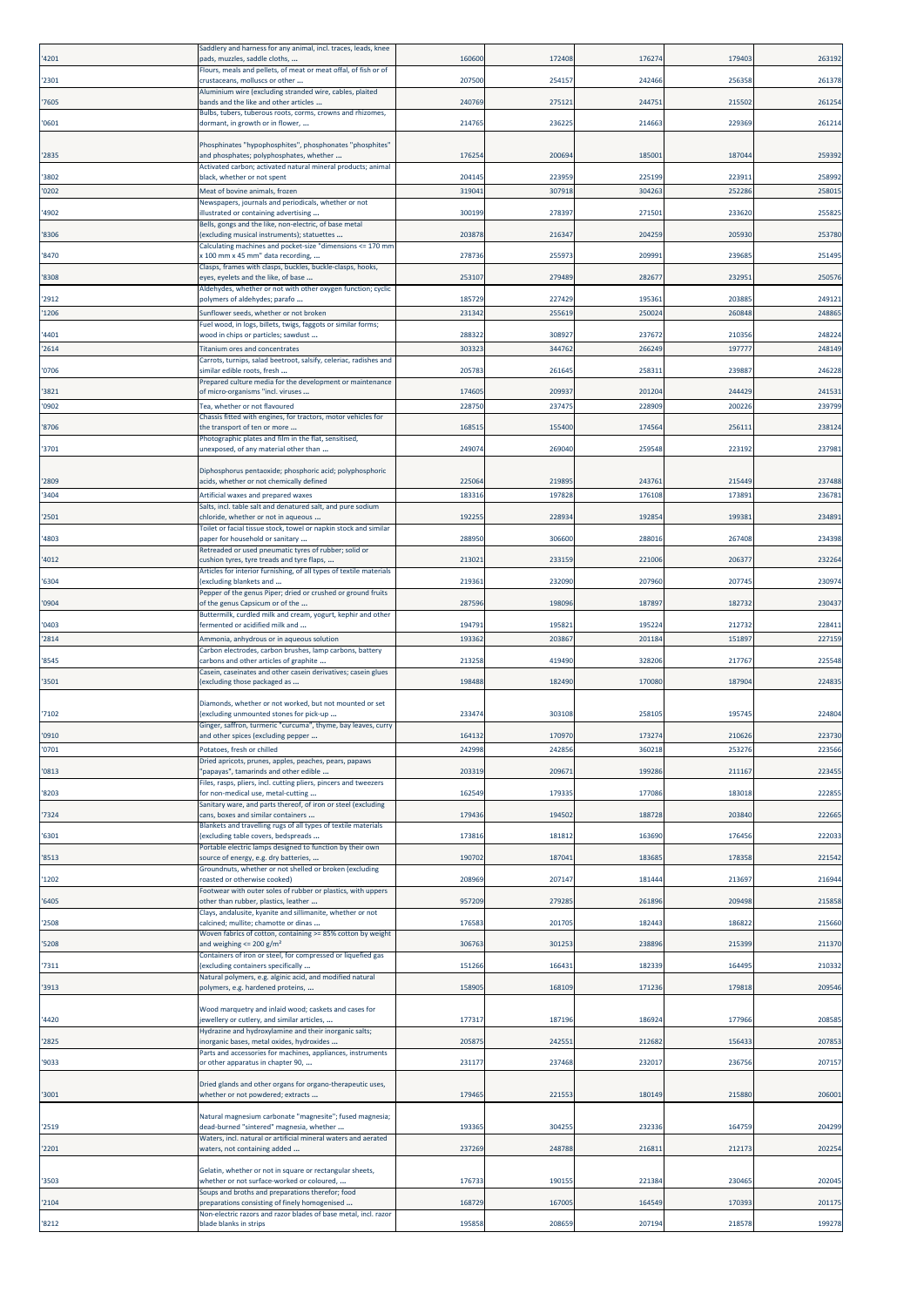| '4201          | Saddlery and harness for any animal, incl. traces, leads, knee<br>bads, muzzles, saddle cloths,                   | 16060            | 172408           | 176274           | 17940            | 263192           |
|----------------|-------------------------------------------------------------------------------------------------------------------|------------------|------------------|------------------|------------------|------------------|
| '2301          | Flours, meals and pellets, of meat or meat offal, of fish or of<br>crustaceans, molluscs or other                 | 20750            | 254157           | 242466           | 256358           | 261378           |
| '7605          | Aluminium wire (excluding stranded wire, cables, plaited<br>bands and the like and other articles                 | 240769           | 275121           | 244751           | 21550            | 261254           |
| '0601          | Bulbs, tubers, tuberous roots, corms, crowns and rhizomes,<br>dormant, in growth or in flower,                    | 21476            | 236225           | 214663           | 22936            | 261214           |
|                | Phosphinates "hypophosphites", phosphonates "phosphites"                                                          |                  |                  |                  |                  |                  |
| '2835          | and phosphates; polyphosphates, whether                                                                           | 17625            | 200694           | 185001           | 18704            | 259392           |
| '3802          | Activated carbon; activated natural mineral products; animal<br>black, whether or not spent                       | 204145           | 223959           | 225199           | 22391            | 258992           |
| '0202          | Meat of bovine animals, frozen<br>Newspapers, journals and periodicals, whether or not                            | 31904            | 307918           | 304263           | 25228            | 25801            |
| '4902          | llustrated or containing advertising<br>Bells, gongs and the like, non-electric, of base metal                    | 300199           | 27839            | 271501           | 23362            | 25582            |
| '8306          | (excluding musical instruments); statuettes                                                                       | 203878           | 216347           | 204259           | 205930           | 253780           |
| '8470          | Calculating machines and pocket-size "dimensions <= 170 mm<br>< 100 mm x 45 mm" data recording,                   | 27873            | 25597            | 209991           | 23968            | 25149            |
| '8308          | Clasps, frames with clasps, buckles, buckle-clasps, hooks,<br>eyes, eyelets and the like, of base                 | 25310            | 279489           | 28267            | 23295            | 250576           |
| '2912          | Aldehydes, whether or not with other oxygen function; cyclic<br>polymers of aldehydes; parafo                     | 185729           | 227429           | 195361           | 203885           | 249121           |
| '1206          | Sunflower seeds, whether or not broken                                                                            | 23134            | 255619           | 250024           | 260848           | 24886            |
| '4401          | uel wood, in logs, billets, twigs, faggots or similar forms;<br>wood in chips or particles; sawdust               | 288322           | 30892            | 237672           | 21035            | 248224           |
| '2614          | <b>Titanium ores and concentrates</b><br>Carrots, turnips, salad beetroot, salsify, celeriac, radishes and        | 30332            | 344762           | 266249           | 19777            | 248149           |
| '0706          | similar edible roots, fresh                                                                                       | 20578            | 261645           | 258311           | 23988            | 246228           |
| '3821          | Prepared culture media for the development or maintenance<br>of micro-organisms "incl. viruses                    | 17460            | 20993            | 201204           | 244429           | 241531           |
| '0902          | Tea, whether or not flavoured                                                                                     | 22875            | 23747            | 228909           | 20022            | 239799           |
| '8706          | Chassis fitted with engines, for tractors, motor vehicles for<br>the transport of ten or more                     | 16851            | 155400           | 174564           | 25611            | 238124           |
| '3701          | Photographic plates and film in the flat, sensitised,<br>unexposed, of any material other than                    | 24907            | 26904            | 259548           | 223192           | 23798:           |
|                | Diphosphorus pentaoxide; phosphoric acid; polyphosphoric                                                          |                  |                  |                  |                  |                  |
| '2809<br>'3404 | acids, whether or not chemically defined<br>Artificial waxes and prepared waxes                                   | 22506<br>18331   | 219895<br>197828 | 243761<br>176108 | 215449<br>17389  | 237488<br>23678  |
|                | Salts, incl. table salt and denatured salt, and pure sodium                                                       |                  |                  |                  |                  |                  |
| '2501          | chloride, whether or not in aqueous<br>Toilet or facial tissue stock, towel or napkin stock and similar           | 19225            | 22893            | 192854           | 19938            | 234891           |
| '4803          | paper for household or sanitary<br>Retreaded or used pneumatic tyres of rubber; solid or                          | 28895            | 306600           | 288016           | 26740            | 234398           |
| '4012          | cushion tyres, tyre treads and tyre flaps,<br>Articles for interior furnishing, of all types of textile materials | 21302            | 233159           | 221006           | 20637            | 232264           |
| '6304          | excluding blankets and<br>Pepper of the genus Piper; dried or crushed or ground fruits                            | 21936            | 232090           | 207960           | 20774            | 23097            |
| '0904          | of the genus Capsicum or of the                                                                                   | 28759            | 198096           | 187897           | 18273            | 230437           |
| '0403          | Buttermilk, curdled milk and cream, yogurt, kephir and other<br>fermented or acidified milk and                   | 194791           | 195821           | 195224           | 212732           | 22841:           |
| '2814          | Ammonia, anhydrous or in aqueous solution<br>Carbon electrodes, carbon brushes, lamp carbons, battery             | 193362           | 203867           | 201184           | 151897           | 227159           |
| '8545          | carbons and other articles of graphite<br>Casein, caseinates and other casein derivatives; casein glues           | 213258           | 419490           | 328206           | 217767           | 225548           |
| '3501          | excluding those packaged as                                                                                       | 198488           | 182490           | 170080           | 18790            | 22483            |
| '7102          | Diamonds, whether or not worked, but not mounted or set<br>excluding unmounted stones for pick-up                 | 23347            | 303108           | 258105           | 19574            | 224804           |
|                | Ginger, saffron, turmeric "curcuma", thyme, bay leaves, curry                                                     |                  |                  |                  |                  |                  |
| '0910<br>'0701 | and other spices (excluding pepper<br>Potatoes, fresh or chilled                                                  | 164132<br>242998 | 170970<br>242856 | 173274<br>360218 | 210626<br>253276 | 223730<br>223566 |
| '0813          | Dried apricots, prunes, apples, peaches, pears, papaws<br>papayas", tamarinds and other edible                    | 20331            | 20967            | 199286           | 211167           | 223455           |
|                | Files, rasps, pliers, incl. cutting pliers, pincers and tweezers                                                  |                  |                  |                  |                  |                  |
| '8203          | for non-medical use, metal-cutting<br>Sanitary ware, and parts thereof, of iron or steel (excluding               | 162549           | 179335           | 177086           | 183018           | 222855           |
| '7324          | cans, boxes and similar containers<br>Blankets and travelling rugs of all types of textile materials              | 179436           | 194502           | 188728           | 203840           | 222665           |
| '6301          | excluding table covers, bedspreads<br>Portable electric lamps designed to function by their own                   | 17381            | 181812           | 163690           | 17645            | 222033           |
| '8513          | source of energy, e.g. dry batteries,<br>Groundnuts, whether or not shelled or broken (excluding                  | 190702           | 187041           | 183685           | 178358           | 221542           |
| 1202           | oasted or otherwise cooked)                                                                                       | 208969           | 207147           | 181444           | 213697           | 216944           |
| '6405          | Footwear with outer soles of rubber or plastics, with uppers<br>other than rubber, plastics, leather              | 95720            | 279285           | 261896           | 209498           | 215858           |
| '2508          | Clays, andalusite, kyanite and sillimanite, whether or not<br>calcined; mullite; chamotte or dinas                | 176583           | 201705           | 182443           | 186822           | 215660           |
| '5208          | Woven fabrics of cotton, containing >= 85% cotton by weight<br>and weighing $\leq$ 200 g/m <sup>2</sup>           | 306763           | 301253           | 238896           | 215399           | 211370           |
| '7311          | Containers of iron or steel, for compressed or liquefied gas<br>excluding containers specifically                 | 151266           | 166431           | 182339           | 16449            | 210332           |
| '3913          | Natural polymers, e.g. alginic acid, and modified natural<br>polymers, e.g. hardened proteins,                    | 15890            | 168109           | 171236           | 179818           | 209546           |
|                |                                                                                                                   |                  |                  |                  |                  |                  |
| '4420          | Wood marquetry and inlaid wood; caskets and cases for<br>ewellery or cutlery, and similar articles,               | 17731            | 187196           | 186924           | 177966           | 208585           |
| '2825          | Hydrazine and hydroxylamine and their inorganic salts;<br>norganic bases, metal oxides, hydroxides                | 20587            | 242551           | 212682           | 15643            | 207853           |
| '9033          | Parts and accessories for machines, appliances, instruments<br>or other apparatus in chapter 90,                  | 231177           | 237468           | 232017           | 236756           | 207157           |
|                | Dried glands and other organs for organo-therapeutic uses,                                                        |                  |                  |                  |                  |                  |
| '3001          | whether or not powdered; extracts                                                                                 | 179465           | 221553           | 180149           | 215880           | 206001           |
|                | Natural magnesium carbonate "magnesite"; fused magnesia;                                                          | 193365           |                  |                  |                  |                  |
| '2519          | dead-burned "sintered" magnesia, whether<br>Waters, incl. natural or artificial mineral waters and aerated        |                  | 30425            | 232336           | 164759           | 204299           |
| '2201          | waters, not containing added                                                                                      | 237269           | 248788           | 216811           | 212173           | 202254           |
| '3503          | Gelatin, whether or not in square or rectangular sheets,<br>whether or not surface-worked or coloured,            | 17673            | 190155           | 221384           | 230465           | 202045           |
| '2104          | Soups and broths and preparations therefor; food<br>preparations consisting of finely homogenised                 | 168729           | 167005           | 164549           | 170393           | 201175           |
| '8212          | Non-electric razors and razor blades of base metal, incl. razor<br>blade blanks in strips                         | 195858           | 208659           | 207194           | 218578           | 199278           |
|                |                                                                                                                   |                  |                  |                  |                  |                  |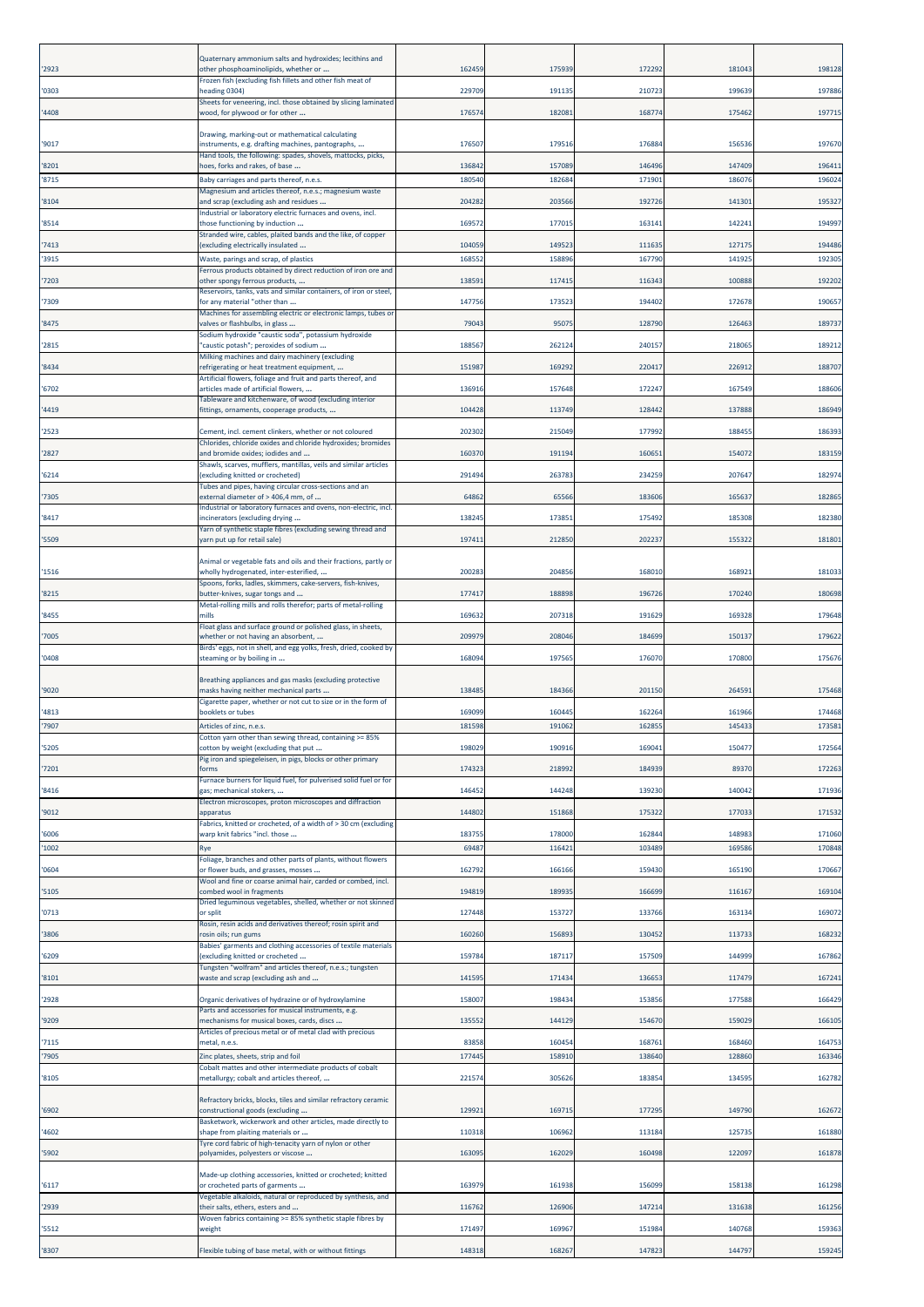| '2923         | Quaternary ammonium salts and hydroxides; lecithins and<br>other phosphoaminolipids, whether or                                                                           | 16245           | 175939           | 172292           | 18104           | 198128           |
|---------------|---------------------------------------------------------------------------------------------------------------------------------------------------------------------------|-----------------|------------------|------------------|-----------------|------------------|
| '0303         | Frozen fish (excluding fish fillets and other fish meat of<br>heading 0304)                                                                                               | 229709          | 191135           | 210723           | 199639          | 197886           |
| '4408         | Sheets for veneering, incl. those obtained by slicing laminated<br>wood, for plywood or for other                                                                         | 17657           | 182081           | 168774           | 17546           | 19771            |
| '9017         | Drawing, marking-out or mathematical calculating<br>instruments, e.g. drafting machines, pantographs,                                                                     | 17650           | 179516           | 176884           | 15653           | 197670           |
| 8201          | land tools, the following: spades, shovels, mattocks, picks,<br>noes, forks and rakes, of base                                                                            | 136842          | 157089           | 146496           | 147409          | 19641            |
| '8715         | Baby carriages and parts thereof, n.e.s.                                                                                                                                  | 18054           | 182684           | 171901           | 18607           | 19602            |
| '8104         | Magnesium and articles thereof, n.e.s.; magnesium waste<br>and scrap (excluding ash and residues                                                                          | 20428           | 203566           | 192726           | 14130           | 19532            |
| 8514          | industrial or laboratory electric furnaces and ovens, incl.<br>those functioning by induction                                                                             | 16957           | 177015           | 163141           | 14224           | 19499            |
| 7413          | Stranded wire, cables, plaited bands and the like, of copper<br>excluding electrically insulated                                                                          | 10405           | 149523           | 111635           | 12717           | 19448            |
| '3915         | Waste, parings and scrap, of plastics                                                                                                                                     | 16855           | 158896           | 167790           | 14192           | 19230            |
| 7203          | Ferrous products obtained by direct reduction of iron ore and<br>other spongy ferrous products,                                                                           | 13859           | 11741            | 116343           | 10088           | 192202           |
| 7309          | Reservoirs, tanks, vats and similar containers, of iron or steel,<br>or any material "other than                                                                          | 147756          | 173523           | 194402           | 17267           | 19065            |
| 8475          | Machines for assembling electric or electronic lamps, tubes or<br>valves or flashbulbs, in glass                                                                          | 79043           | 95075            | 128790           | 126463          | 189737           |
|               | Sodium hydroxide "caustic soda", potassium hydroxide                                                                                                                      |                 |                  |                  |                 |                  |
| 2815          | 'caustic potash"; peroxides of sodium<br>Milking machines and dairy machinery (excluding                                                                                  | 18856           | 262124           | 240157           | 21806           | 189212           |
| 8434          | efrigerating or heat treatment equipment,<br>Artificial flowers, foliage and fruit and parts thereof, and                                                                 | 15198           | 169292           | 220417           | 22691           | 188707           |
| '6702         | articles made of artificial flowers,<br>Fableware and kitchenware, of wood (excluding interior                                                                            | 136916          | 157648           | 172247           | 167549          | 188606           |
| 4419          | fittings, ornaments, cooperage products,                                                                                                                                  | 104428          | 113749           | 128442           | 137888          | 186949           |
| '2523         | Cement, incl. cement clinkers, whether or not coloured                                                                                                                    | 20230           | 215049           | 177992           | 18845           | 18639            |
| '2827         | Chlorides, chloride oxides and chloride hydroxides; bromides<br>and bromide oxides; iodides and                                                                           | 160370          | 191194           | 160651           | 15407           | 183159           |
| 6214          | Shawls, scarves, mufflers, mantillas, veils and similar articles<br>excluding knitted or crocheted)                                                                       | 291494          | 263783           | 234259           | 207647          | 18297            |
| 7305          | Tubes and pipes, having circular cross-sections and an<br>external diameter of > 406,4 mm, of                                                                             | 64862           | 65566            | 183606           | 16563           | 18286            |
| 8417          | ndustrial or laboratory furnaces and ovens, non-electric, incl.<br>incinerators (excluding drying                                                                         | 138245          | 17385            | 175492           | 18530           | 182380           |
|               | Yarn of synthetic staple fibres (excluding sewing thread and<br>varn put up for retail sale)                                                                              | 19741           | 212850           | 202237           | 15532           | 181801           |
| '5509         |                                                                                                                                                                           |                 |                  |                  |                 |                  |
| '1516         | Animal or vegetable fats and oils and their fractions, partly or<br>wholly hydrogenated, inter-esterified,<br>Spoons, forks, ladles, skimmers, cake-servers, fish-knives, | 20028           | 204856           | 168010           | 16892           | 18103            |
| '8215         | outter-knives, sugar tongs and                                                                                                                                            | 177417          | 188898           | 196726           | 170240          | 180698           |
| 8455          | Metal-rolling mills and rolls therefor; parts of metal-rolling<br>mills                                                                                                   | 169632          | 207318           | 191629           | 169328          | 179648           |
| 7005          | Float glass and surface ground or polished glass, in sheets,<br>whether or not having an absorbent,                                                                       | 20997           | 208046           | 184699           | 15013           | 179622           |
| '0408         | Birds' eggs, not in shell, and egg yolks, fresh, dried, cooked by<br>steaming or by boiling in                                                                            | 16809           | 197565           | 176070           | 170800          | 17567            |
| '9020         | Breathing appliances and gas masks (excluding protective<br>masks having neither mechanical parts                                                                         | 138485          | 184366           | 201150           | 26459           | 175468           |
|               | Cigarette paper, whether or not cut to size or in the form of                                                                                                             |                 |                  |                  |                 |                  |
| 4813<br>7907  | pooklets or tubes<br>Articles of zinc, n.e.s.                                                                                                                             | 16909<br>18159  | 160445<br>191062 | 162264<br>162855 | 16196<br>14543  | 174468<br>17358: |
| '5205         | Cotton yarn other than sewing thread, containing >=<br>cotton by weight (excluding that put                                                                               | 198029          | 190916           | 169041           | 15047           | 172564           |
| 7201          | <sup>p</sup> ig iron and spiegeleisen, in pigs, blocks or other primary<br>forms                                                                                          | 174323          | 218992           | 184939           | 89370           | 172263           |
|               | Furnace burners for liquid fuel, for pulverised solid fuel or for                                                                                                         |                 |                  |                  |                 |                  |
| 8416          | gas; mechanical stokers,<br>Electron microscopes, proton microscopes and diffraction                                                                                      | 146452          | 144248           | 139230           | 140042          | 171936           |
| '9012         | apparatus<br>abrics, knitted or crocheted, of a width of > 30 cm (excluding                                                                                               | 144802          | 151868           | 175322           | 17703           | 171532           |
| '6006<br>1002 | warp knit fabrics "incl. those<br>Rye                                                                                                                                     | 183755<br>69487 | 178000<br>116421 | 162844<br>103489 | 14898<br>169586 | 171060<br>170848 |
|               | Foliage, branches and other parts of plants, without flowers                                                                                                              |                 |                  |                  |                 |                  |
| '0604         | or flower buds, and grasses, mosses<br>Wool and fine or coarse animal hair, carded or combed, incl.                                                                       | 162792          | 166166           | 159430           | 165190          | 170667           |
| 5105          | combed wool in fragments<br>Dried leguminous vegetables, shelled, whether or not skinned                                                                                  | 194819          | 189935           | 166699           | 11616           | 169104           |
| 0713          | or split<br>Rosin, resin acids and derivatives thereof; rosin spirit and                                                                                                  | 127448          | 153727           | 133766           | 163134          | 169072           |
| '3806         | osin oils; run gums<br>Babies' garments and clothing accessories of textile materials                                                                                     | 160260          | 156893           | 130452           | 11373           | 168232           |
| '6209         | excluding knitted or crocheted<br>Tungsten "wolfram" and articles thereof, n.e.s.; tungsten                                                                               | 159784          | 187117           | 157509           | 144999          | 167862           |
| 8101          | waste and scrap (excluding ash and                                                                                                                                        | 141595          | 171434           | 136653           | 117479          | 167241           |
| '2928         | Organic derivatives of hydrazine or of hydroxylamine                                                                                                                      | 15800           | 198434           | 153856           | 177588          | 166429           |
| '9209         | Parts and accessories for musical instruments, e.g.<br>mechanisms for musical boxes, cards, discs                                                                         | 13555           | 144129           | 154670           | 15902           | 16610            |
| 7115          | Articles of precious metal or of metal clad with precious<br>metal, n.e.s.                                                                                                | 83858           | 160454           | 168761           | 168460          | 164753           |
| 7905          | Zinc plates, sheets, strip and foil<br>Cobalt mattes and other intermediate products of cobalt                                                                            | 177445          | 158910           | 138640           | 12886           | 163346           |
| '8105         | metallurgy; cobalt and articles thereof,                                                                                                                                  | 221574          | 305626           | 183854           | 13459           | 162782           |
| '6902         | Refractory bricks, blocks, tiles and similar refractory ceramic<br>constructional goods (excluding                                                                        | 129921          | 169715           | 177295           | 149790          | 162672           |
| 4602          | Basketwork, wickerwork and other articles, made directly to<br>shape from plaiting materials or                                                                           | 110318          | 106962           | 113184           | 12573           | 161880           |
| '5902         | Tyre cord fabric of high-tenacity yarn of nylon or other<br>polyamides, polyesters or viscose                                                                             | 16309           | 162029           | 160498           | 122097          | 161878           |
| '6117         | Made-up clothing accessories, knitted or crocheted; knitted<br>or crocheted parts of garments                                                                             | 163979          | 161938           | 156099           | 158138          | 161298           |
| '2939         | Vegetable alkaloids, natural or reproduced by synthesis, and<br>their salts, ethers, esters and                                                                           | 11676           | 126906           | 147214           | 131638          | 161256           |
| 5512          | Woven fabrics containing >= 85% synthetic staple fibres by<br>weight                                                                                                      | 171497          | 169967           | 151984           | 140768          | 159363           |
| '8307         | Flexible tubing of base metal, with or without fittings                                                                                                                   | 148318          | 168267           | 147823           | 144797          | 159245           |
|               |                                                                                                                                                                           |                 |                  |                  |                 |                  |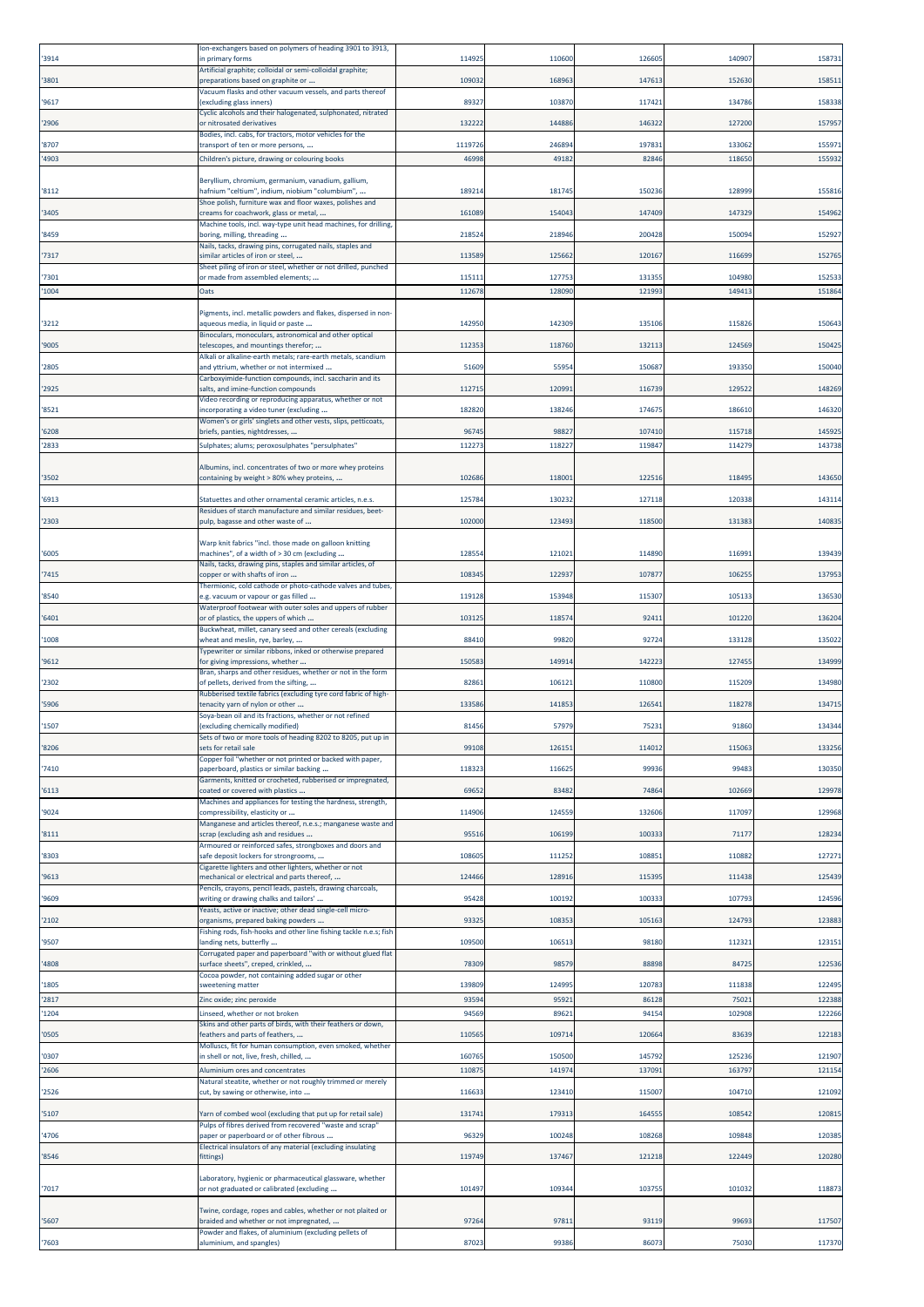| '3914          | on-exchangers based on polymers of heading 3901 to 3913,<br>n primary forms                                                                                            | 114925         | 110600           | 126605           | 14090           | 158731           |
|----------------|------------------------------------------------------------------------------------------------------------------------------------------------------------------------|----------------|------------------|------------------|-----------------|------------------|
| '3801          | Artificial graphite; colloidal or semi-colloidal graphite;<br>reparations based on graphite or                                                                         | 10903          | 168963           | 147613           | 15263           | 15851            |
| '9617          | Vacuum flasks and other vacuum vessels, and parts thereof<br>(excluding glass inners)                                                                                  | 89327          | 103870           | 117421           | 134786          | 158338           |
| '2906          | Cyclic alcohols and their halogenated, sulphonated, nitrated<br>or nitrosated derivatives                                                                              | 13222          | 144886           | 146322           | 12720           | 15795            |
| '8707          | Bodies, incl. cabs, for tractors, motor vehicles for the<br>transport of ten or more persons,                                                                          | 111972         | 246894           | 197831           | 13306           | 15597            |
| '4903          | Children's picture, drawing or colouring books                                                                                                                         | 4699           | 4918             | 8284             | 11865           | 15593            |
| '8112          | Beryllium, chromium, germanium, vanadium, gallium,<br>hafnium "celtium", indium, niobium "columbium",                                                                  | 18921          | 181745           | 150236           | 128999          | 155816           |
| '3405          | Shoe polish, furniture wax and floor waxes, polishes and<br>reams for coachwork, glass or metal,                                                                       | 16108          | 154043           | 147409           | 14732           | 154962           |
| '8459          | Machine tools, incl. way-type unit head machines, for drilling,<br>boring, milling, threading                                                                          | 21852          | 218946           | 200428           | 15009           | 152927           |
| '7317          | Nails, tacks, drawing pins, corrugated nails, staples and<br>similar articles of iron or steel,                                                                        | 113589         | 125662           | 120167           | 116699          | 15276            |
|                | Sheet piling of iron or steel, whether or not drilled, punched                                                                                                         |                |                  |                  |                 |                  |
| '7301<br>'1004 | or made from assembled elements;<br>Oats                                                                                                                               | 11511<br>11267 | 127753<br>128090 | 131355<br>121993 | 10498<br>14941  | 152533<br>151864 |
| '3212          | Pigments, incl. metallic powders and flakes, dispersed in non-<br>aqueous media, in liquid or paste                                                                    | 14295          | 142309           | 135106           | 11582           | 150643           |
| '9005          | Binoculars, monoculars, astronomical and other optical<br>telescopes, and mountings therefor;                                                                          | 11235          | 118760           | 132113           | 12456           | 15042            |
|                | Alkali or alkaline-earth metals; rare-earth metals, scandium                                                                                                           |                | 5595             | 150687           | 19335           | 150040           |
| '2805          | and yttrium, whether or not intermixed<br>Carboxyimide-function compounds, incl. saccharin and its                                                                     | 5160           |                  |                  |                 |                  |
| '2925          | salts, and imine-function compounds<br>Video recording or reproducing apparatus, whether or not                                                                        | 11271          | 120991           | 116739           | 12952           | 148269           |
| '8521          | incorporating a video tuner (excluding<br>Women's or girls' singlets and other vests, slips, petticoats,                                                               | 182820         | 138246           | 174675           | 18661           | 146320           |
| '6208<br>'2833 | briefs, panties, nightdresses,<br>Sulphates; alums; peroxosulphates "persulphates"                                                                                     | 9674<br>11227  | 9882<br>118227   | 107410<br>119847 | 11571<br>114279 | 145925<br>143738 |
| '3502          | Albumins, incl. concentrates of two or more whey proteins<br>containing by weight > 80% whey proteins,                                                                 | 10268          | 11800            | 122516           | 11849           | 143650           |
|                |                                                                                                                                                                        |                |                  |                  | 12033           |                  |
| '6913          | Statuettes and other ornamental ceramic articles, n.e.s.<br>Residues of starch manufacture and similar residues, beet-                                                 | 12578          | 130232           | 127118           |                 | 143114           |
| '2303          | pulp, bagasse and other waste of                                                                                                                                       | 102000         | 123493           | 118500           | 13138           | 14083            |
| '6005          | Warp knit fabrics "incl. those made on galloon knitting<br>machines", of a width of > 30 cm (excluding<br>Nails, tacks, drawing pins, staples and similar articles, of | 12855          | 12102            | 114890           | 11699           | 139439           |
| '7415          | opper or with shafts of iron<br>Thermionic, cold cathode or photo-cathode valves and tubes,                                                                            | 10834          | 122937           | 107877           | 10625           | 137953           |
| '8540          | .g. vacuum or vapour or gas filled                                                                                                                                     | 119128         | 153948           | 115307           | 10513           | 136530           |
| '6401          | Waterproof footwear with outer soles and uppers of rubber<br>or of plastics, the uppers of which                                                                       | 10312          | 11857            | 92411            | 10122           | 136204           |
| '1008          | Buckwheat, millet, canary seed and other cereals (excluding<br>wheat and meslin, rye, barley,                                                                          | 8841           | 99820            | 92724            | 13312           | 135022           |
| '9612          | Typewriter or similar ribbons, inked or otherwise prepared<br>for giving impressions, whether                                                                          | 150583         | 149914           | 142223           | 12745           | 134999           |
| '2302          | Bran, sharps and other residues, whether or not in the form<br>of pellets, derived from the sifting,                                                                   | 82861          | 10612            | 110800           | 11520           | 134980           |
| '5906          | Rubberised textile fabrics (excluding tyre cord fabric of high-<br>enacity yarn of nylon or other                                                                      | 13358          | 141853           | 126541           | 11827           | 134715           |
| '1507          | Soya-bean oil and its fractions, whether or not refined<br>(excluding chemically modified)                                                                             | 81456          | 57979            | 75231            | 91860           | 134344           |
| '8206          | Sets of two or more tools of heading 8202 to 8205, put up in<br>sets for retail sale                                                                                   | 99108          | 126151           | 114012           | 11506           | 133256           |
| '7410          | Copper foil "whether or not printed or backed with paper,<br>aperboard, plastics or similar backing                                                                    | 11832          | 116625           | 99936            | 9948            | 130350           |
| '6113          | Garments, knitted or crocheted, rubberised or impregnated,<br>coated or covered with plastics                                                                          | 69652          | 83482            | 74864            | 102669          | 129978           |
| '9024          | Machines and appliances for testing the hardness, strength,<br>compressibility, elasticity or                                                                          | 114906         | 124559           | 132606           | 117097          | 129968           |
| '8111          | Manganese and articles thereof, n.e.s.; manganese waste and<br>scrap (excluding ash and residues                                                                       | 9551           | 106199           | 100333           | 7117            | 128234           |
| '8303          | Armoured or reinforced safes, strongboxes and doors and<br>safe deposit lockers for strongrooms,                                                                       | 10860          | 111252           | 108851           | 110882          | 127271           |
| '9613          | Cigarette lighters and other lighters, whether or not<br>nechanical or electrical and parts thereof,                                                                   | 124466         | 128916           | 115395           | 111438          | 125439           |
| '9609          | Pencils, crayons, pencil leads, pastels, drawing charcoals,<br>writing or drawing chalks and tailors'                                                                  | 95428          | 100192           | 100333           | 107793          | 124596           |
|                | Yeasts, active or inactive; other dead single-cell micro-                                                                                                              |                |                  |                  |                 |                  |
| '2102          | organisms, prepared baking powders<br>Fishing rods, fish-hooks and other line fishing tackle n.e.s; fish                                                               | 93325          | 108353           | 105163           | 12479           | 123883           |
| '9507          | anding nets, butterfly<br>Corrugated paper and paperboard "with or without glued flat                                                                                  | 109500         | 106513           | 98180            | 11232           | 123151           |
| '4808          | surface sheets", creped, crinkled,<br>Cocoa powder, not containing added sugar or other                                                                                | 78309          | 98579            | 88898            | 8472            | 122536           |
| '1805<br>'2817 | sweetening matter<br>Zinc oxide; zinc peroxide                                                                                                                         | 139809<br>9359 | 124995<br>95921  | 120783<br>86128  | 11183<br>7502   | 122495<br>122388 |
| '1204          | Linseed, whether or not broken                                                                                                                                         | 94569          | 89621            | 94154            | 102908          | 122266           |
| '0505          | Skins and other parts of birds, with their feathers or down,<br>feathers and parts of feathers,                                                                        | 11056          | 109714           | 120664           | 8363            | 122183           |
| '0307          | Molluscs, fit for human consumption, even smoked, whether<br>in shell or not, live, fresh, chilled,                                                                    | 16076          | 150500           | 145792           | 12523           | 121907           |
| '2606          | Aluminium ores and concentrates<br>Natural steatite, whether or not roughly trimmed or merely                                                                          | 11087          | 141974           | 137091           | 163797          | 121154           |
| '2526          | cut, by sawing or otherwise, into                                                                                                                                      | 116633         | 123410           | 115007           | 10471           | 121092           |
| '5107          | Yarn of combed wool (excluding that put up for retail sale)<br>Pulps of fibres derived from recovered "waste and scrap"                                                | 13174          | 179313           | 164555           | 10854           | 12081            |
| '4706          | paper or paperboard or of other fibrous<br>Electrical insulators of any material (excluding insulating                                                                 | 96329          | 100248           | 108268           | 109848          | 12038            |
| '8546          | fittings)                                                                                                                                                              | 119749         | 137467           | 121218           | 122449          | 120280           |
| '7017          | Laboratory, hygienic or pharmaceutical glassware, whether<br>or not graduated or calibrated (excluding                                                                 | 101497         | 109344           | 103755           | 10103           | 118873           |
| '5607          | Twine, cordage, ropes and cables, whether or not plaited or<br>braided and whether or not impregnated,                                                                 | 97264          | 97811            | 93119            | 9969            | 117507           |
| '7603          | Powder and flakes, of aluminium (excluding pellets of<br>aluminium, and spangles)                                                                                      | 87023          | 99386            | 86073            | 75030           | 117370           |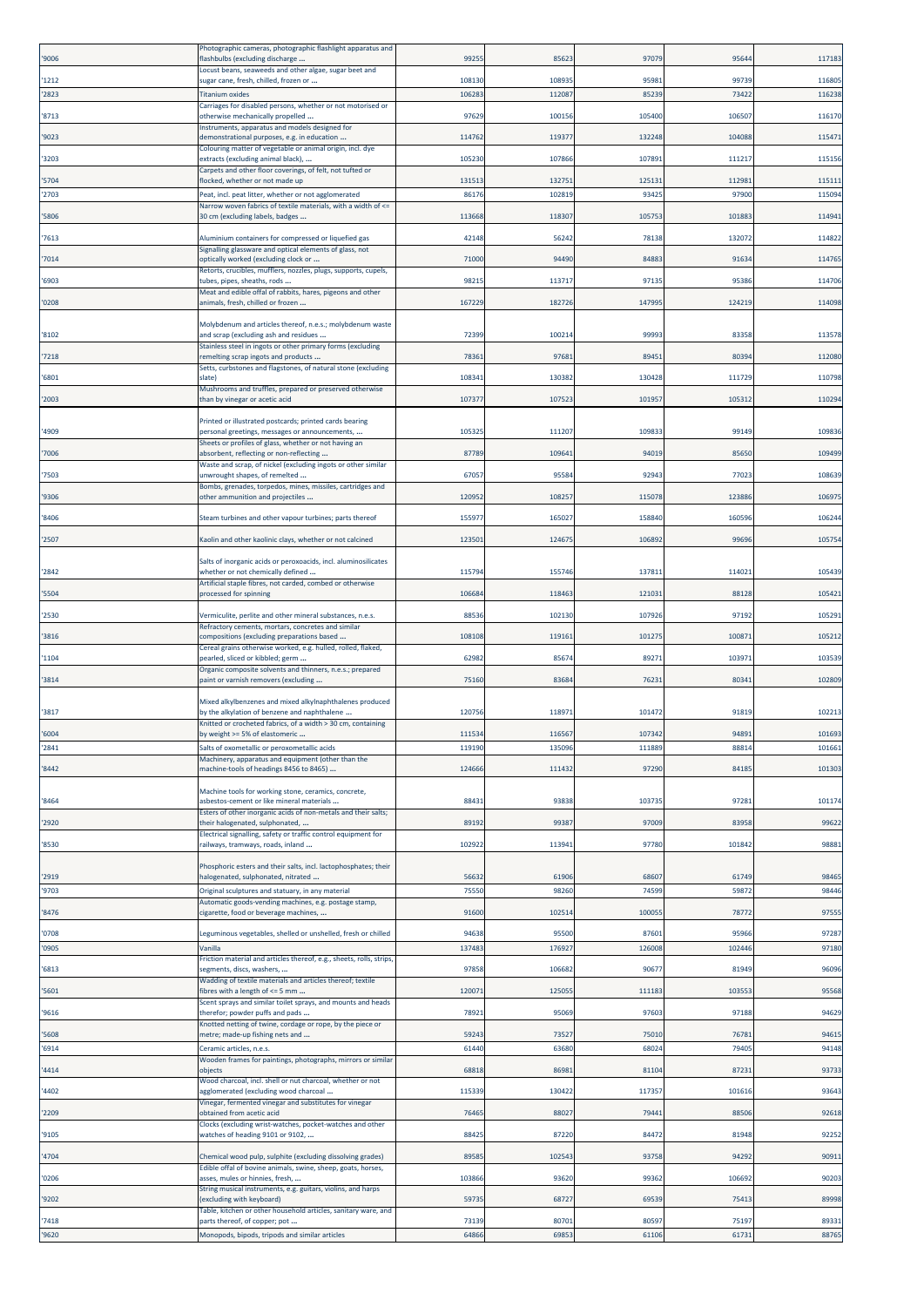| '9006          | Photographic cameras, photographic flashlight apparatus and<br>lashbulbs (excluding discharge                                                                     | 99255           | 85623           | 97079           | 9564            | 117183         |
|----------------|-------------------------------------------------------------------------------------------------------------------------------------------------------------------|-----------------|-----------------|-----------------|-----------------|----------------|
| '1212          | Locust beans, seaweeds and other algae, sugar beet and<br>sugar cane, fresh, chilled, frozen or                                                                   | 108130          | 108935          | 95981           | 9973            | 11680          |
| '2823          | <b>Fitanium oxides</b>                                                                                                                                            | 10628           | 112087          | 85239           | 7342            | 116238         |
| '8713          | Carriages for disabled persons, whether or not motorised or<br>otherwise mechanically propelled                                                                   | 97629           | 100156          | 105400          | 10650           | 116170         |
| '9023          | nstruments, apparatus and models designed for<br>demonstrational purposes, e.g. in education                                                                      | 114762          | 119377          | 132248          | 104088          | 11547          |
| '3203          | Colouring matter of vegetable or animal origin, incl. dye<br>extracts (excluding animal black),                                                                   | 105230          | 107866          | 107891          | 111217          | 115156         |
| 5704           | Carpets and other floor coverings, of felt, not tufted or<br>flocked, whether or not made up                                                                      | 13151           | 13275:          | 125131          | 11298:          | 11511          |
| '2703          | Peat, incl. peat litter, whether or not agglomerated<br>Narrow woven fabrics of textile materials, with a width of <=                                             | 86176           | 102819          | 93425           | 97900           | 115094         |
| 5806           | 30 cm (excluding labels, badges                                                                                                                                   | 113668          | 118307          | 105753          | 101883          | 114941         |
| 7613           | Aluminium containers for compressed or liquefied gas<br>Signalling glassware and optical elements of glass, not                                                   | 42148           | 56242           | 78138           | 13207           | 11482          |
| 7014           | optically worked (excluding clock or                                                                                                                              | 71000           | 94490           | 84883           | 9163            | 11476          |
| '6903          | Retorts, crucibles, mufflers, nozzles, plugs, supports, cupels,<br>tubes, pipes, sheaths, rods                                                                    | 98215           | 113717          | 97135           | 95386           | 114706         |
| '0208          | Meat and edible offal of rabbits, hares, pigeons and other<br>animals, fresh, chilled or frozen                                                                   | 16722           | 182726          | 147995          | 124219          | 114098         |
|                | Molybdenum and articles thereof, n.e.s.; molybdenum waste                                                                                                         |                 |                 |                 |                 |                |
| '8102          | and scrap (excluding ash and residues<br>Stainless steel in ingots or other primary forms (excluding                                                              | 72399           | 100214          | 99993           | 83358           | 113578         |
| 7218           | remelting scrap ingots and products<br>Setts, curbstones and flagstones, of natural stone (excluding                                                              | 78361           | 97681           | 89451           | 8039            | 112080         |
| '6801          | slate)<br>Mushrooms and truffles, prepared or preserved otherwise                                                                                                 | 10834           | 130382          | 130428          | 11172           | 110798         |
| '2003          | than by vinegar or acetic acid                                                                                                                                    | 10737           | 107523          | 101957          | 10531           | 110294         |
| '4909          | Printed or illustrated postcards; printed cards bearing<br>personal greetings, messages or announcements,                                                         | 105325          | 111207          | 109833          | 99149           | 109836         |
| 7006           | Sheets or profiles of glass, whether or not having an<br>absorbent, reflecting or non-reflecting                                                                  | 87789           | 109641          | 94019           | 8565            | 109499         |
|                | Waste and scrap, of nickel (excluding ingots or other similar                                                                                                     | 67057           | 95584           | 92943           | 7702            | 108639         |
| '7503          | unwrought shapes, of remelted<br>Bombs, grenades, torpedos, mines, missiles, cartridges and                                                                       |                 |                 |                 |                 |                |
| '9306          | other ammunition and projectiles                                                                                                                                  | 12095           | 10825           | 115078          | 123886          | 10697          |
| 8406           | Steam turbines and other vapour turbines; parts thereof                                                                                                           | 15597           | 165027          | 158840          | 16059           | 10624          |
| '2507          | Kaolin and other kaolinic clays, whether or not calcined                                                                                                          | 123501          | 124675          | 106892          | 99696           | 105754         |
| '2842          | Salts of inorganic acids or peroxoacids, incl. aluminosilicates<br>whether or not chemically defined<br>Artificial staple fibres, not carded, combed or otherwise | 11579           | 155746          | 137811          | 11402:          | 105439         |
| '5504          | processed for spinning                                                                                                                                            | 10668           | 118463          | 121031          | 88128           | 10542:         |
| '2530          | Vermiculite, perlite and other mineral substances, n.e.s.                                                                                                         | 88536           | 102130          | 107926          | 97192           | 10529:         |
| 3816           | Refractory cements, mortars, concretes and similar<br>compositions (excluding preparations based                                                                  | 108108          | 119161          | 101275          | 10087           | 10521          |
| 1104           | Cereal grains otherwise worked, e.g. hulled, rolled, flaked,<br>pearled, sliced or kibbled; germ                                                                  | 62982           | 85674           | 89271           | 10397           | 103539         |
| '3814          | Organic composite solvents and thinners, n.e.s.; prepared<br>paint or varnish removers (excluding                                                                 | 75160           | 83684           | 76231           | 8034            | 102809         |
|                | Mixed alkylbenzenes and mixed alkylnaphthalenes produced                                                                                                          |                 |                 |                 |                 |                |
| '3817          | by the alkylation of benzene and naphthalene<br>Knitted or crocheted fabrics, of a width > 30 cm, containing                                                      | 120756          | 118971          | 101472          | 91819           | 102213         |
| '6004          | by weight >= 5% of elastomeric                                                                                                                                    | 111534          | 116567          | 107342          | 94891           | 101693         |
| '2841          | Salts of oxometallic or peroxometallic acids<br>Machinery, apparatus and equipment (other than the                                                                | 119190          | 135096          | 111889          | 88814           | 101661         |
| 8442           | machine-tools of headings 8456 to 8465)                                                                                                                           | 124666          | 111432          | 97290           | 8418            | 101303         |
| '8464          | Machine tools for working stone, ceramics, concrete,<br>asbestos-cement or like mineral materials                                                                 | 88431           | 93838           | 103735          | 9728:           | 101174         |
| '2920          | Esters of other inorganic acids of non-metals and their salts;<br>their halogenated, sulphonated,                                                                 | 89192           | 99387           | 97009           | 8395            | 99622          |
| '8530          | Electrical signalling, safety or traffic control equipment for<br>railways, tramways, roads, inland                                                               | 102922          | 113941          | 97780           | 101842          | 98881          |
|                | Phosphoric esters and their salts, incl. lactophosphates; their                                                                                                   |                 |                 |                 |                 |                |
| 2919<br>'9703  | nalogenated, sulphonated, nitrated<br>Original sculptures and statuary, in any material                                                                           | 56632<br>75550  | 61906<br>98260  | 68607<br>74599  | 61749<br>5987   | 98465<br>98446 |
|                | Automatic goods-vending machines, e.g. postage stamp,                                                                                                             | 91600           | 102514          | 100055          | 78772           |                |
| 8476           | cigarette, food or beverage machines,                                                                                                                             |                 |                 |                 |                 | 97555          |
| '0708<br>'0905 | Leguminous vegetables, shelled or unshelled, fresh or chilled<br>Vanilla                                                                                          | 94638<br>137483 | 95500<br>176927 | 87601<br>126008 | 95966<br>102446 | 97287<br>97180 |
| 6813           | Friction material and articles thereof, e.g., sheets, rolls, strips,<br>segments, discs, washers,                                                                 | 97858           | 106682          | 90677           | 81949           | 96096          |
| 5601           | Wadding of textile materials and articles thereof; textile<br>fibres with a length of <= 5 mm                                                                     | 12007:          | 125055          | 111183          | 103553          | 95568          |
| '9616          | Scent sprays and similar toilet sprays, and mounts and heads<br>therefor; powder puffs and pads                                                                   | 78921           | 95069           | 97603           | 97188           | 94629          |
|                | Knotted netting of twine, cordage or rope, by the piece or                                                                                                        | 59243           | 73527           | 75010           | 7678            | 94615          |
| '5608<br>'6914 | metre; made-up fishing nets and<br>Ceramic articles, n.e.s.                                                                                                       | 61440           | 63680           | 68024           | 7940            | 94148          |
| '4414          | Wooden frames for paintings, photographs, mirrors or similar<br>objects                                                                                           | 68818           | 86981           | 81104           | 8723:           | 93733          |
| 4402           | Wood charcoal, incl. shell or nut charcoal, whether or not<br>agglomerated (excluding wood charcoal                                                               | 115339          | 130422          | 117357          | 101616          | 93643          |
| '2209          | Vinegar, fermented vinegar and substitutes for vinegar<br>obtained from acetic acid                                                                               | 7646            | 88027           | 79441           | 8850            | 92618          |
| '9105          | Clocks (excluding wrist-watches, pocket-watches and other<br>watches of heading 9101 or 9102,                                                                     | 88425           | 87220           | 84472           | 81948           | 92252          |
| 4704           | Chemical wood pulp, sulphite (excluding dissolving grades)                                                                                                        | 89585           | 102543          | 93758           | 94292           | 90911          |
| '0206          | Edible offal of bovine animals, swine, sheep, goats, horses,<br>asses, mules or hinnies, fresh,                                                                   | 103866          | 93620           | 99362           | 106692          | 90203          |
| '9202          | String musical instruments, e.g. guitars, violins, and harps                                                                                                      |                 |                 |                 |                 | 89998          |
|                |                                                                                                                                                                   | 59735           |                 |                 |                 |                |
| 7418           | excluding with keyboard)<br>Table, kitchen or other household articles, sanitary ware, and<br>parts thereof, of copper; pot                                       | 73139           | 68727<br>80701  | 69539<br>80597  | 7541<br>75197   | 89331          |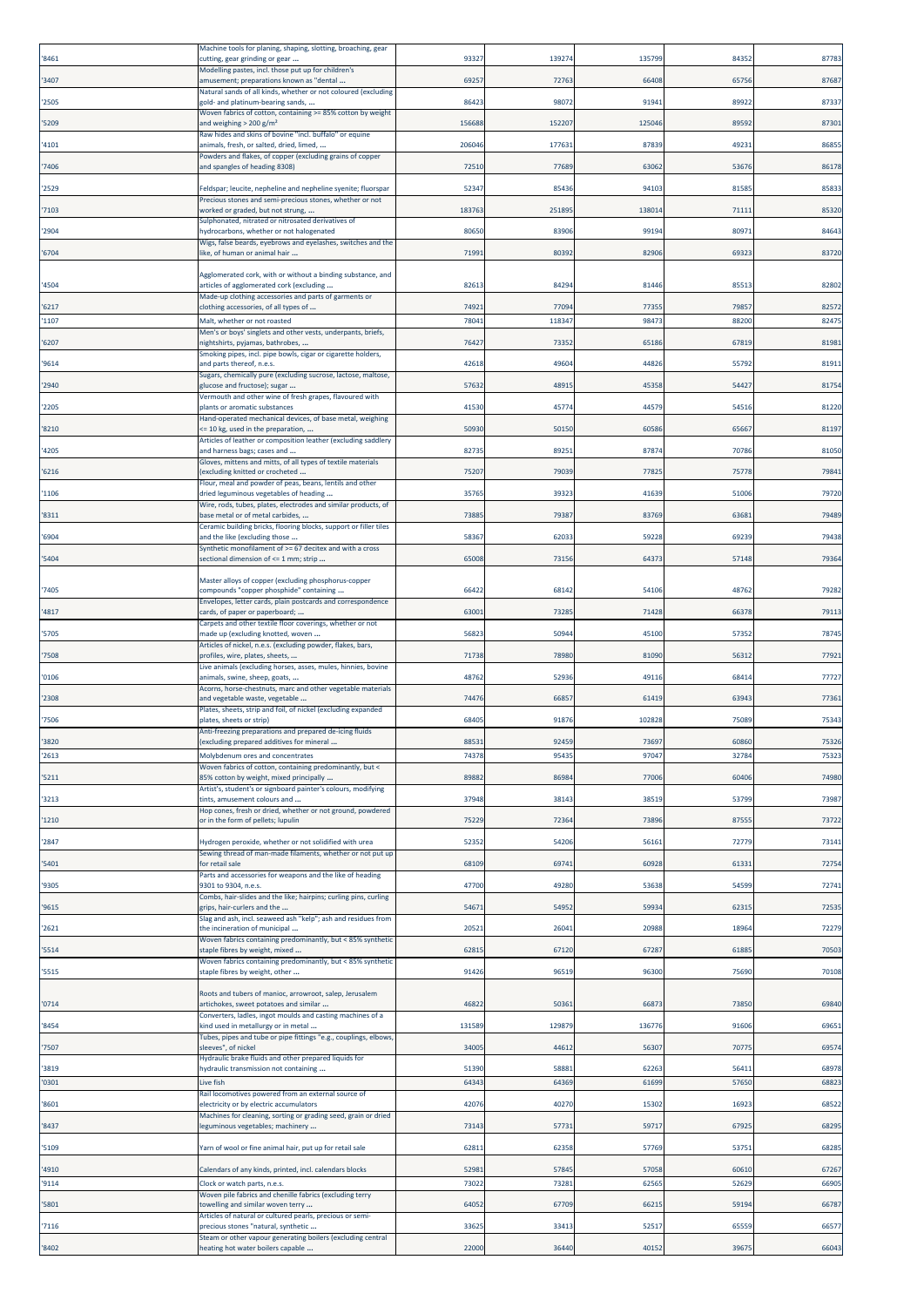| '8461          | Machine tools for planing, shaping, slotting, broaching, gear<br>cutting, gear grinding or gear                                | 93327          | 13927          | 135799         | 8435          | 87783          |
|----------------|--------------------------------------------------------------------------------------------------------------------------------|----------------|----------------|----------------|---------------|----------------|
| '3407          | Modelling pastes, incl. those put up for children's<br>musement; preparations known as "dental                                 | 6925           | 72763          | 66408          | 6575          | 87687          |
| '2505          | Natural sands of all kinds, whether or not coloured (excluding<br>gold- and platinum-bearing sands,                            | 8642           | 98072          | 91941          | 8992          | 87337          |
| '5209          | Woven fabrics of cotton, containing >= 85% cotton by weight<br>and weighing $> 200$ g/m <sup>2</sup>                           | 156688         | 152207         | 125046         | 8959          | 87301          |
| '4101          | Raw hides and skins of bovine "incl. buffalo" or equine<br>animals, fresh, or salted, dried, limed,                            | 20604          | 177631         | 87839          | 4923          | 8685           |
|                | owders and flakes, of copper (excluding grains of copper                                                                       |                | 77689          |                | 5367          | 86178          |
| '7406          | and spangles of heading 8308)                                                                                                  | 72510          |                | 63062          |               |                |
| '2529          | Feldspar; leucite, nepheline and nepheline syenite; fluorspar<br>Precious stones and semi-precious stones, whether or not      | 52347          | 85436          | 94103          | 8158          | 85833          |
| '7103          | worked or graded, but not strung,<br>Sulphonated, nitrated or nitrosated derivatives of                                        | 183763         | 251895         | 138014         | 7111          | 85320          |
| '2904          | hydrocarbons, whether or not halogenated<br>Wigs, false beards, eyebrows and eyelashes, switches and the                       | 8065           | 83906          | 99194          | 8097          | 8464           |
| '6704          | like, of human or animal hair                                                                                                  | 71991          | 80392          | 82906          | 6932          | 83720          |
| '4504          | Agglomerated cork, with or without a binding substance, and<br>articles of agglomerated cork (excluding                        | 8261           | 84294          | 81446          | 8551          | 82802          |
| '6217          | Made-up clothing accessories and parts of garments or<br>clothing accessories, of all types of                                 | 74921          | 77094          | 77355          | 7985          | 82572          |
| '1107          | Malt, whether or not roasted<br>Men's or boys' singlets and other vests, underpants, briefs,                                   | 78041          | 118347         | 98473          | 8820          | 8247           |
| '6207          | ightshirts, pyjamas, bathrobes,<br>Smoking pipes, incl. pipe bowls, cigar or cigarette holders,                                | 76427          | 73352          | 65186          | 6781          | 81981          |
| '9614          | and parts thereof, n.e.s.                                                                                                      | 42618          | 49604          | 44826          | 5579          | 8191           |
| '2940          | Sugars, chemically pure (excluding sucrose, lactose, maltose,<br>glucose and fructose); sugar                                  | 57632          | 4891           | 45358          | 5442          | 8175           |
| '2205          | Vermouth and other wine of fresh grapes, flavoured with<br>plants or aromatic substances                                       | 41530          | 45774          | 44579          | 54516         | 81220          |
| '8210          | Hand-operated mechanical devices, of base metal, weighing<br>= 10 kg, used in the preparation,                                 | 50930          | 50150          | 60586          | 6566          | 81197          |
| '4205          | Articles of leather or composition leather (excluding saddlery<br>and harness bags; cases and                                  | 8273           | 8925           | 87874          | 7078          | 81050          |
| '6216          | Gloves, mittens and mitts, of all types of textile materials<br>excluding knitted or crocheted                                 | 75207          | 79039          | 77825          | 7577          | 79841          |
| '1106          | Flour, meal and powder of peas, beans, lentils and other<br>dried leguminous vegetables of heading                             | 35765          | 39323          | 41639          | 5100          | 79720          |
| '8311          | Wire, rods, tubes, plates, electrodes and similar products, of<br>base metal or of metal carbides,                             | 73885          | 79387          | 83769          | 6368          | 79489          |
| '6904          | Ceramic building bricks, flooring blocks, support or filler tiles<br>and the like (excluding those                             | 58367          | 62033          | 59228          | 6923          | 79438          |
| '5404          | Synthetic monofilament of >= 67 decitex and with a cross<br>sectional dimension of <= 1 mm; strip                              | 65008          | 73156          | 64373          | 57148         | 79364          |
| '7405          | Master alloys of copper (excluding phosphorus-copper<br>compounds "copper phosphide" containing                                | 66422          | 68142          | 54106          | 4876          | 79282          |
| '4817          | Envelopes, letter cards, plain postcards and correspondence                                                                    | 63001          | 73285          | 71428          | 6637          | 79113          |
|                | cards, of paper or paperboard;<br>Carpets and other textile floor coverings, whether or not                                    |                |                |                |               |                |
| '5705          | made up (excluding knotted, woven<br>Articles of nickel, n.e.s. (excluding powder, flakes, bars,                               | 5682           | 50944          | 45100          | 5735          | 7874           |
| '7508          | profiles, wire, plates, sheets,<br>Live animals (excluding horses, asses, mules, hinnies, bovine                               | 71738          | 78980          | 81090          | 5631          | 7792:          |
| '0106<br>'2308 | animals, swine, sheep, goats,<br>Acorns, horse-chestnuts, marc and other vegetable materials<br>and vegetable waste, vegetable | 48762<br>74476 | 52936<br>66857 | 49116<br>61419 | 6841<br>63943 | 77727<br>77361 |
| '7506          | Plates, sheets, strip and foil, of nickel (excluding expanded<br>plates, sheets or strip)                                      | 68405          | 91876          | 102828         | 75089         | 75343          |
|                | Anti-freezing preparations and prepared de-icing fluids                                                                        |                |                |                |               |                |
| '3820<br>'2613 | excluding prepared additives for mineral<br>Molybdenum ores and concentrates                                                   | 8853<br>7437   | 9245<br>95435  | 7369<br>9704   | 6086<br>3278  | 75326<br>75323 |
| '5211          | Woven fabrics of cotton, containing predominantly, but <<br>85% cotton by weight, mixed principally                            | 89882          | 86984          | 77006          | 60406         | 74980          |
| '3213          | Artist's, student's or signboard painter's colours, modifying<br>tints, amusement colours and                                  | 37948          | 38143          | 38519          | 53799         | 73987          |
| '1210          | Hop cones, fresh or dried, whether or not ground, powdered<br>or in the form of pellets; lupulin                               | 7522           | 72364          | 73896          | 8755          | 73722          |
|                |                                                                                                                                |                |                |                |               |                |
| '2847          | Hydrogen peroxide, whether or not solidified with urea<br>ewing thread of man-made filaments, whether or not put up            | 52352          | 54206          | 56161          | 7277          | 73141          |
| '5401          | or retail sale<br>Parts and accessories for weapons and the like of heading                                                    | 68109          | 69741          | 60928          | 6133          | 72754          |
| '9305          | 9301 to 9304, n.e.s.<br>Combs, hair-slides and the like; hairpins; curling pins, curling                                       | 47700          | 49280          | 53638          | 54599         | 72741          |
| '9615          | grips, hair-curlers and the<br>Slag and ash, incl. seaweed ash "kelp"; ash and residues from                                   | 5467           | 54952          | 59934          | 6231          | 72535          |
| '2621          | the incineration of municipal<br>Woven fabrics containing predominantly, but < 85% synthetic                                   | 20521          | 26041          | 20988          | 1896          | 72279          |
| '5514          | staple fibres by weight, mixed<br>Woven fabrics containing predominantly, but < 85% synthetic                                  | 6281           | 67120          | 67287          | 6188          | 70503          |
| '5515          | staple fibres by weight, other                                                                                                 | 91426          | 96519          | 96300          | 7569          | 70108          |
| '0714          | Roots and tubers of manioc, arrowroot, salep, Jerusalem<br>artichokes, sweet potatoes and similar                              | 46822          | 50361          | 66873          | 7385          | 69840          |
| '8454          | Converters, ladles, ingot moulds and casting machines of a<br>kind used in metallurgy or in metal                              | 13158          | 129879         | 136776         | 9160          | 69651          |
| '7507          | Tubes, pipes and tube or pipe fittings "e.g., couplings, elbows,<br>sleeves", of nickel                                        | 3400           | 44612          | 56307          | 7077          | 69574          |
| '3819          | lydraulic brake fluids and other prepared liquids for<br>nydraulic transmission not containing                                 | 51390          | 58881          | 62263          | 5641          | 68978          |
| '0301          | Live fish                                                                                                                      | 6434           | 64369          | 61699          | 5765          | 68823          |
| '8601          | Rail locomotives powered from an external source of<br>electricity or by electric accumulators                                 | 42076          | 40270          | 15302          | 1692          | 68522          |
| '8437          | Machines for cleaning, sorting or grading seed, grain or dried<br>eguminous vegetables; machinery                              | 73143          | 57731          | 59717          | 6792          | 68295          |
| '5109          | Yarn of wool or fine animal hair, put up for retail sale                                                                       | 62811          | 62358          | 57769          | 5375          | 68285          |
| '4910          | Calendars of any kinds, printed, incl. calendars blocks                                                                        | 5298           | 57845          | 57058          | 6061          | 67267          |
| '9114          | Clock or watch parts, n.e.s.<br>Woven pile fabrics and chenille fabrics (excluding terry                                       | 7302           | 73281          | 62565          | 5262          | 66905          |
| '5801          | towelling and similar woven terry<br>Articles of natural or cultured pearls, precious or semi-                                 | 6405           | 67709          | 66215          | 5919          | 66787          |
| '7116          | precious stones "natural, synthetic<br>Steam or other vapour generating boilers (excluding central                             | 3362           | 33413          | 52517          | 6555          | 66577          |
| '8402          | heating hot water boilers capable                                                                                              | 22000          | 36440          | 40152          | 3967          | 66043          |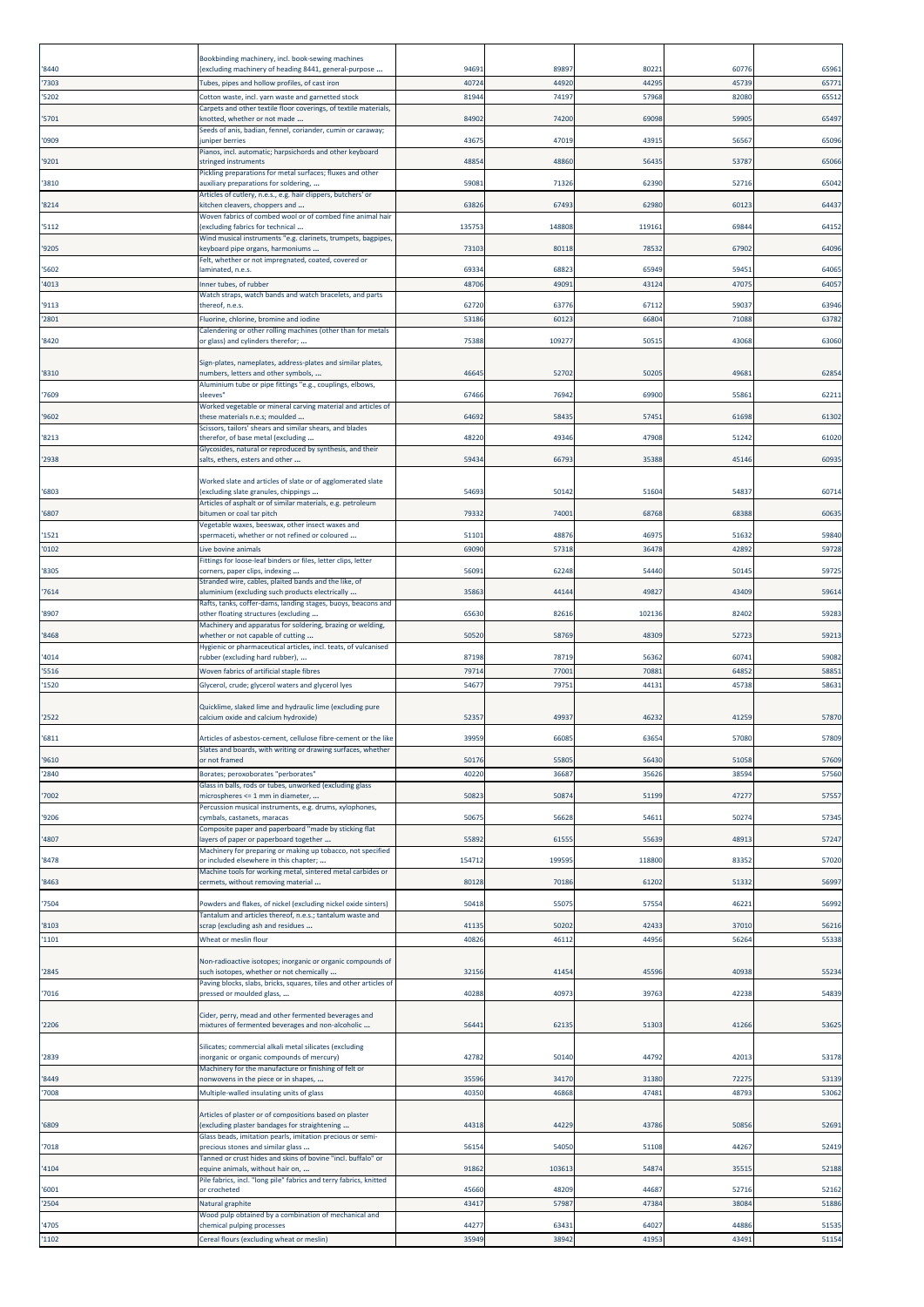|                | Bookbinding machinery, incl. book-sewing machines                                                                           |                |                |                |                |                |
|----------------|-----------------------------------------------------------------------------------------------------------------------------|----------------|----------------|----------------|----------------|----------------|
| '8440          | excluding machinery of heading 8441, general-purpose                                                                        | 94691          | 89897          | 80221          | 60776          | 65961          |
| '7303<br>'5202 | Tubes, pipes and hollow profiles, of cast iron<br>Cotton waste, incl. yarn waste and garnetted stock                        | 4072<br>8194   | 44920<br>74197 | 44295<br>57968 | 45739<br>82080 | 65771<br>65512 |
|                | Carpets and other textile floor coverings, of textile materials,                                                            |                |                |                |                |                |
| '5701          | knotted, whether or not made<br>Seeds of anis, badian, fennel, coriander, cumin or caraway;                                 | 84902          | 74200          | 69098          | 5990           | 65497          |
| '0909          | uniper berries<br>Pianos, incl. automatic; harpsichords and other keyboard                                                  | 43675          | 47019          | 43915          | 5656           | 65096          |
| '9201          | stringed instruments<br>Pickling preparations for metal surfaces; fluxes and other                                          | 48854          | 48860          | 56435          | 53787          | 65066          |
| '3810          | auxiliary preparations for soldering,                                                                                       | 59081          | 71326          | 62390          | 52716          | 65042          |
| '8214          | Articles of cutlery, n.e.s., e.g. hair clippers, butchers' or<br>kitchen cleavers, choppers and                             | 63826          | 6749           | 62980          | 60123          | 64437          |
| '5112          | Woven fabrics of combed wool or of combed fine animal hair<br>excluding fabrics for technical                               | 135753         | 148808         | 119161         | 6984           | 64152          |
| '9205          | Wind musical instruments "e.g. clarinets, trumpets, bagpipes,                                                               | 73103          | 80118          | 78532          | 67902          | 64096          |
|                | ceyboard pipe organs, harmoniums<br>Felt, whether or not impregnated, coated, covered or                                    |                |                |                |                |                |
| '5602<br>'4013 | aminated, n.e.s.<br>nner tubes, of rubber                                                                                   | 69334<br>4870  | 68823<br>4909  | 65949<br>43124 | 5945<br>4707   | 64065<br>6405  |
|                | Watch straps, watch bands and watch bracelets, and parts                                                                    |                |                |                |                |                |
| '9113<br>'2801 | thereof, n.e.s.<br>Fluorine, chlorine, bromine and iodine                                                                   | 62720<br>53186 | 63776<br>6012  | 67112<br>66804 | 5903<br>7108   | 63946<br>63782 |
| '8420          | Calendering or other rolling machines (other than for metals<br>or glass) and cylinders therefor;                           | 75388          | 10927          | 50515          | 43068          | 63060          |
|                |                                                                                                                             |                |                |                |                |                |
| '8310          | Sign-plates, nameplates, address-plates and similar plates,<br>numbers, letters and other symbols,                          | 46645          | 52702          | 50205          | 4968:          | 62854          |
| '7609          | Aluminium tube or pipe fittings "e.g., couplings, elbows,<br>sleeves'                                                       | 67466          | 76942          | 69900          | 5586           | 62211          |
| '9602          | Worked vegetable or mineral carving material and articles of<br>these materials n.e.s; moulded                              | 64692          | 58435          | 57451          | 61698          | 61302          |
|                | Scissors, tailors' shears and similar shears, and blades<br>therefor, of base metal (excluding                              |                |                |                |                |                |
| '8213          | Glycosides, natural or reproduced by synthesis, and their                                                                   | 48220          | 49346          | 47908          | 51242          | 61020          |
| '2938          | salts, ethers, esters and other                                                                                             | 59434          | 66793          | 35388          | 45146          | 60935          |
| '6803          | Worked slate and articles of slate or of agglomerated slate<br>excluding slate granules, chippings                          | 5469           | 50142          | 51604          | 5483           | 60714          |
| '6807          | Articles of asphalt or of similar materials, e.g. petroleum<br>bitumen or coal tar pitch                                    | 79332          | 74001          | 68768          | 68388          | 60635          |
| '1521          | Vegetable waxes, beeswax, other insect waxes and<br>spermaceti, whether or not refined or coloured                          | 51101          | 48876          | 46975          | 5163           | 59840          |
| '0102          | Live bovine animals                                                                                                         | 6909           | 57318          | 36478          | 4289           | 59728          |
| '8305          | Fittings for loose-leaf binders or files, letter clips, letter<br>corners, paper clips, indexing                            | 5609           | 62248          | 54440          | 5014           | 5972           |
| '7614          | Stranded wire, cables, plaited bands and the like, of<br>aluminium (excluding such products electrically                    | 3586           | 44144          | 4982           | 43409          | 59614          |
| '8907          | Rafts, tanks, coffer-dams, landing stages, buoys, beacons and<br>other floating structures (excluding                       | 65630          | 82616          | 102136         | 82402          | 5928           |
|                | Machinery and apparatus for soldering, brazing or welding,                                                                  |                |                |                |                |                |
| '8468          | whether or not capable of cutting<br>Hygienic or pharmaceutical articles, incl. teats, of vulcanised                        | 50520          | 58769          | 48309          | 52723          | 5921           |
| 4014<br>'5516  | ubber (excluding hard rubber),<br>Woven fabrics of artificial staple fibres                                                 | 87198<br>7971  | 78719<br>77001 | 56362<br>70881 | 6074:<br>6485  | 59082<br>58851 |
| '1520          | Glycerol, crude; glycerol waters and glycerol lyes                                                                          | 5467           | 79751          | 44131          | 4573           | 58631          |
|                | Quicklime, slaked lime and hydraulic lime (excluding pure                                                                   |                |                |                |                |                |
| '2522          | calcium oxide and calcium hydroxide)                                                                                        | 5235           | 49937          | 46232          | 4125           | 57870          |
| '6811          | Articles of asbestos-cement, cellulose fibre-cement or the like                                                             | 3995           | 6608           | 63654          | 57080          | 57809          |
| '9610          | Slates and boards, with writing or drawing surfaces, whether<br>or not framed                                               | 50176          | 55805          | 56430          | 51058          | 57609          |
| '2840          | Borates; peroxoborates "perborates"<br>Glass in balls, rods or tubes, unworked (excluding glass                             | 40220          | 36687          | 35626          | 3859           | 57560          |
| '7002          | microspheres <= 1 mm in diameter,                                                                                           | 50823          | 50874          | 51199          | 47277          | 57557          |
| '9206          | Percussion musical instruments, e.g. drums, xylophones,<br>cymbals, castanets, maracas                                      | 5067           | 56628          | 54611          | 5027           | 5734           |
| '4807          | Composite paper and paperboard "made by sticking flat<br>ayers of paper or paperboard together                              | 55892          | 61555          | 55639          | 4891           | 57247          |
| '8478          | Machinery for preparing or making up tobacco, not specified<br>or included elsewhere in this chapter;                       | 154712         | 199595         | 118800         | 8335           | 57020          |
|                | Machine tools for working metal, sintered metal carbides or                                                                 |                |                |                |                |                |
| '8463          | cermets, without removing material                                                                                          | 80128          | 70186          | 61202          | 5133           | 56997          |
| 7504           | Powders and flakes, of nickel (excluding nickel oxide sinters)<br>Tantalum and articles thereof, n.e.s.; tantalum waste and | 50418          | 55075          | 57554          | 46221          | 56992          |
| '8103<br>'1101 | scrap (excluding ash and residues<br>Wheat or meslin flour                                                                  | 41135<br>40826 | 50202<br>46112 | 42433<br>44956 | 37010<br>56264 | 56216<br>55338 |
|                |                                                                                                                             |                |                |                |                |                |
| '2845          | Non-radioactive isotopes; inorganic or organic compounds of<br>such isotopes, whether or not chemically                     | 32156          | 41454          | 45596          | 40938          | 55234          |
| '7016          | Paving blocks, slabs, bricks, squares, tiles and other articles of<br>pressed or moulded glass,                             | 40288          | 4097           | 39763          | 42238          | 54839          |
|                | Cider, perry, mead and other fermented beverages and                                                                        |                |                |                |                |                |
| '2206          | mixtures of fermented beverages and non-alcoholic                                                                           | 5644           | 62135          | 51303          | 41266          | 53625          |
|                | Silicates; commercial alkali metal silicates (excluding                                                                     |                |                |                |                |                |
| '2839          | norganic or organic compounds of mercury)<br>Machinery for the manufacture or finishing of felt or                          | 42782          | 50140          | 44792          | 4201           | 53178          |
| '8449<br>'7008 | nonwovens in the piece or in shapes,<br>Multiple-walled insulating units of glass                                           | 35596<br>40350 | 34170<br>46868 | 31380<br>47481 | 7227<br>4879   | 53139<br>53062 |
|                |                                                                                                                             |                |                |                |                |                |
| '6809          | Articles of plaster or of compositions based on plaster<br>excluding plaster bandages for straightening                     | 44318          | 44229          | 43786          | 50856          | 52691          |
| 7018           | Glass beads, imitation pearls, imitation precious or semi-<br>precious stones and similar glass                             | 56154          | 54050          | 51108          | 44267          | 52419          |
| '4104          | Tanned or crust hides and skins of bovine "incl. buffalo" or<br>equine animals, without hair on,                            | 91862          | 103613         | 54874          | 3551           | 52188          |
|                | Pile fabrics, incl. "long pile" fabrics and terry fabrics, knitted                                                          |                |                |                |                |                |
| '6001<br>'2504 | or crocheted<br>Natural graphite                                                                                            | 45660<br>43417 | 48209<br>57987 | 44687<br>47384 | 52716<br>38084 | 52162<br>51886 |
| '4705          | Wood pulp obtained by a combination of mechanical and<br>chemical pulping processes                                         | 44277          | 63431          | 64027          | 44886          | 51535          |
| '1102          | Cereal flours (excluding wheat or meslin)                                                                                   | 35949          | 38942          | 41953          | 4349:          | 51154          |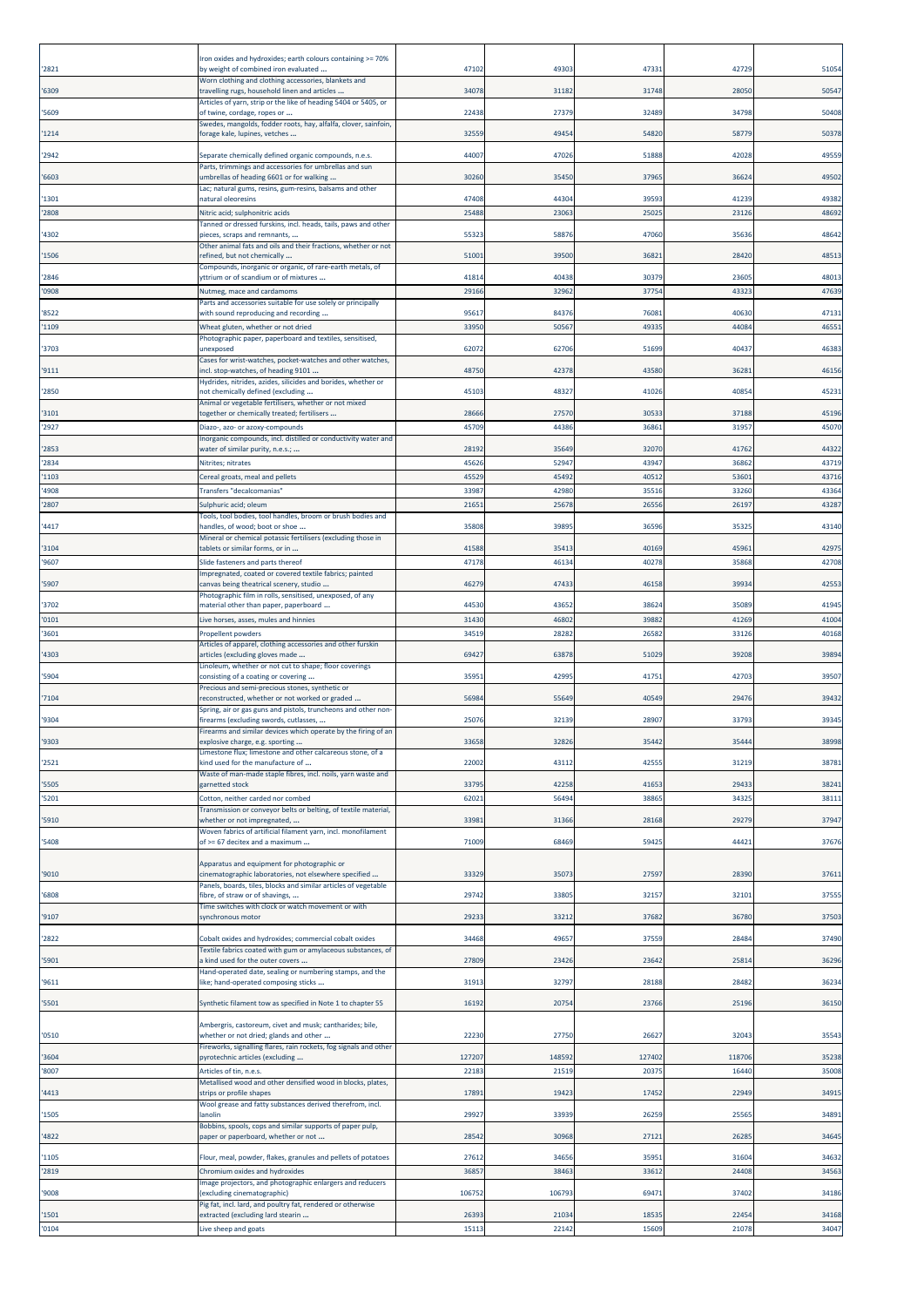| '2821          | Iron oxides and hydroxides; earth colours containing >= 70%<br>by weight of combined iron evaluated                      | 47102          | 49303          | 4733           | 4272           | 51054          |
|----------------|--------------------------------------------------------------------------------------------------------------------------|----------------|----------------|----------------|----------------|----------------|
| '6309          | Worn clothing and clothing accessories, blankets and<br>ravelling rugs, household linen and articles                     | 34078          | 31182          | 31748          | 28050          | 5054           |
| '5609          | Articles of yarn, strip or the like of heading 5404 or 5405, or<br>of twine, cordage, ropes or                           | 22438          | 27379          | 32489          | 34798          | 50408          |
| '1214          | Swedes, mangolds, fodder roots, hay, alfalfa, clover, sainfoin,<br>forage kale, lupines, vetches                         | 3255           | 49454          | 54820          | 5877           | 50378          |
| '2942          | Separate chemically defined organic compounds, n.e.s.                                                                    | 44007          | 47026          | 51888          | 4202           | 49559          |
| '6603          | Parts, trimmings and accessories for umbrellas and sun<br>umbrellas of heading 6601 or for walking                       | 30260          | 35450          | 37965          | 3662           | 49502          |
| '1301          | .ac; natural gums, resins, gum-resins, balsams and other<br>natural oleoresins                                           | 47408          | 44304          | 39593          | 41239          | 49382          |
| '2808          | Nitric acid; sulphonitric acids                                                                                          | 25488          | 23063          | 25025          | 23126          | 48692          |
| '4302          | Tanned or dressed furskins, incl. heads, tails, paws and other<br>bieces, scraps and remnants,                           | 5532           | 58876          | 47060          | 3563           | 48642          |
| '1506          | Other animal fats and oils and their fractions, whether or not<br>refined, but not chemically                            | 5100           | 39500          | 36821          | 28420          | 48513          |
| '2846          | Compounds, inorganic or organic, of rare-earth metals, of<br>yttrium or of scandium or of mixtures                       | 41814          | 40438          | 30379          | 2360           | 48013          |
| '0908          | Nutmeg, mace and cardamoms<br>Parts and accessories suitable for use solely or principally                               | 29166          | 32962          | 37754          | 43323          | 47639          |
| '8522          | with sound reproducing and recording                                                                                     | 9561           | 84376          | 76081          | 4063           | 4713:          |
| '1109          | Wheat gluten, whether or not dried<br>Photographic paper, paperboard and textiles, sensitised,                           | 3395           | 50567          | 49335          | 4408           | 4655           |
| '3703          | unexposed<br>Cases for wrist-watches, pocket-watches and other watches,                                                  | 6207           | 62706          | 51699          | 4043           | 46383          |
| '9111          | ncl. stop-watches, of heading 9101<br>lydrides, nitrides, azides, silicides and borides, whether or                      | 48750          | 42378          | 43580          | 3628           | 46156          |
| '2850          | not chemically defined (excluding                                                                                        | 45103          | 48327          | 41026          | 4085           | 4523           |
| '3101          | Animal or vegetable fertilisers, whether or not mixed<br>together or chemically treated; fertilisers                     | 28666          | 27570          | 30533          | 37188          | 45196          |
| '2927          | Diazo-, azo- or azoxy-compounds<br>norganic compounds, incl. distilled or conductivity water and                         | 45709          | 44386          | 36861          | 3195           | 45070          |
| '2853<br>'2834 | water of similar purity, n.e.s.;<br>Nitrites; nitrates                                                                   | 28192<br>45626 | 35649<br>52947 | 32070<br>43947 | 41762<br>36862 | 44322<br>43719 |
| '1103          | Cereal groats, meal and pellets                                                                                          | 45529          | 45492          | 40512          | 5360           | 43716          |
| '4908<br>'2807 | Transfers "decalcomanias"<br>Sulphuric acid; oleum                                                                       | 33987<br>21651 | 42980<br>25678 | 35516<br>26556 | 33260<br>2619  | 43364<br>43287 |
|                | Tools, tool bodies, tool handles, broom or brush bodies and                                                              |                |                |                |                |                |
| '4417          | nandles, of wood; boot or shoe<br>Mineral or chemical potassic fertilisers (excluding those in                           | 35808          | 39895          | 36596          | 3532           | 43140          |
| '3104<br>'9607 | tablets or similar forms, or in<br>Slide fasteners and parts thereof                                                     | 41588<br>47178 | 35413<br>46134 | 40169<br>40278 | 4596<br>35868  | 4297<br>42708  |
| '5907          | Impregnated, coated or covered textile fabrics; painted<br>canvas being theatrical scenery, studio                       | 46279          | 47433          | 4615           | 3993           | 42553          |
| '3702          | Photographic film in rolls, sensitised, unexposed, of any<br>material other than paper, paperboard                       | 44530          | 43652          | 38624          | 35089          | 41945          |
| '0101          | Live horses, asses, mules and hinnies                                                                                    | 31430          | 46802          | 39882          | 41269          | 41004          |
| '3601          | Propellent powders<br>Articles of apparel, clothing accessories and other furskin                                        | 34519          | 28282          | 26582          | 33126          | 40168          |
| '4303          | articles (excluding gloves made<br>Linoleum, whether or not cut to shape; floor coverings                                | 69427          | 63878          | 51029          | 39208          | 39894          |
| '5904          | :onsisting of a coating or covering                                                                                      | 3595           | 42995          | 41751          | 4270           | 39507          |
| '7104          | Precious and semi-precious stones, synthetic or<br>reconstructed, whether or not worked or graded                        | 56984          | 55649          | 40549          | 2947           | 39432          |
| '9304          | Spring, air or gas guns and pistols, truncheons and other non-<br>irearms (excluding swords, cutlasses,                  | 25076          | 32139          | 28907          | 33793          | 39345          |
| 9303           | Firearms and similar devices which operate by the firing of an<br>xplosive charge, e.g. sporting                         | 3365           | 3282           | 35442          | 3544           | 38998          |
| '2521          | Limestone flux; limestone and other calcareous stone, of a<br>kind used for the manufacture of                           | 22002          | 43112          | 42555          | 3121           | 38781          |
| '5505          | Waste of man-made staple fibres, incl. noils, yarn waste and<br>garnetted stock                                          | 33795          | 42258          | 41653          | 29433          | 38241          |
| '5201          | Cotton, neither carded nor combed<br>Transmission or conveyor belts or belting, of textile material,                     | 6202           | 56494          | 38865          | 3432           | 38111          |
| '5910          | whether or not impregnated,                                                                                              | 3398           | 31366          | 28168          | 29279          | 37947          |
| '5408          | Woven fabrics of artificial filament yarn, incl. monofilament<br>of >= 67 decitex and a maximum                          | 71009          | 68469          | 59425          | 4442           | 37676          |
|                | Apparatus and equipment for photographic or                                                                              |                |                |                |                |                |
| '9010          | cinematographic laboratories, not elsewhere specified<br>Panels, boards, tiles, blocks and similar articles of vegetable | 33329          | 35073          | 27597          | 28390          | 3761           |
| '6808          | ibre, of straw or of shavings,<br>Time switches with clock or watch movement or with                                     | 29742          | 33805          | 32157          | 3210           | 37555          |
| '9107          | synchronous motor                                                                                                        | 29233          | 33212          | 37682          | 36780          | 37503          |
| '2822          | Cobalt oxides and hydroxides; commercial cobalt oxides<br>Textile fabrics coated with gum or amylaceous substances, of   | 34468          | 49657          | 37559          | 28484          | 37490          |
| '5901          | kind used for the outer covers<br>Hand-operated date, sealing or numbering stamps, and the                               | 27809          | 23426          | 23642          | 2581           | 36296          |
| '9611          | like; hand-operated composing sticks                                                                                     | 31913          | 32797          | 28188          | 2848           | 36234          |
| '5501          | Synthetic filament tow as specified in Note 1 to chapter 55                                                              | 16192          | 20754          | 23766          | 25196          | 36150          |
| '0510          | Ambergris, castoreum, civet and musk; cantharides; bile,<br>whether or not dried; glands and other                       | 22230          | 27750          | 26627          | 32043          | 35543          |
| '3604          | Fireworks, signalling flares, rain rockets, fog signals and other<br>oyrotechnic articles (excluding                     | 127207         | 148592         | 127402         | 118706         | 35238          |
| '8007          | Articles of tin, n.e.s.<br>Metallised wood and other densified wood in blocks, plates,                                   | 2218           | 21519          | 20375          | 16440          | 35008          |
| '4413          | strips or profile shapes<br>Wool grease and fatty substances derived therefrom, incl.                                    | 1789           | 19423          | 17452          | 2294           | 34915          |
| '1505          | anolin                                                                                                                   | 29927          | 33939          | 26259          | 2556           | 34891          |
| '4822          | Bobbins, spools, cops and similar supports of paper pulp,<br>paper or paperboard, whether or not                         | 28542          | 30968          | 27121          | 2628           | 34645          |
| '1105          | Flour, meal, powder, flakes, granules and pellets of potatoes                                                            | 27612          | 34656          | 35951          | 31604          | 34632          |
| '2819          | Chromium oxides and hydroxides<br>Image projectors, and photographic enlargers and reducers                              | 36857          | 38463          | 33612          | 24408          | 34563          |
| '9008          | excluding cinematographic)<br>Pig fat, incl. lard, and poultry fat, rendered or otherwise                                | 106752         | 106793         | 69471          | 3740           | 34186          |
| '1501          | extracted (excluding lard stearin                                                                                        | 26393          | 21034          | 18535          | 22454          | 34168          |
| '0104          | Live sheep and goats                                                                                                     | 15113          | 22142          | 15609          | 21078          | 34047          |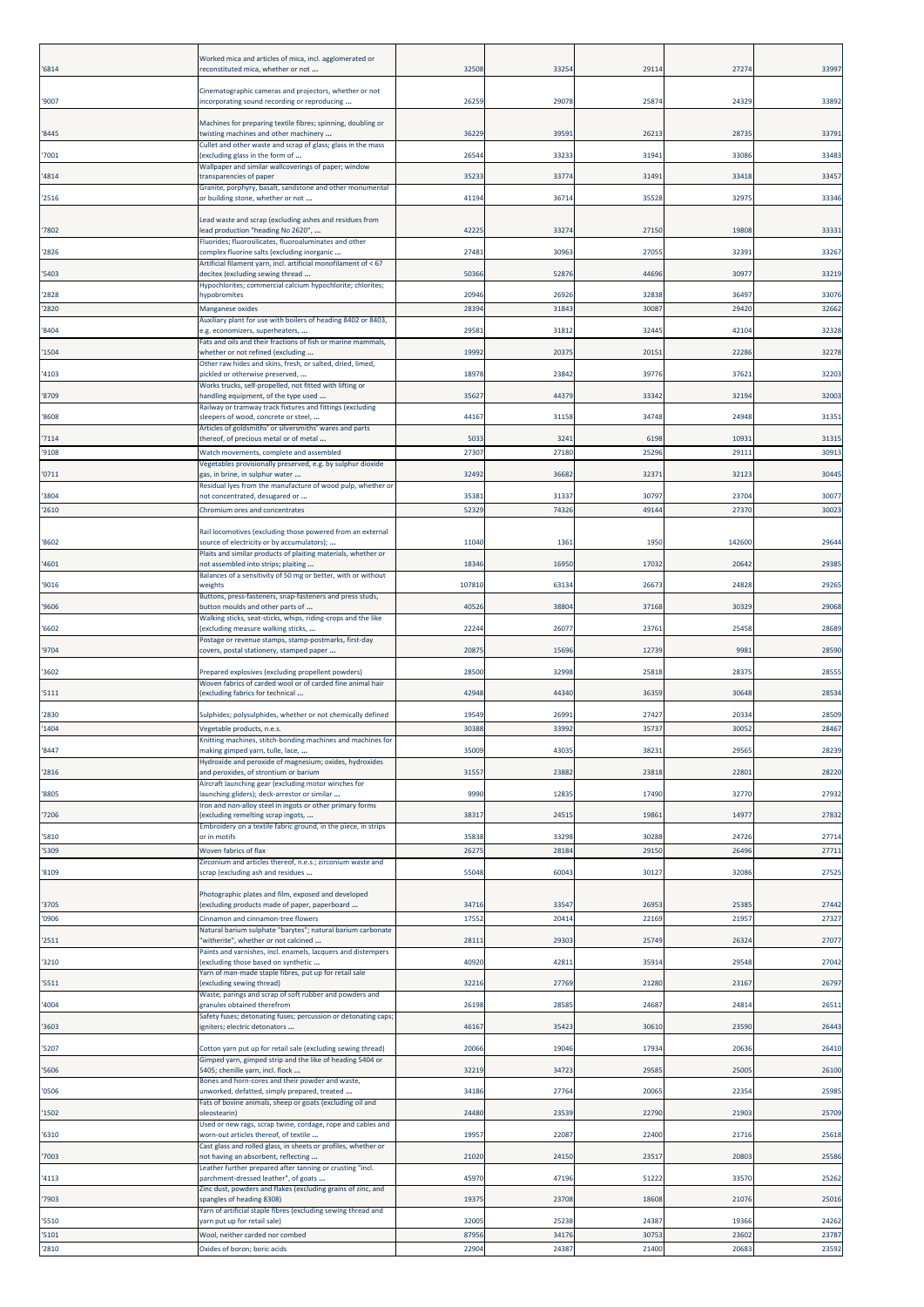|                | Worked mica and articles of mica, incl. agglomerated or                                                                   |                |                |                |                |                |
|----------------|---------------------------------------------------------------------------------------------------------------------------|----------------|----------------|----------------|----------------|----------------|
| '6814          | econstituted mica, whether or not                                                                                         | 32508          | 3325           | 29114          | 27274          | 33997          |
| '9007          | Cinematographic cameras and projectors, whether or not<br>ncorporating sound recording or reproducing                     | 2625           | 29078          | 25874          | 24329          | 33892          |
| '8445          | Machines for preparing textile fibres; spinning, doubling or<br>twisting machines and other machinery                     | 36229          | 39591          | 26213          | 2873           | 33791          |
| '7001          | Cullet and other waste and scrap of glass; glass in the mass<br>excluding glass in the form of                            | 2654           | 33233          | 31941          | 33086          | 33483          |
| '4814          | Wallpaper and similar wallcoverings of paper; window<br>ransparencies of paper                                            | 35233          | 33774          | 31491          | 33418          | 33457          |
| '2516          | Granite, porphyry, basalt, sandstone and other monumental<br>or building stone, whether or not                            | 41194          | 36714          | 35528          | 3297           | 33346          |
|                | Lead waste and scrap (excluding ashes and residues from                                                                   |                |                |                |                |                |
| '7802          | ead production "heading No 2620",<br>Fluorides; fluorosilicates, fluoroaluminates and other                               | 4222           | 33274          | 27150          | 19808          | 33331          |
| '2826          | complex fluorine salts (excluding inorganic<br>Artificial filament yarn, incl. artificial monofilament of < 67            | 27481          | 30963          | 27055          | 3239:          | 33267          |
| '5403          | decitex (excluding sewing thread<br>Hypochlorites; commercial calcium hypochlorite; chlorites;                            | 50366          | 52876          | 44696          | 3097           | 33219          |
| '2828          | hypobromites                                                                                                              | 20946          | 26926          | 32838          | 36497          | 33076          |
| '2820          | <b>Manganese oxides</b><br>Auxiliary plant for use with boilers of heading 8402 or 8403,                                  | 2839           | 31843          | 30087          | 29420          | 32662          |
| '8404          | .g. economizers, superheaters,<br>Fats and oils and their fractions of fish or marine mammals,                            | 29581          | 31812          | 32445          | 42104          | 32328          |
| '1504          | whether or not refined (excluding<br>Other raw hides and skins, fresh, or salted, dried, limed,                           | 19992          | 20375          | 20151          | 22286          | 32278          |
| '4103          | pickled or otherwise preserved,<br>Works trucks, self-propelled, not fitted with lifting or                               | 1897           | 23842          | 39776          | 37621          | 32203          |
| '8709          | andling equipment, of the type used<br>Railway or tramway track fixtures and fittings (excluding                          | 3562           | 44379          | 33342          | 32194          | 32003          |
| '8608          | sleepers of wood, concrete or steel,<br>Articles of goldsmiths' or silversmiths' wares and parts                          | 44167          | 31158          | 34748          | 24948          | 31351          |
| '7114<br>'9108 | thereof, of precious metal or of metal<br>Watch movements, complete and assembled                                         | 5033<br>27307  | 3241<br>27180  | 6198<br>25296  | 1093:<br>2911: | 31315<br>30913 |
|                | Vegetables provisionally preserved, e.g. by sulphur dioxide                                                               |                |                |                |                |                |
| '0711<br>'3804 | zas, in brine, in sulphur water<br>Residual lyes from the manufacture of wood pulp, whether or                            | 32492<br>35381 | 36682<br>31337 | 32371<br>30797 | 32123<br>23704 | 3044<br>30077  |
| '2610          | not concentrated, desugared or<br>Chromium ores and concentrates                                                          | 52329          | 74326          | 49144          | 27370          | 30023          |
|                | Rail locomotives (excluding those powered from an external                                                                |                |                |                |                |                |
| '8602          | source of electricity or by accumulators);<br>Plaits and similar products of plaiting materials, whether or               | 11040          | 1361           | 1950           | 142600         | 29644          |
| '4601          | not assembled into strips; plaiting<br>Balances of a sensitivity of 50 mg or better, with or without                      | 1834           | 16950          | 17032          | 20642          | 29385          |
| '9016          | veights<br>Buttons, press-fasteners, snap-fasteners and press studs,                                                      | 10781          | 63134          | 26673          | 24828          | 29265          |
| '9606          | button moulds and other parts of<br>Walking sticks, seat-sticks, whips, riding-crops and the like                         | 40526          | 38804          | 37168          | 30329          | 29068          |
| '6602          | excluding measure walking sticks,<br>Postage or revenue stamps, stamp-postmarks, first-day                                | 22244          | 26077          | 23761          | 25458          | 28689          |
| '9704          | covers, postal stationery, stamped paper                                                                                  | 2087           | 15696          | 12739          | 998            | 28590          |
| '3602          | Prepared explosives (excluding propellent powders)<br>Woven fabrics of carded wool or of carded fine animal hair          | 2850           | 32998          | 25818          | 2837           | 2855           |
| '5111          | excluding fabrics for technical                                                                                           | 42948          | 44340          | 36359          | 30648          | 28534          |
| '2830          | Sulphides; polysulphides, whether or not chemically defined                                                               | 19549          | 26991          | 27427          | 20334          | 28509          |
| '1404          | Vegetable products, n.e.s.<br>(nitting machines, stitch-bonding machines and machines fo                                  | 30388          | 33992          | 35737          | 30052          | 28467          |
| '8447          | making gimped yarn, tulle, lace,<br>Hydroxide and peroxide of magnesium; oxides, hydroxides                               | 35009          | 43035          | 38231          | 29565          | 28239          |
| '2816          | and peroxides, of strontium or barium<br>Aircraft launching gear (excluding motor winches for                             | 31557          | 23882          | 23818          | 2280           | 28220          |
| '8805          | launching gliders); deck-arrestor or similar<br>ron and non-alloy steel in ingots or other primary forms                  | 9990           | 12835          | 17490          | 32770          | 27932          |
| '7206          | excluding remelting scrap ingots,<br>Embroidery on a textile fabric ground, in the piece, in strips                       | 38317          | 24515          | 19861          | 14977          | 27832          |
| '5810<br>'5309 | or in motifs<br>Woven fabrics of flax                                                                                     | 35838<br>2627  | 33298<br>28184 | 30288<br>29150 | 24726<br>26496 | 27714<br>27711 |
| '8109          | Zirconium and articles thereof, n.e.s.; zirconium waste and<br>scrap (excluding ash and residues                          | 55048          | 60043          | 30127          | 32086          | 27525          |
|                | Photographic plates and film, exposed and developed                                                                       |                |                |                |                |                |
| '3705<br>'0906 | (excluding products made of paper, paperboard<br>Cinnamon and cinnamon-tree flowers                                       | 34716<br>1755  | 33547<br>20414 | 26953<br>22169 | 2538<br>21957  | 27442<br>27327 |
| '2511          | Natural barium sulphate "barytes"; natural barium carbonate<br>witherite", whether or not calcined                        | 28111          | 29303          | 25749          | 26324          | 27077          |
| '3210          | Paints and varnishes, incl. enamels, lacquers and distempers                                                              | 40920          | 42811          | 35914          | 29548          | 27042          |
|                | excluding those based on synthetic<br>Yarn of man-made staple fibres, put up for retail sale                              |                |                |                |                |                |
| '5511          | (excluding sewing thread)<br>Waste, parings and scrap of soft rubber and powders and                                      | 32216          | 27769          | 21280          | 23167          | 26797          |
| '4004          | granules obtained therefrom<br>Safety fuses; detonating fuses; percussion or detonating caps;                             | 26198          | 28585          | 24687          | 24814          | 26511          |
| '3603          | igniters; electric detonators                                                                                             | 46167          | 35423          | 30610          | 23590          | 26443          |
| '5207          | Cotton yarn put up for retail sale (excluding sewing thread)<br>Gimped yarn, gimped strip and the like of heading 5404 or | 20066          | 19046          | 17934          | 20636          | 26410          |
| '5606          | 5405; chenille yarn, incl. flock<br>Bones and horn-cores and their powder and waste,                                      | 3221           | 34723          | 29585          | 25005          | 26100          |
| '0506          | unworked, defatted, simply prepared, treated<br>Fats of bovine animals, sheep or goats (excluding oil and                 | 34186          | 27764          | 20065          | 22354          | 25985          |
| '1502          | pleostearin)<br>Used or new rags, scrap twine, cordage, rope and cables and                                               | 24480          | 23539          | 22790          | 2190           | 25709          |
| '6310          | worn-out articles thereof, of textile<br>Cast glass and rolled glass, in sheets or profiles, whether or                   | 1995           | 22087          | 22400          | 21716          | 25618          |
| '7003          | not having an absorbent, reflecting<br>Leather further prepared after tanning or crusting "incl.                          | 21020          | 24150          | 23517          | 2080           | 25586          |
| '4113          | parchment-dressed leather", of goats<br>Zinc dust, powders and flakes (excluding grains of zinc, and                      | 45970          | 47196          | 51222          | 33570          | 25262          |
| '7903          | spangles of heading 8308)<br>Yarn of artificial staple fibres (excluding sewing thread and                                | 19375          | 23708          | 18608          | 21076          | 25016          |
| '5510          | yarn put up for retail sale)                                                                                              | 32005          | 25238          | 24387          | 19366          | 24262          |
| '5101<br>'2810 | Wool, neither carded nor combed<br>Oxides of boron; boric acids                                                           | 87956<br>22904 | 34176<br>24387 | 30753<br>21400 | 23602<br>20683 | 23787<br>23592 |
|                |                                                                                                                           |                |                |                |                |                |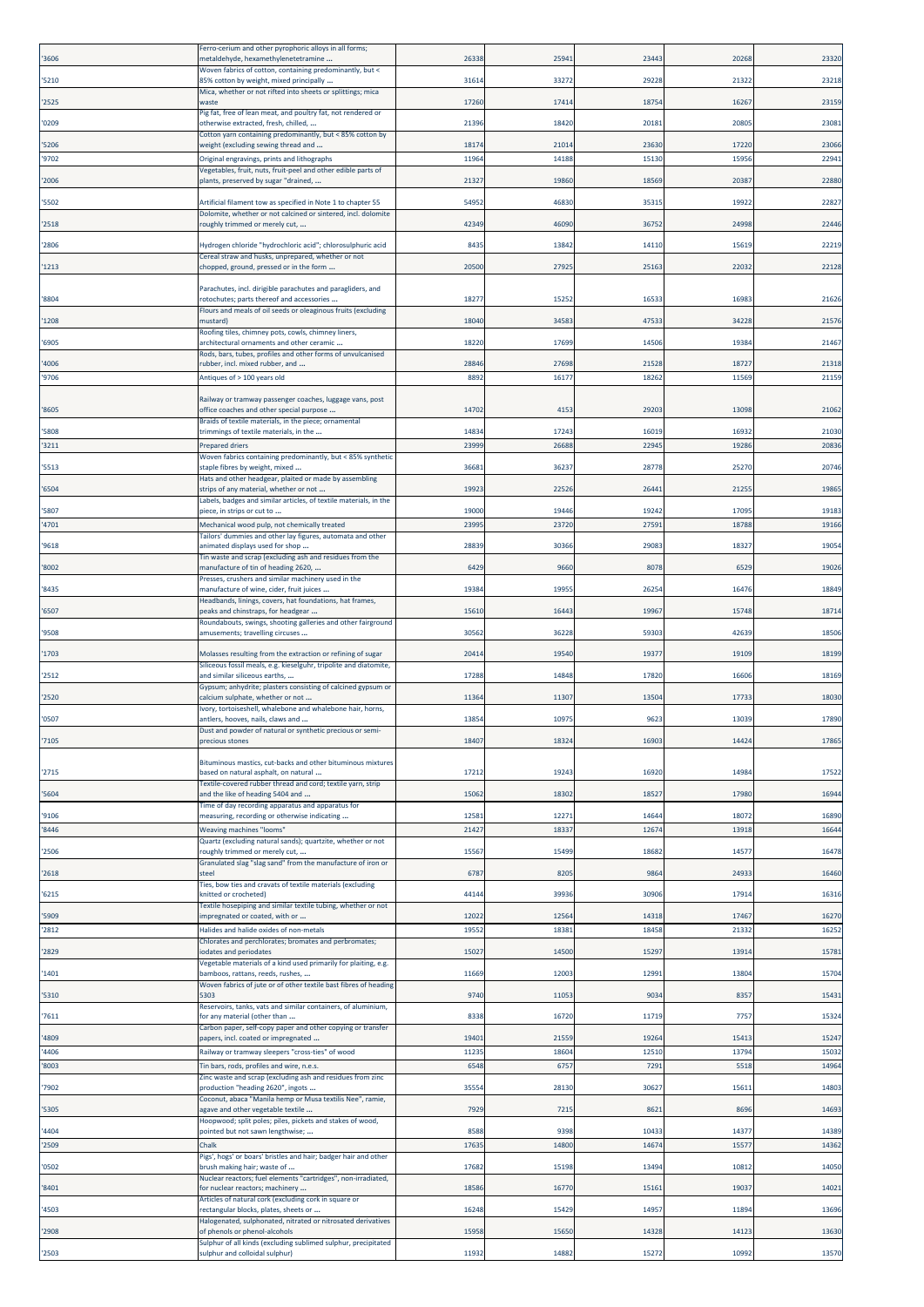| '3606          | Ferro-cerium and other pyrophoric alloys in all forms;<br>metaldehyde, hexamethylenetetramine                                    | 2633         | 2594:         | 23443          | 20268         | 23320          |
|----------------|----------------------------------------------------------------------------------------------------------------------------------|--------------|---------------|----------------|---------------|----------------|
| '5210          | Woven fabrics of cotton, containing predominantly, but <<br>85% cotton by weight, mixed principally                              | 31614        | 33272         | 29228          | 21322         | 23218          |
| '2525          | Mica, whether or not rifted into sheets or splittings; mica<br>waste                                                             | 17260        | 17414         | 18754          | 1626          | 23159          |
| '0209          | Pig fat, free of lean meat, and poultry fat, not rendered or<br>otherwise extracted, fresh, chilled,                             | 2139         | 18420         | 20181          | 2080          | 23081          |
| '5206          | Cotton yarn containing predominantly, but < 85% cotton by<br>weight (excluding sewing thread and                                 | 1817         | 21014         | 23630          | 17220         | 23066          |
| '9702          | Original engravings, prints and lithographs                                                                                      | 1196         | 14188         | 15130          | 15956         | 22941          |
| '2006          | Vegetables, fruit, nuts, fruit-peel and other edible parts of<br>plants, preserved by sugar "drained,                            | 2132         | 19860         | 18569          | 20387         | 22880          |
| '5502          | Artificial filament tow as specified in Note 1 to chapter 55                                                                     | 5495         | 46830         | 35315          | 19922         | 22827          |
| '2518          | Dolomite, whether or not calcined or sintered, incl. dolomite<br>oughly trimmed or merely cut,                                   | 4234         | 46090         | 36752          | 24998         | 22446          |
| '2806          | Hydrogen chloride "hydrochloric acid"; chlorosulphuric acid                                                                      | 843          | 13842         | 14110          | 15619         | 22219          |
| '1213          | Cereal straw and husks, unprepared, whether or not<br>chopped, ground, pressed or in the form                                    | 20500        | 27925         | 25163          | 22032         | 22128          |
|                | Parachutes, incl. dirigible parachutes and paragliders, and                                                                      |              |               |                |               |                |
| '8804          | otochutes; parts thereof and accessories<br>Flours and meals of oil seeds or oleaginous fruits (excluding                        | 1827         | 15252         | 16533          | 1698          | 21626          |
| '1208          | nustard)<br>Roofing tiles, chimney pots, cowls, chimney liners,                                                                  | 1804         | 34583         | 47533          | 34228         | 21576          |
| '6905          | architectural ornaments and other ceramic<br>Rods, bars, tubes, profiles and other forms of unvulcanised                         | 1822         | 1769          | 14506          | 1938          | 21467          |
| '4006          | ubber, incl. mixed rubber, and                                                                                                   | 2884         | 27698         | 21528          | 18727         | 21318          |
| '9706          | Antiques of > 100 years old                                                                                                      | 889          | 1617          | 18262          | 11569         | 21159          |
| '8605          | Railway or tramway passenger coaches, luggage vans, post<br>office coaches and other special purpose                             | 14702        | 4153          | 29203          | 13098         | 21062          |
| '5808          | Braids of textile materials, in the piece; ornamental<br>trimmings of textile materials, in the                                  | 14834        | 17243         | 16019          | 16932         | 21030          |
| '3211          | <b>Prepared driers</b><br>Woven fabrics containing predominantly, but < 85% synthetic                                            | 2399         | 26688         | 22945          | 19286         | 20836          |
| '5513          | staple fibres by weight, mixed<br>Hats and other headgear, plaited or made by assembling                                         | 3668         | 36237         | 28778          | 25270         | 20746          |
| '6504          | strips of any material, whether or not<br>Labels, badges and similar articles, of textile materials, in the                      | 1992         | 22526         | 26441          | 2125          | 19865          |
| '5807          | piece, in strips or cut to                                                                                                       | 19000        | 19446         | 19242          | 1709          | 19183          |
| '4701          | Mechanical wood pulp, not chemically treated<br><b>Tailors' dummies and other lay figures, automata and other</b>                | 2399         | 23720         | 27591          | 18788         | 19166          |
| '9618          | animated displays used for shop<br>Tin waste and scrap (excluding ash and residues from the                                      | 2883         | 30366         | 29083          | 18327         | 19054          |
| '8002          | manufacture of tin of heading 2620,<br>Presses, crushers and similar machinery used in the                                       | 6429         | 9660          | 8078           | 6529          | 19026          |
| '8435          | manufacture of wine, cider, fruit juices<br>Headbands, linings, covers, hat foundations, hat frames,                             | 1938         | 1995          | 26254          | 16476         | 18849          |
| '6507          | beaks and chinstraps, for headgear<br>Roundabouts, swings, shooting galleries and other fairground                               | 15610        | 16443         | 19967          | 15748         | 18714          |
| '9508          | amusements; travelling circuses                                                                                                  | 3056         | 36228         | 59303          | 42639         | 18506          |
| '1703          | Molasses resulting from the extraction or refining of sugar<br>Siliceous fossil meals, e.g. kieselguhr, tripolite and diatomite, | 2041         | 1954          | 19377          | 19109         | 18199          |
| '2512          | and similar siliceous earths,<br>Gypsum; anhydrite; plasters consisting of calcined gypsum or                                    | 1728         | 14848         | 17820          | 16606         | 18169          |
| '2520          | calcium sulphate, whether or not<br>Ivory, tortoiseshell, whalebone and whalebone hair, horns,                                   | 11364        | 11307         | 13504          | 17733         | 18030          |
| '0507          | antlers, hooves, nails, claws and<br>Dust and powder of natural or synthetic precious or semi-                                   | 13854        | 10975         | 9623           | 13039         | 17890          |
| '7105          | recious stories                                                                                                                  | 18407        | 1832          | 16903          | 1442          | 17865          |
| '2715          | Bituminous mastics, cut-backs and other bituminous mixtures<br>based on natural asphalt, on natural                              | 1721         | 19243         | 16920          | 14984         | 17522          |
| '5604          | Textile-covered rubber thread and cord; textile yarn, strip<br>and the like of heading 5404 and                                  | 15062        | 18302         | 18527          | 17980         | 16944          |
| '9106          | Time of day recording apparatus and apparatus for<br>measuring, recording or otherwise indicating                                | 12581        | 12271         | 14644          | 18072         | 16890          |
| '8446          | <b>Weaving machines "looms"</b>                                                                                                  | 2142         | 18337         | 12674          | 13918         | 16644          |
| '2506          | Quartz (excluding natural sands); quartzite, whether or not<br>roughly trimmed or merely cut,                                    | 15567        | 15499         | 18682          | 1457          | 16478          |
| '2618          | Granulated slag "slag sand" from the manufacture of iron or<br>steel                                                             | 6787         | 8205          | 9864           | 2493          | 16460          |
| '6215          | Ties, bow ties and cravats of textile materials (excluding<br>knitted or crocheted)                                              | 44144        | 39936         | 30906          | 17914         | 16316          |
| '5909          | Textile hosepiping and similar textile tubing, whether or not<br>impregnated or coated, with or                                  | 12022        | 12564         | 14318          | 17467         | 16270          |
| '2812          | Halides and halide oxides of non-metals<br>Chlorates and perchlorates; bromates and perbromates;                                 | 1955         | 18381         | 18458          | 21332         | 16252          |
| '2829          | iodates and periodates                                                                                                           | 1502         | 14500         | 15297          | 13914         | 15781          |
| '1401          | Vegetable materials of a kind used primarily for plaiting, e.g.<br>pamboos, rattans, reeds, rushes,                              | 11669        | 12003         | 12991          | 13804         | 15704          |
| '5310          | Woven fabrics of jute or of other textile bast fibres of heading<br>5303                                                         | 9740         | 11053         | 9034           | 8357          | 15431          |
| 7611           | Reservoirs, tanks, vats and similar containers, of aluminium,<br>for any material (other than                                    | 8338         | 16720         | 11719          | 7757          | 15324          |
| '4809          | Carbon paper, self-copy paper and other copying or transfer<br>papers, incl. coated or impregnated                               | 19401        | 21559         | 19264          | 15413         | 15247          |
| '4406          | Railway or tramway sleepers "cross-ties" of wood                                                                                 | 1123<br>6548 | 18604<br>6757 | 12510<br>7291  | 13794<br>5518 | 15032<br>14964 |
| '8003          | Tin bars, rods, profiles and wire, n.e.s.<br>Zinc waste and scrap (excluding ash and residues from zinc                          |              |               |                |               |                |
| 7902           | production "heading 2620", ingots<br>Coconut, abaca "Manila hemp or Musa textilis Nee", ramie,                                   | 35554        | 28130         | 30627          | 1561:         | 14803          |
| '5305          | agave and other vegetable textile<br>Hoopwood; split poles; piles, pickets and stakes of wood,                                   | 7929         | 7215          | 8621           | 8696          | 14693          |
| '4404<br>'2509 | pointed but not sawn lengthwise;<br>Chalk                                                                                        | 8588<br>1763 | 9398<br>14800 | 10433<br>14674 | 14377<br>1557 | 14389<br>14362 |
| '0502          | Pigs', hogs' or boars' bristles and hair; badger hair and other<br>brush making hair; waste of                                   | 17682        | 15198         | 13494          | 10812         | 14050          |
| '8401          | Nuclear reactors; fuel elements "cartridges", non-irradiated,<br>or nuclear reactors; machinery                                  | 1858         | 16770         | 15161          | 1903          | 14021          |
| '4503          | Articles of natural cork (excluding cork in square or<br>rectangular blocks, plates, sheets or                                   | 16248        | 15429         | 14957          | 11894         | 13696          |
| '2908          | Halogenated, sulphonated, nitrated or nitrosated derivatives<br>of phenols or phenol-alcohols                                    | 1595         | 15650         | 14328          | 1412          | 13630          |
| '2503          | Sulphur of all kinds (excluding sublimed sulphur, precipitated<br>sulphur and colloidal sulphur)                                 | 11932        | 14882         | 15272          | 10992         | 13570          |
|                |                                                                                                                                  |              |               |                |               |                |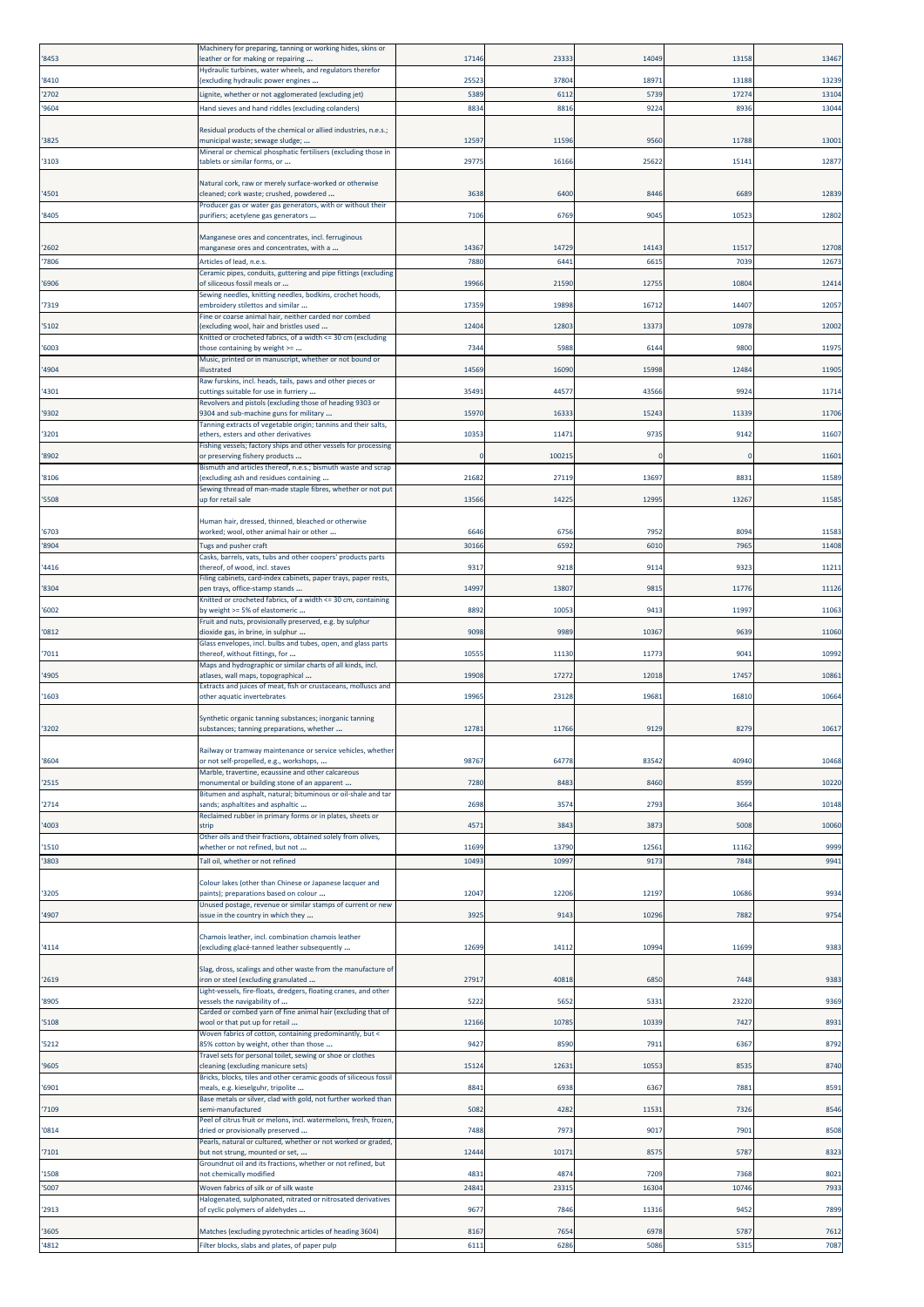| '8453          | Machinery for preparing, tanning or working hides, skins or<br>eather or for making or repairing           | 17146        | 23333        | 14049        | 13158        | 13467        |
|----------------|------------------------------------------------------------------------------------------------------------|--------------|--------------|--------------|--------------|--------------|
| '8410          | Hydraulic turbines, water wheels, and regulators therefor                                                  | 2552         | 37804        | 1897         | 1318         | 13239        |
| '2702          | excluding hydraulic power engines<br>ignite, whether or not agglomerated (excluding jet)                   | 5389         | 6112         | 5739         | 1727         | 13104        |
| '9604          | Hand sieves and hand riddles (excluding colanders)                                                         | 883          | 8816         | 9224         | 893          | 13044        |
| '3825          | Residual products of the chemical or allied industries, n.e.s.;<br>nunicipal waste; sewage sludge;         | 1259         | 11596        | 956          | 11788        | 13001        |
| '3103          | Mineral or chemical phosphatic fertilisers (excluding those in<br>tablets or similar forms, or             | 2977         | 16166        | 25622        | 1514:        | 1287         |
| '4501          | Natural cork, raw or merely surface-worked or otherwise<br>cleaned; cork waste; crushed, powdered          | 3638         | 6400         | 844          | 6689         | 12839        |
| '8405          | Producer gas or water gas generators, with or without their<br>purifiers; acetylene gas generators         | 7106         | 6769         | 9045         | 1052         | 12802        |
| '2602          | Manganese ores and concentrates, incl. ferruginous<br>manganese ores and concentrates, with a              | 14367        | 14729        | 14143        | 11517        | 12708        |
| '7806          | Articles of lead, n.e.s.                                                                                   | 7880         | 6441         | 6615         | 703          | 12673        |
| '6906          | Ceramic pipes, conduits, guttering and pipe fittings (excluding<br>of siliceous fossil meals or            | 19966        | 21590        | 12755        | 1080         | 12414        |
| '7319          | Sewing needles, knitting needles, bodkins, crochet hoods,<br>embroidery stilettos and similar              | 17359        | 19898        | 16712        | 14407        | 1205         |
| '5102          | Fine or coarse animal hair, neither carded nor combed<br>excluding wool, hair and bristles used            | 1240         | 12803        | 13373        | 1097         | 12002        |
| '6003          | Knitted or crocheted fabrics, of a width <= 30 cm (excluding<br>those containing by weight >=              | 734          | 5988         | 6144         | 9800         | 1197         |
| '4904          | Music, printed or in manuscript, whether or not bound or<br>llustrated                                     | 14569        | 16090        | 15998        | 1248         | 11905        |
| '4301          | Raw furskins, incl. heads, tails, paws and other pieces or<br>cuttings suitable for use in furriery        | 35491        | 4457         | 43566        | 9924         | 11714        |
| '9302          | Revolvers and pistols (excluding those of heading 9303 or<br>9304 and sub-machine guns for military        | 1597         | 1633         | 15243        | 11339        | 11706        |
| '3201          | Tanning extracts of vegetable origin; tannins and their salts,<br>ethers, esters and other derivatives     | 10353        | 11471        | 9735         | 9142         | 11607        |
| '8902          | Fishing vessels; factory ships and other vessels for processing<br>or preserving fishery products          |              | 10021        |              |              | 11601        |
| '8106          | Bismuth and articles thereof, n.e.s.; bismuth waste and scrap<br>excluding ash and residues containing     | 21682        | 27119        | 13697        | 883          | 11589        |
| '5508          | Sewing thread of man-made staple fibres, whether or not put<br>up for retail sale                          | 13566        | 14225        | 12995        | 13267        | 11585        |
| '6703          | Human hair, dressed, thinned, bleached or otherwise<br>worked; wool, other animal hair or other            | 6646         | 6756         | 7952         | 809          | 11583        |
| '8904          | <b>Tugs and pusher craft</b>                                                                               | 3016         | 659          | 601          | 796          | 11408        |
| '4416          | Casks, barrels, vats, tubs and other coopers' products parts<br>thereof, of wood, incl. staves             | 931          | 9218         | 9114         | 932          | 1121         |
| '8304          | Filing cabinets, card-index cabinets, paper trays, paper rests,<br>pen trays, office-stamp stands          | 1499         | 13807        | 9815         | 1177         | 11126        |
| '6002          | Knitted or crocheted fabrics, of a width <= 30 cm, containing<br>y weight >= 5% of elastomeric             | 8892         | 10053        | 9413         | 11997        | 11063        |
| '0812          | Fruit and nuts, provisionally preserved, e.g. by sulphur<br>dioxide gas, in brine, in sulphur              | 9098         | 9989         | 10367        | 9639         | 11060        |
| '7011          | Glass envelopes, incl. bulbs and tubes, open, and glass parts<br>thereof, without fittings, for            | 10555        | 11130        | 11773        | 904          | 10992        |
| '4905          | Maps and hydrographic or similar charts of all kinds, incl.<br>atlases, wall maps, topographical           | 19908        | 17272        | 12018        | 1745         | 10861        |
| '1603          | Extracts and juices of meat, fish or crustaceans, molluscs and<br>other aquatic invertebrates              | 1996         | 23128        | 19681        | 16810        | 1066         |
| '3202          | Synthetic organic tanning substances; inorganic tanning<br>substances; tanning preparations, whether       | 12781        | 11766        | 9129         | 8279         | 10617        |
| '8604          | Railway or tramway maintenance or service vehicles, whether<br>or not self-propelled, e.g., workshops,     | 98767        | 64778        | 83542        | 40940        | 10468        |
| '2515          | Marble, travertine, ecaussine and other calcareous<br>monumental or building stone of an apparent          | 7280         | 848          | 8460         | 8599         | 10220        |
| '2714          | Bitumen and asphalt, natural; bituminous or oil-shale and tar<br>sands; asphaltites and asphaltic          | 2698         | 3574         | 2793         | 366          | 10148        |
| '4003          | Reclaimed rubber in primary forms or in plates, sheets or<br>strip                                         | 4571         | 3843         | 3873         | 5008         | 10060        |
| '1510          | Other oils and their fractions, obtained solely from olives,<br>whether or not refined, but not            | 11699        | 13790        | 12561        | 1116         | 9999         |
| '3803          | Tall oil, whether or not refined                                                                           | 1049         | 1099         | 9173         | 7848         | 9941         |
| '3205          | Colour lakes (other than Chinese or Japanese lacquer and<br>paints); preparations based on colour          | 12047        | 12206        | 12197        | 10686        | 9934         |
| '4907          | Unused postage, revenue or similar stamps of current or new<br>issue in the country in which they          | 3925         | 9143         | 10296        | 788          | 9754         |
| '4114          | Chamois leather, incl. combination chamois leather<br>excluding glacé-tanned leather subsequently          | 12699        | 14112        | 10994        | 11699        | 9383         |
| '2619          | Slag, dross, scalings and other waste from the manufacture of<br>ron or steel (excluding granulated        | 27917        | 40818        | 6850         | 7448         | 9383         |
| '8905          | .ight-vessels, fire-floats, dredgers, floating cranes, and other<br>ressels the navigability of            | 5222         | 5652         | 5331         | 23220        | 9369         |
| '5108          | Carded or combed yarn of fine animal hair (excluding that of<br>wool or that put up for retail             | 12166        | 10785        | 10339        | 7427         | 8931         |
| 5212           | Woven fabrics of cotton, containing predominantly, but <<br>35% cotton by weight, other than those         | 9427         | 8590         | 7911         | 6367         | 8792         |
| '9605          | Travel sets for personal toilet, sewing or shoe or clothes<br>cleaning (excluding manicure sets)           | 15124        | 12631        | 10553        | 8535         | 8740         |
| '6901          | Bricks, blocks, tiles and other ceramic goods of siliceous fossil<br>meals, e.g. kieselguhr, tripolite     | 8841         | 6938         | 6367         | 7881         | 8591         |
| '7109          | Base metals or silver, clad with gold, not further worked than<br>emi-manufactured                         | 5082         | 4282         | 11531        | 7326         | 8546         |
| '0814          | Peel of citrus fruit or melons, incl. watermelons, fresh, frozen,<br>dried or provisionally preserved      | 7488         | 7973         | 9017         | 7901         | 8508         |
| '7101          | earls, natural or cultured, whether or not worked or graded,<br>but not strung, mounted or set,            | 12444        | 10171        | 8575         | 5787         | 8323         |
| '1508          | Groundnut oil and its fractions, whether or not refined, but<br>not chemically modified                    | 4831         | 4874         | 7209         | 7368         | 8021         |
| '5007          | Woven fabrics of silk or of silk waste<br>Halogenated, sulphonated, nitrated or nitrosated derivatives     | 2484         | 23315        | 16304        | 1074         | 7933         |
| '2913          | of cyclic polymers of aldehydes                                                                            | 9677         | 7846         | 11316        | 9452         | 7899         |
| '3605<br>'4812 | Matches (excluding pyrotechnic articles of heading 3604)<br>Filter blocks, slabs and plates, of paper pulp | 8167<br>6111 | 7654<br>6286 | 6978<br>5086 | 5787<br>5315 | 7612<br>7087 |
|                |                                                                                                            |              |              |              |              |              |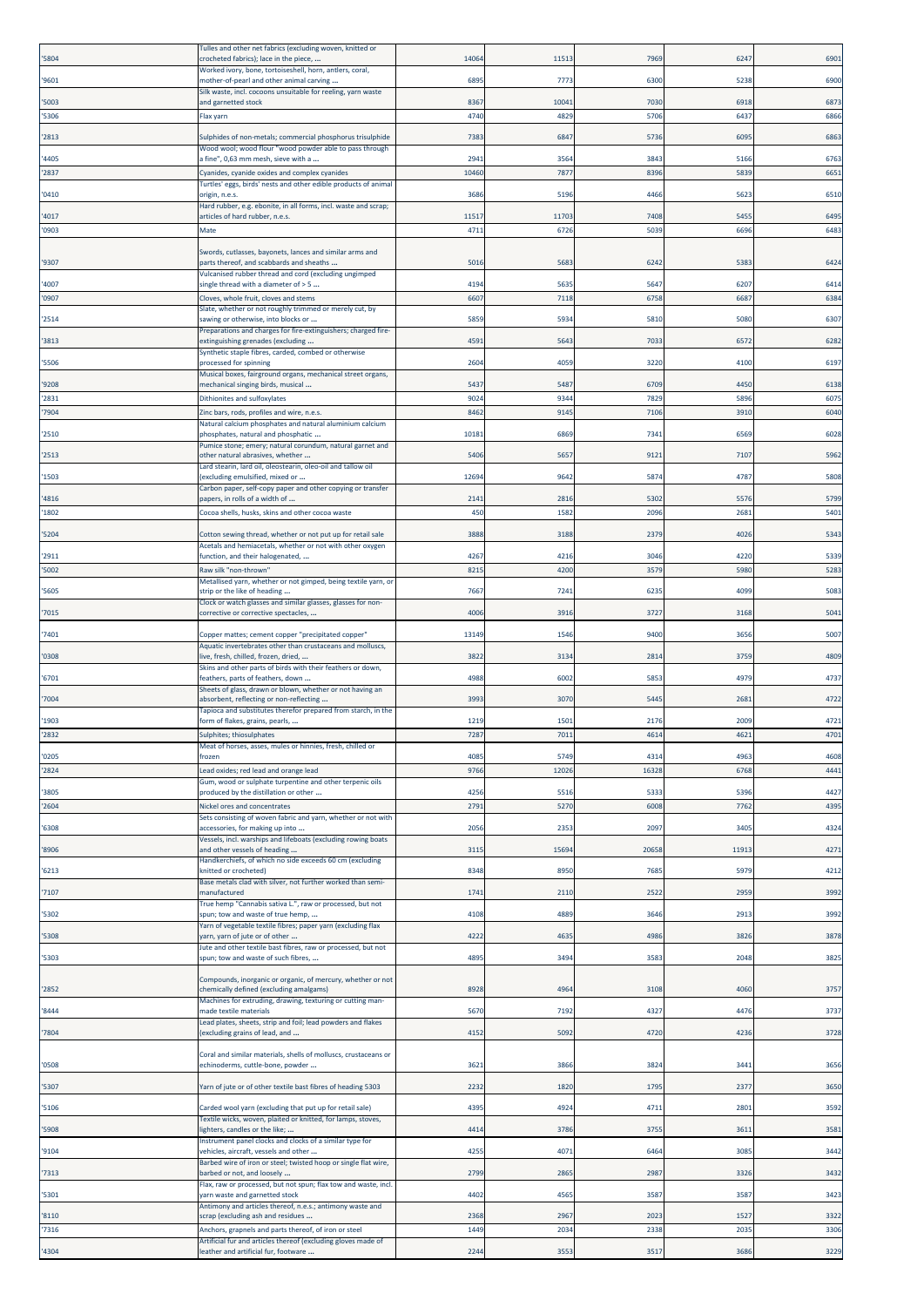| '5804          | Fulles and other net fabrics (excluding woven, knitted or<br>crocheted fabrics); lace in the piece,      | 14064        | 11513         | 796           | 624          | 6901         |
|----------------|----------------------------------------------------------------------------------------------------------|--------------|---------------|---------------|--------------|--------------|
| '9601          | Worked ivory, bone, tortoiseshell, horn, antlers, coral,<br>mother-of-pearl and other animal carving     | 6895         | 7773          | 6300          | 5238         | 6900         |
| '5003          | Silk waste, incl. cocoons unsuitable for reeling, yarn waste<br>and garnetted stock                      | 8367         | 10041         | 7030          | 6918         | 6873         |
| '5306          | Flax yarn                                                                                                | 4740         | 4829          | 5706          | 643          | 6866         |
| '2813          | Sulphides of non-metals; commercial phosphorus trisulphide                                               | 7383         | 6847          | 5736          | 609          | 6863         |
| '4405          | Wood wool; wood flour "wood powder able to pass through<br>a fine", 0,63 mm mesh, sieve with a           | 2941         | 3564          | 3843          | 5166         | 6763         |
| '2837          | Cyanides, cyanide oxides and complex cyanides                                                            | 1046         | 7877          | 8396          | 583          | 665          |
| '0410          | Turtles' eggs, birds' nests and other edible products of animal<br>origin, n.e.s.                        | 3686         | 5196          | 4466          | 562          | 6510         |
| '4017          | Hard rubber, e.g. ebonite, in all forms, incl. waste and scrap;<br>articles of hard rubber, n.e.s.       | 11517        | 11703         | 7408          | 545          | 6495         |
| '0903          | Mate                                                                                                     | 4711         | 6726          | 5039          | 6696         | 6483         |
|                | Swords, cutlasses, bayonets, lances and similar arms and                                                 |              |               |               |              |              |
| '9307          | parts thereof, and scabbards and sheaths<br>Vulcanised rubber thread and cord (excluding ungimped        | 5016         | 5683          | 6242          | 538          | 6424         |
| '4007          | single thread with a diameter of > 5                                                                     | 4194         | 5635          | 5647          | 6207         | 6414         |
| '0907          | Cloves, whole fruit, cloves and stems<br>Slate, whether or not roughly trimmed or merely cut, by         | 6607         | 7118          | 6758          | 668          | 6384         |
| '2514          | sawing or otherwise, into blocks or<br>Preparations and charges for fire-extinguishers; charged fire-    | 5859         | 5934          | 5810          | 5080         | 6307         |
| '3813          | extinguishing grenades (excluding                                                                        | 4591         | 5643          | 7033          | 657          | 6282         |
| '5506          | Synthetic staple fibres, carded, combed or otherwise<br>processed for spinning                           | 2604         | 4059          | 3220          | 4100         | 6197         |
| '9208          | Musical boxes, fairground organs, mechanical street organs,<br>mechanical singing birds, musical         | 5437         | 5487          | 6709          | 4450         | 6138         |
| '2831          | Dithionites and sulfoxylates                                                                             | 9024         | 9344          | 7829          | 5896         | 6075         |
| '7904          | Zinc bars, rods, profiles and wire, n.e.s.<br>Natural calcium phosphates and natural aluminium calcium   | 8462         | 9145          | 7106          | 3910         | 6040         |
| '2510          | phosphates, natural and phosphatic<br>Pumice stone; emery; natural corundum, natural garnet and          | 1018         | 6869          | 7341          | 6569         | 6028         |
| '2513          | other natural abrasives, whether                                                                         | 5406         | 5657          | 9121          | 7107         | 5962         |
| '1503          | ard stearin, lard oil, oleostearin, oleo-oil and tallow oil.<br>excluding emulsified, mixed or           | 12694        | 9642          | 5874          | 4787         | 5808         |
| '4816          | Carbon paper, self-copy paper and other copying or transfer<br>papers, in rolls of a width of            | 214          | 2816          | 5302          | 557          | 5799         |
| '1802          | Cocoa shells, husks, skins and other cocoa waste                                                         | 450          | 1582          | 2096          | 268          | 5401         |
| '5204          | Cotton sewing thread, whether or not put up for retail sale                                              | 3888         | 3188          | 2379          | 4026         | 5343         |
| '2911          | Acetals and hemiacetals, whether or not with other oxygen<br>function, and their halogenated,            | 4267         | 4216          | 3046          | 4220         | 5339         |
| '5002          | Raw silk "non-thrown"<br>Metallised yarn, whether or not gimped, being textile yarn, or                  | 8215         | 4200          | 3579          | 5980         | 5283         |
| '5605          | strip or the like of heading                                                                             | 7667         | 7241          | 6235          | 4099         | 5083         |
| '7015          | Clock or watch glasses and similar glasses, glasses for non-<br>corrective or corrective spectacles,     | 4006         | 3916          | 3727          | 3168         | 5041         |
| 7401           | "Copper mattes; cement copper "precipitated copper                                                       | 13149        | 1546          | 9400          | 3656         | 5007         |
| '0308          | Aquatic invertebrates other than crustaceans and molluscs,<br>live, fresh, chilled, frozen, dried,       | 3822         | 3134          | 2814          | 3759         | 4809         |
|                | Skins and other parts of birds with their feathers or down,                                              |              |               |               |              |              |
| '6701          | feathers, parts of feathers, down<br>Sheets of glass, drawn or blown, whether or not having an           | 4988         | 6002          | 5853          | 4979         | 4737         |
| '7004          | absorbent, reflecting or non-reflecting<br>Tapioca and substitutes therefor prepared from starch, in the | 3993         | 3070          | 5445          | 268          | 4722         |
| '1903<br>'2832 | form of flakes, grains, pearls,<br>Sulphites; thiosulphates                                              | 1219<br>7287 | 1501<br>7011  | 2176<br>4614  | 2009<br>4621 | 4721<br>4701 |
|                | Meat of horses, asses, mules or hinnies, fresh, chilled or                                               |              |               |               |              |              |
| '0205<br>'2824 | frozen<br>Lead oxides; red lead and orange lead                                                          | 4085<br>9766 | 5749<br>12026 | 4314<br>16328 | 4963<br>6768 | 4608<br>4441 |
| '3805          | Gum, wood or sulphate turpentine and other terpenic oils<br>produced by the distillation or other        | 4256         | 5516          | 5333          | 5396         | 4427         |
| '2604          | Nickel ores and concentrates                                                                             | 279          | 5270          | 6008          | 776          | 4395         |
| '6308          | Sets consisting of woven fabric and yarn, whether or not with<br>accessories, for making up into         | 2056         | 2353          | 2097          | 340          | 4324         |
| '8906          | Vessels, incl. warships and lifeboats (excluding rowing boats<br>and other vessels of heading            | 3115         | 15694         | 20658         | 1191         | 4271         |
|                | Handkerchiefs, of which no side exceeds 60 cm (excluding                                                 |              |               |               |              |              |
| '6213          | (nitted or crocheted)<br>Base metals clad with silver, not further worked than semi-                     | 8348         | 8950          | 7685          | 5979         | 4212         |
| '7107          | manufactured<br>True hemp "Cannabis sativa L.", raw or processed, but not                                | 1741         | 2110          | 2522          | 2959         | 3992         |
| '5302          | spun; tow and waste of true hemp,<br>Yarn of vegetable textile fibres; paper yarn (excluding flax        | 4108         | 4889          | 3646          | 291          | 3992         |
| '5308          | yarn, yarn of jute or of other                                                                           | 4222         | 4635          | 4986          | 3826         | 3878         |
| '5303          | Jute and other textile bast fibres, raw or processed, but not<br>spun; tow and waste of such fibres,     | 4895         | 3494          | 3583          | 2048         | 3825         |
|                | Compounds, inorganic or organic, of mercury, whether or not                                              |              |               |               |              |              |
| '2852          | chemically defined (excluding amalgams)<br>Machines for extruding, drawing, texturing or cutting man-    | 8928         | 4964          | 3108          | 4060         | 3757         |
| '8444          | nade textile materials                                                                                   | 5670         | 7192          | 4327          | 4476         | 3737         |
| '7804          | Lead plates, sheets, strip and foil; lead powders and flakes<br>(excluding grains of lead, and           | 4152         | 5092          | 4720          | 4236         | 3728         |
|                | Coral and similar materials, shells of molluscs, crustaceans or                                          |              |               |               |              |              |
| '0508          | echinoderms, cuttle-bone, powder                                                                         | 3621         | 3866          | 3824          | 3441         | 3656         |
| '5307          | Yarn of jute or of other textile bast fibres of heading 5303                                             | 2232         | 1820          | 1795          | 237          | 3650         |
| '5106          | Carded wool yarn (excluding that put up for retail sale)                                                 | 4395         | 4924          | 4711          | 280          | 3592         |
| '5908          | Fextile wicks, woven, plaited or knitted, for lamps, stoves,<br>ighters, candles or the like;            | 4414         | 3786          | 3755          | 361          | 3581         |
| '9104          | Instrument panel clocks and clocks of a similar type for<br>vehicles, aircraft, vessels and other        | 4255         | 4071          | 6464          | 308          | 3442         |
| '7313          | Barbed wire of iron or steel; twisted hoop or single flat wire,<br>barbed or not, and loosely            | 2799         | 2865          | 2987          | 3326         | 3432         |
|                | Flax, raw or processed, but not spun; flax tow and waste, incl.                                          |              |               |               |              |              |
| '5301          | yarn waste and garnetted stock<br>Antimony and articles thereof, n.e.s.; antimony waste and              | 4402         | 4565          | 3587          | 3587         | 3423         |
| '8110<br>'7316 | scrap (excluding ash and residues<br>Anchors, grapnels and parts thereof, of iron or steel               | 2368<br>1449 | 2967<br>2034  | 2023<br>2338  | 152<br>203   | 3322<br>3306 |
|                | Artificial fur and articles thereof (excluding gloves made of                                            |              |               |               |              |              |
| '4304          | leather and artificial fur, footware                                                                     | 2244         | 3553          | 3517          | 3686         | 3229         |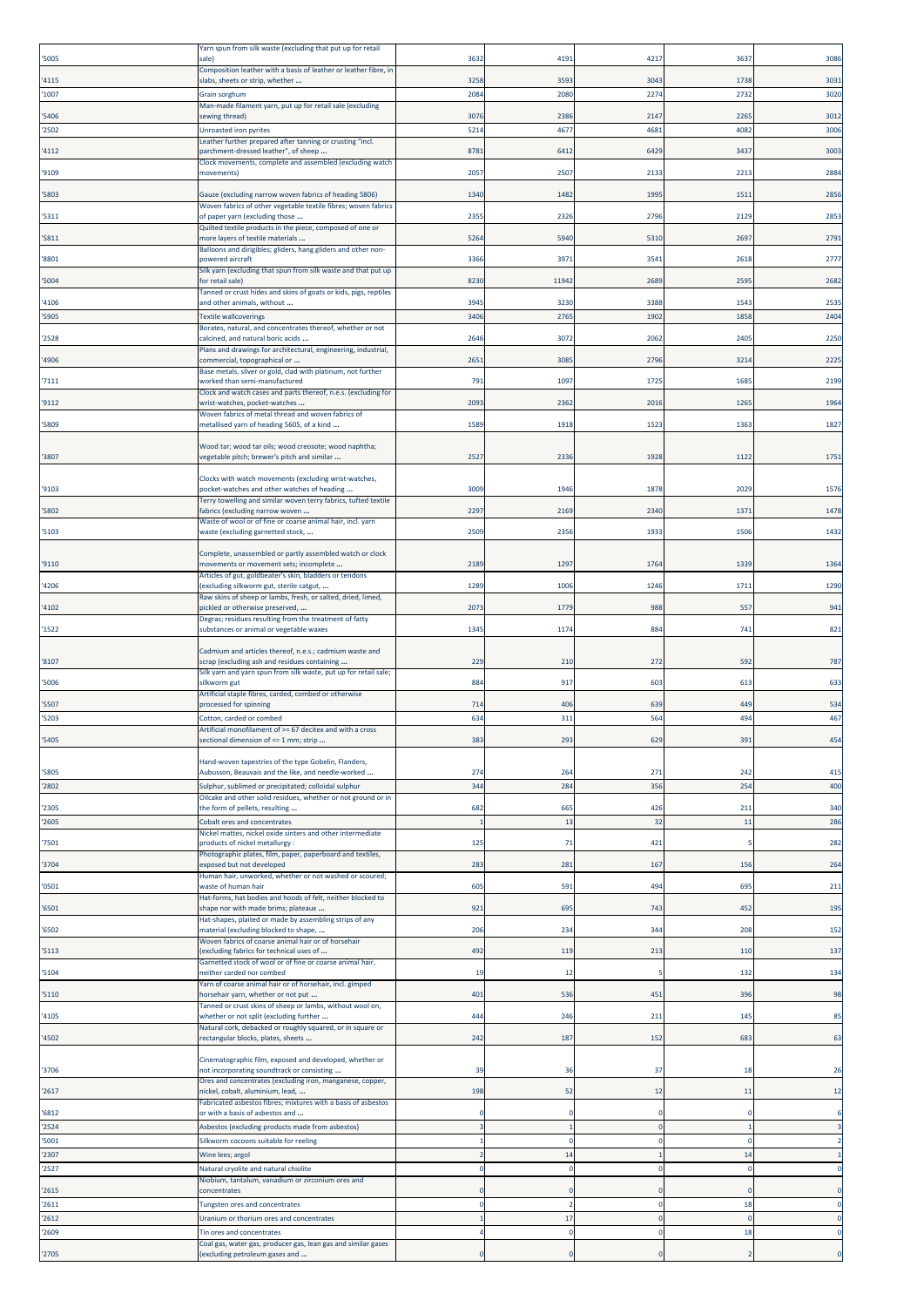| '5005 | Yarn spun from silk waste (excluding that put up for retail<br>sale)                                    | 3632 | 4191  | 4217 | 3637     | 3086        |
|-------|---------------------------------------------------------------------------------------------------------|------|-------|------|----------|-------------|
|       | Composition leather with a basis of leather or leather fibre, in                                        |      |       |      |          |             |
| '4115 | slabs, sheets or strip, whether                                                                         | 3258 | 3593  | 3043 | 1738     | 303         |
| '1007 | Grain sorghum<br>Man-made filament yarn, put up for retail sale (excluding                              | 2084 | 2080  | 2274 | 2732     | 3020        |
| '5406 | sewing thread)                                                                                          | 3076 | 2386  | 2147 | 2265     | 301         |
| '2502 | Unroasted iron pyrites                                                                                  | 5214 | 467   | 4681 | 4082     | 3006        |
| '4112 | Leather further prepared after tanning or crusting "incl.<br>parchment-dressed leather", of sheep       | 8781 | 6412  | 6429 | 3437     | 3003        |
|       | Clock movements, complete and assembled (excluding watch                                                |      |       |      |          |             |
| '9109 | movements)                                                                                              | 2057 | 2507  | 2133 | 2213     | 2884        |
| '5803 | Gauze (excluding narrow woven fabrics of heading 5806)                                                  | 1340 | 1482  | 1995 | 151      | 2856        |
| '5311 | Woven fabrics of other vegetable textile fibres; woven fabrics<br>of paper yarn (excluding those        | 2355 | 232   | 2796 | 2129     | 285         |
|       | Quilted textile products in the piece, composed of one or                                               |      |       |      |          |             |
| '5811 | more layers of textile materials<br>Balloons and dirigibles; gliders, hang gliders and other non-       | 5264 | 594   | 5310 | 2697     | 279         |
| '8801 | powered aircraft                                                                                        | 3366 | 397   | 3541 | 2618     | 277         |
| '5004 | Silk yarn (excluding that spun from silk waste and that put up<br>for retail sale)                      | 8230 | 11942 | 2689 | 2595     | 2682        |
|       | Tanned or crust hides and skins of goats or kids, pigs, reptiles                                        |      |       |      |          |             |
| '4106 | and other animals, without                                                                              | 3945 | 3230  | 3388 | 1543     | 2535        |
| '5905 | <b>Textile wallcoverings</b><br>Borates, natural, and concentrates thereof, whether or not              | 3406 | 2765  | 1902 | 1858     | 2404        |
| '2528 | calcined, and natural boric acids                                                                       | 2646 | 3072  | 2062 | 2405     | 2250        |
| '4906 | Plans and drawings for architectural, engineering, industrial,<br>commercial, topographical or          | 2651 | 3085  | 2796 | 3214     | 222         |
|       | Base metals, silver or gold, clad with platinum, not further                                            |      |       |      |          |             |
| '7111 | worked than semi-manufactured<br>Clock and watch cases and parts thereof, n.e.s. (excluding for         | 791  | 109   | 1725 | 1685     | 219         |
| '9112 | wrist-watches, pocket-watches                                                                           | 2093 | 2362  | 2016 | 1265     | 1964        |
| '5809 | Woven fabrics of metal thread and woven fabrics of<br>metallised yarn of heading 5605, of a kind        | 1589 | 1918  | 1523 | 1363     | 182         |
|       |                                                                                                         |      |       |      |          |             |
| '3807 | Wood tar; wood tar oils; wood creosote; wood naphtha;<br>vegetable pitch; brewer's pitch and similar    | 2527 | 233   | 1928 | 1122     | 175         |
|       |                                                                                                         |      |       |      |          |             |
| '9103 | Clocks with watch movements (excluding wrist-watches,<br>pocket-watches and other watches of heading    | 3009 | 1946  | 1878 | 2029     | 1576        |
|       | Terry towelling and similar woven terry fabrics, tufted textile                                         |      |       |      |          |             |
| '5802 | fabrics (excluding narrow woven                                                                         | 2297 | 2169  | 2340 | 1371     | 1478        |
| '5103 | Waste of wool or of fine or coarse animal hair, incl. yarn<br>waste (excluding garnetted stock,         | 2509 | 235   | 1933 | 1506     | 143         |
|       |                                                                                                         |      |       |      |          |             |
| '9110 | Complete, unassembled or partly assembled watch or clock<br>movements or movement sets; incomplete      | 2189 | 1297  | 1764 | 1339     | 1364        |
|       | Articles of gut, goldbeater's skin, bladders or tendons                                                 |      |       |      |          |             |
| '4206 | excluding silkworm gut, sterile catgut,<br>Raw skins of sheep or lambs, fresh, or salted, dried, limed, | 1289 | 1006  | 1246 | 1711     | 1290        |
| '4102 | pickled or otherwise preserved,                                                                         | 2073 | 1779  | 988  | 557      | 941         |
| '1522 | Degras; residues resulting from the treatment of fatty<br>substances or animal or vegetable waxes       | 1345 | 117   | 884  | 741      | 821         |
|       |                                                                                                         |      |       |      |          |             |
| '8107 | Cadmium and articles thereof, n.e.s.; cadmium waste and<br>scrap (excluding ash and residues containing | 229  | 210   | 272  | 592      | 787         |
|       | Silk yarn and yarn spun from silk waste, put up for retail sale;                                        | 884  |       |      |          |             |
| '5006 | silkworm gut<br>Artificial staple fibres, carded, combed or otherwise                                   |      | 917   | 603  | 613      | 633         |
| '5507 | processed for spinning                                                                                  | 714  | 406   | 639  | 449      | 534         |
| '5203 | Cotton, carded or combed<br>Artificial monofilament of >= 67 decitex and with a cross                   | 634  | 311   | 564  | 494      | 467         |
| '5405 | ectional dimension of <= 1 mm; strip                                                                    | 383  | 293   | 629  | 391      | 454         |
|       | Hand-woven tapestries of the type Gobelin, Flanders,                                                    |      |       |      |          |             |
| '5805 | Aubusson, Beauvais and the like, and needle-worked                                                      | 274  | 264   | 271  | 242      | 415         |
| '2802 | Sulphur, sublimed or precipitated; colloidal sulphur                                                    | 344  | 284   | 356  | 254      | 400         |
| '2305 | Oilcake and other solid residues, whether or not ground or in<br>the form of pellets, resulting         | 682  | 665   | 426  | 211      | 340         |
| '2605 | Cobalt ores and concentrates                                                                            |      | 13    | 32   | 11       | 286         |
|       | Nickel mattes, nickel oxide sinters and other intermediate                                              |      |       |      |          |             |
| '7501 | products of nickel metallurgy:<br>Photographic plates, film, paper, paperboard and textiles,            | 125  | 71    | 421  |          | 282         |
| '3704 | exposed but not developed                                                                               | 283  | 281   | 167  | 156      | 264         |
| '0501 | Human hair, unworked, whether or not washed or scoured;<br>waste of human hair                          | 605  | 591   | 494  | 695      | 211         |
|       | Hat-forms, hat bodies and hoods of felt, neither blocked to                                             |      |       |      |          |             |
| '6501 | shape nor with made brims; plateaux<br>Hat-shapes, plaited or made by assembling strips of any          | 921  | 695   | 743  | 452      | 195         |
| '6502 | material (excluding blocked to shape,                                                                   | 206  | 234   | 344  | 208      | 152         |
| '5113 | Woven fabrics of coarse animal hair or of horsehair<br>excluding fabrics for technical uses of          | 492  | 119   | 213  | 110      | 137         |
|       | Garnetted stock of wool or of fine or coarse animal hair,                                               |      |       |      |          |             |
| '5104 | neither carded nor combed<br>Yarn of coarse animal hair or of horsehair, incl. gimped                   | 19   | 12    |      | 132      | 134         |
| '5110 | norsehair yarn, whether or not put                                                                      | 401  | 536   | 451  | 396      | 98          |
| '4105 | Tanned or crust skins of sheep or lambs, without wool on,<br>whether or not split (excluding further    | 444  | 246   | 211  | 145      | 85          |
|       | Natural cork, debacked or roughly squared, or in square or                                              |      |       |      |          |             |
| '4502 | rectangular blocks, plates, sheets                                                                      | 242  | 187   | 152  | 683      | 63          |
|       | Cinematographic film, exposed and developed, whether or                                                 |      |       |      |          |             |
| '3706 | not incorporating soundtrack or consisting<br>Ores and concentrates (excluding iron, manganese, copper, | 39   | 36    | 37   | 18       | 26          |
| '2617 | nickel, cobalt, aluminium, lead,                                                                        | 198  | 52    | 12   | 11       | 12          |
| '6812 | Fabricated asbestos fibres; mixtures with a basis of asbestos<br>or with a basis of asbestos and        |      |       |      |          | 6           |
| '2524 | Asbestos (excluding products made from asbestos)                                                        |      |       | c    |          |             |
| '5001 | Silkworm cocoons suitable for reeling                                                                   |      |       |      |          |             |
| '2307 | Wine lees; argol                                                                                        |      | 14    |      | 14       |             |
| '2527 | Natural cryolite and natural chiolite                                                                   |      |       |      |          |             |
| '2615 | Niobium, tantalum, vanadium or zirconium ores and<br>concentrates                                       |      |       |      |          |             |
| '2611 | Tungsten ores and concentrates                                                                          |      |       |      | 18       | $\mathbf 0$ |
| '2612 | Uranium or thorium ores and concentrates                                                                |      | 17    |      | $\Omega$ | $\circ$     |
| '2609 | Tin ores and concentrates<br>Coal gas, water gas, producer gas, lean gas and similar gases              |      |       | C    | 18       | $\circ$     |
| '2705 | excluding petroleum gases and                                                                           |      |       |      |          |             |